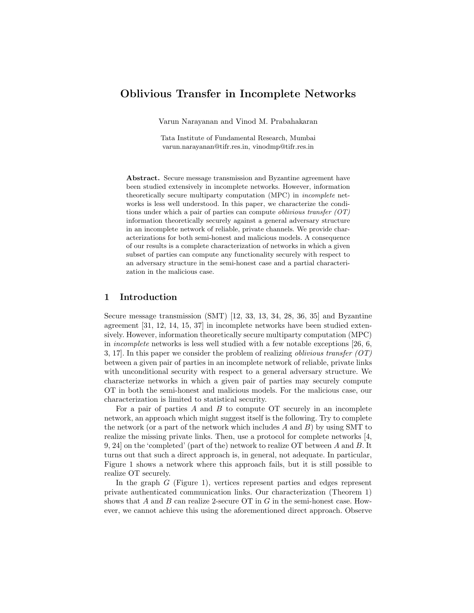# Oblivious Transfer in Incomplete Networks

Varun Narayanan and Vinod M. Prabahakaran

Tata Institute of Fundamental Research, Mumbai varun.narayanan@tifr.res.in, vinodmp@tifr.res.in

Abstract. Secure message transmission and Byzantine agreement have been studied extensively in incomplete networks. However, information theoretically secure multiparty computation (MPC) in incomplete networks is less well understood. In this paper, we characterize the conditions under which a pair of parties can compute *oblivious transfer*  $(OT)$ information theoretically securely against a general adversary structure in an incomplete network of reliable, private channels. We provide characterizations for both semi-honest and malicious models. A consequence of our results is a complete characterization of networks in which a given subset of parties can compute any functionality securely with respect to an adversary structure in the semi-honest case and a partial characterization in the malicious case.

### 1 Introduction

Secure message transmission (SMT) [12, 33, 13, 34, 28, 36, 35] and Byzantine agreement [31, 12, 14, 15, 37] in incomplete networks have been studied extensively. However, information theoretically secure multiparty computation (MPC) in incomplete networks is less well studied with a few notable exceptions [26, 6, 3, 17. In this paper we consider the problem of realizing *oblivious transfer (OT)* between a given pair of parties in an incomplete network of reliable, private links with unconditional security with respect to a general adversary structure. We characterize networks in which a given pair of parties may securely compute OT in both the semi-honest and malicious models. For the malicious case, our characterization is limited to statistical security.

For a pair of parties  $A$  and  $B$  to compute OT securely in an incomplete network, an approach which might suggest itself is the following. Try to complete the network (or a part of the network which includes  $A$  and  $B$ ) by using SMT to realize the missing private links. Then, use a protocol for complete networks [4, 9, 24] on the 'completed' (part of the) network to realize OT between A and B. It turns out that such a direct approach is, in general, not adequate. In particular, Figure 1 shows a network where this approach fails, but it is still possible to realize OT securely.

In the graph G (Figure 1), vertices represent parties and edges represent private authenticated communication links. Our characterization (Theorem 1) shows that  $A$  and  $B$  can realize 2-secure OT in  $G$  in the semi-honest case. However, we cannot achieve this using the aforementioned direct approach. Observe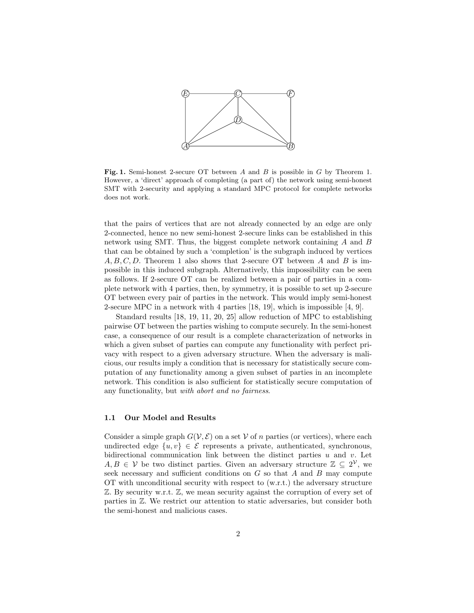

Fig. 1. Semi-honest 2-secure OT between A and B is possible in G by Theorem 1. However, a 'direct' approach of completing (a part of) the network using semi-honest SMT with 2-security and applying a standard MPC protocol for complete networks does not work.

that the pairs of vertices that are not already connected by an edge are only 2-connected, hence no new semi-honest 2-secure links can be established in this network using SMT. Thus, the biggest complete network containing A and B that can be obtained by such a 'completion' is the subgraph induced by vertices  $A, B, C, D$ . Theorem 1 also shows that 2-secure OT between A and B is impossible in this induced subgraph. Alternatively, this impossibility can be seen as follows. If 2-secure OT can be realized between a pair of parties in a complete network with 4 parties, then, by symmetry, it is possible to set up 2-secure OT between every pair of parties in the network. This would imply semi-honest 2-secure MPC in a network with 4 parties [18, 19], which is impossible [4, 9].

Standard results [18, 19, 11, 20, 25] allow reduction of MPC to establishing pairwise OT between the parties wishing to compute securely. In the semi-honest case, a consequence of our result is a complete characterization of networks in which a given subset of parties can compute any functionality with perfect privacy with respect to a given adversary structure. When the adversary is malicious, our results imply a condition that is necessary for statistically secure computation of any functionality among a given subset of parties in an incomplete network. This condition is also sufficient for statistically secure computation of any functionality, but with abort and no fairness.

#### 1.1 Our Model and Results

Consider a simple graph  $G(V,\mathcal{E})$  on a set V of n parties (or vertices), where each undirected edge  $\{u, v\} \in \mathcal{E}$  represents a private, authenticated, synchronous, bidirectional communication link between the distinct parties  $u$  and  $v$ . Let  $A, B \in V$  be two distinct parties. Given an adversary structure  $\mathbb{Z} \subseteq 2^{\mathcal{V}}$ , we seek necessary and sufficient conditions on G so that A and B may compute OT with unconditional security with respect to (w.r.t.) the adversary structure  $\mathbb Z$ . By security w.r.t.  $\mathbb Z$ , we mean security against the corruption of every set of parties in Z. We restrict our attention to static adversaries, but consider both the semi-honest and malicious cases.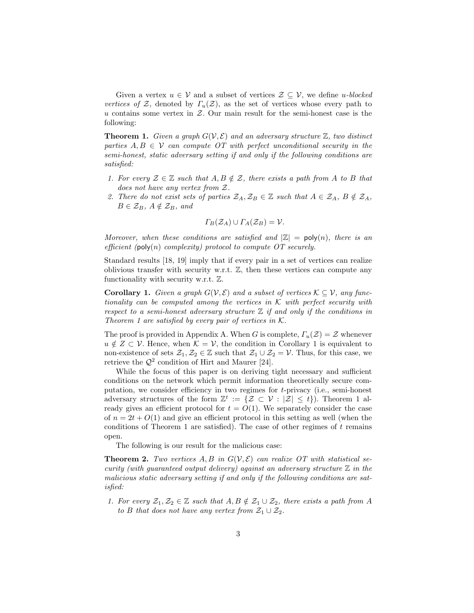Given a vertex  $u \in V$  and a subset of vertices  $\mathcal{Z} \subseteq V$ , we define u-blocked vertices of Z, denoted by  $\Gamma_u(\mathcal{Z})$ , as the set of vertices whose every path to u contains some vertex in  $Z$ . Our main result for the semi-honest case is the following:

**Theorem 1.** Given a graph  $G(V, \mathcal{E})$  and an adversary structure  $\mathbb{Z}$ , two distinct parties  $A, B \in V$  can compute OT with perfect unconditional security in the semi-honest, static adversary setting if and only if the following conditions are satisfied:

- 1. For every  $\mathcal{Z} \in \mathbb{Z}$  such that  $A, B \notin \mathcal{Z}$ , there exists a path from A to B that does not have any vertex from Z.
- 2. There do not exist sets of parties  $\mathcal{Z}_A, \mathcal{Z}_B \in \mathbb{Z}$  such that  $A \in \mathcal{Z}_A, B \notin \mathcal{Z}_A$ ,  $B \in \mathcal{Z}_B$ ,  $A \notin \mathcal{Z}_B$ , and

$$
\Gamma_B(\mathcal{Z}_A) \cup \Gamma_A(\mathcal{Z}_B) = \mathcal{V}.
$$

Moreover, when these conditions are satisfied and  $|\mathbb{Z}| = \text{poly}(n)$ , there is an efficient (poly(n) complexity) protocol to compute  $OT$  securely.

Standard results [18, 19] imply that if every pair in a set of vertices can realize oblivious transfer with security w.r.t.  $\mathbb{Z}$ , then these vertices can compute any functionality with security w.r.t. Z.

**Corollary 1.** Given a graph  $G(V, \mathcal{E})$  and a subset of vertices  $\mathcal{K} \subseteq V$ , any functionality can be computed among the vertices in  $K$  with perfect security with respect to a semi-honest adversary structure  $\mathbb Z$  if and only if the conditions in Theorem 1 are satisfied by every pair of vertices in  $K$ .

The proof is provided in Appendix A. When G is complete,  $\Gamma_u(\mathcal{Z}) = \mathcal{Z}$  whenever  $u \notin Z \subset V$ . Hence, when  $\mathcal{K} = V$ , the condition in Corollary 1 is equivalent to non-existence of sets  $\mathcal{Z}_1, \mathcal{Z}_2 \in \mathbb{Z}$  such that  $\mathcal{Z}_1 \cup \mathcal{Z}_2 = \mathcal{V}$ . Thus, for this case, we retrieve the  $\mathcal{Q}^2$  condition of Hirt and Maurer [24].

While the focus of this paper is on deriving tight necessary and sufficient conditions on the network which permit information theoretically secure computation, we consider efficiency in two regimes for t-privacy (i.e., semi-honest adversary structures of the form  $\mathbb{Z}^t := \{ \mathcal{Z} \subset \mathcal{V} : |\mathcal{Z}| \leq t \}$ . Theorem 1 already gives an efficient protocol for  $t = O(1)$ . We separately consider the case of  $n = 2t + O(1)$  and give an efficient protocol in this setting as well (when the conditions of Theorem 1 are satisfied). The case of other regimes of  $t$  remains open.

The following is our result for the malicious case:

**Theorem 2.** Two vertices  $A, B$  in  $G(V, \mathcal{E})$  can realize OT with statistical security (with guaranteed output delivery) against an adversary structure  $\mathbb Z$  in the malicious static adversary setting if and only if the following conditions are satisfied:

1. For every  $\mathcal{Z}_1, \mathcal{Z}_2 \in \mathbb{Z}$  such that  $A, B \notin \mathcal{Z}_1 \cup \mathcal{Z}_2$ , there exists a path from A to B that does not have any vertex from  $\mathcal{Z}_1 \cup \mathcal{Z}_2$ .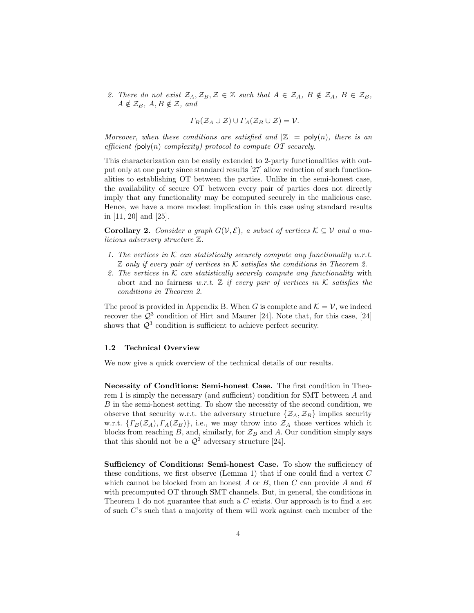2. There do not exist  $\mathcal{Z}_A, \mathcal{Z}_B, \mathcal{Z} \in \mathbb{Z}$  such that  $A \in \mathcal{Z}_A, B \notin \mathcal{Z}_A, B \in \mathcal{Z}_B$ ,  $A \notin \mathcal{Z}_B$ ,  $A, B \notin \mathcal{Z}$ , and

$$
\Gamma_B(\mathcal{Z}_A \cup \mathcal{Z}) \cup \Gamma_A(\mathcal{Z}_B \cup \mathcal{Z}) = \mathcal{V}.
$$

Moreover, when these conditions are satisfied and  $|\mathbb{Z}| = \text{poly}(n)$ , there is an efficient (poly(n) complexity) protocol to compute  $OT$  securely.

This characterization can be easily extended to 2-party functionalities with output only at one party since standard results [27] allow reduction of such functionalities to establishing OT between the parties. Unlike in the semi-honest case, the availability of secure OT between every pair of parties does not directly imply that any functionality may be computed securely in the malicious case. Hence, we have a more modest implication in this case using standard results in [11, 20] and [25].

**Corollary 2.** Consider a graph  $G(V, \mathcal{E})$ , a subset of vertices  $\mathcal{K} \subseteq \mathcal{V}$  and a malicious adversary structure Z.

- 1. The vertices in  $K$  can statistically securely compute any functionality w.r.t.  $\mathbb Z$  only if every pair of vertices in K satisfies the conditions in Theorem 2.
- 2. The vertices in K can statistically securely compute any functionality with abort and no fairness w.r.t.  $\mathbb Z$  if every pair of vertices in K satisfies the conditions in Theorem 2.

The proof is provided in Appendix B. When G is complete and  $\mathcal{K} = \mathcal{V}$ , we indeed recover the  $\mathcal{Q}^3$  condition of Hirt and Maurer [24]. Note that, for this case, [24] shows that  $\mathcal{Q}^3$  condition is sufficient to achieve perfect security.

#### 1.2 Technical Overview

We now give a quick overview of the technical details of our results.

Necessity of Conditions: Semi-honest Case. The first condition in Theorem 1 is simply the necessary (and sufficient) condition for SMT between A and B in the semi-honest setting. To show the necessity of the second condition, we observe that security w.r.t. the adversary structure  $\{\mathcal{Z}_A, \mathcal{Z}_B\}$  implies security w.r.t.  $\{ \Gamma_B(\mathcal{Z}_A), \Gamma_A(\mathcal{Z}_B) \}$ , i.e., we may throw into  $\mathcal{Z}_A$  those vertices which it blocks from reaching  $B$ , and, similarly, for  $\mathcal{Z}_B$  and  $A$ . Our condition simply says that this should not be a  $\mathcal{Q}^2$  adversary structure [24].

Sufficiency of Conditions: Semi-honest Case. To show the sufficiency of these conditions, we first observe (Lemma 1) that if one could find a vertex C which cannot be blocked from an honest  $A$  or  $B$ , then  $C$  can provide  $A$  and  $B$ with precomputed OT through SMT channels. But, in general, the conditions in Theorem 1 do not guarantee that such a C exists. Our approach is to find a set of such C's such that a majority of them will work against each member of the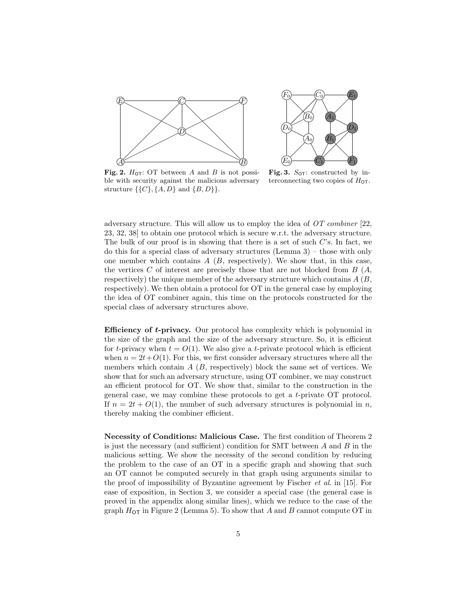



Fig. 2.  $H_{\text{OT}}$ : OT between A and B is not possible with security against the malicious adversary structure  $\{\{C\},\{A,D\} \text{ and } \{B,D\}\}.$ 

Fig. 3.  $S_{\text{OT}}$ : constructed by interconnecting two copies of  $H_{\text{OT}}$ .

adversary structure. This will allow us to employ the idea of  $OT$  combiner [22, 23, 32, 38] to obtain one protocol which is secure w.r.t. the adversary structure. The bulk of our proof is in showing that there is a set of such  $C$ 's. In fact, we do this for a special class of adversary structures (Lemma 3) – those with only one member which contains  $A(B,$  respectively). We show that, in this case, the vertices C of interest are precisely those that are not blocked from  $B(A, \mathcal{L})$ respectively) the unique member of the adversary structure which contains  $A(B,$ respectively). We then obtain a protocol for OT in the general case by employing the idea of OT combiner again, this time on the protocols constructed for the special class of adversary structures above.

Efficiency of t-privacy. Our protocol has complexity which is polynomial in the size of the graph and the size of the adversary structure. So, it is efficient for t-privacy when  $t = O(1)$ . We also give a t-private protocol which is efficient when  $n = 2t+O(1)$ . For this, we first consider adversary structures where all the members which contain  $A(B)$ , respectively) block the same set of vertices. We show that for such an adversary structure, using OT combiner, we may construct an efficient protocol for OT. We show that, similar to the construction in the general case, we may combine these protocols to get a t-private OT protocol. If  $n = 2t + O(1)$ , the number of such adversary structures is polynomial in n, thereby making the combiner efficient.

Necessity of Conditions: Malicious Case. The first condition of Theorem 2 is just the necessary (and sufficient) condition for SMT between  $A$  and  $B$  in the malicious setting. We show the necessity of the second condition by reducing the problem to the case of an OT in a specific graph and showing that such an OT cannot be computed securely in that graph using arguments similar to the proof of impossibility of Byzantine agreement by Fischer et al. in [15]. For ease of exposition, in Section 3, we consider a special case (the general case is proved in the appendix along similar lines), which we reduce to the case of the graph  $H_{\text{OT}}$  in Figure 2 (Lemma 5). To show that A and B cannot compute OT in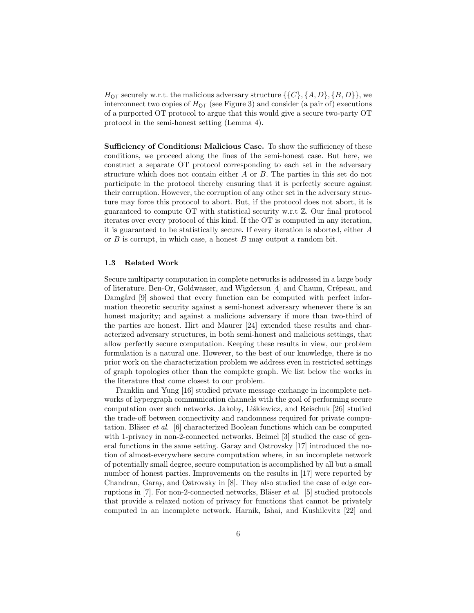$H_{\text{OT}}$  securely w.r.t. the malicious adversary structure  $\{\{C\}, \{A, D\}, \{B, D\}\}\$ , we interconnect two copies of  $H_{\text{OT}}$  (see Figure 3) and consider (a pair of) executions of a purported OT protocol to argue that this would give a secure two-party OT protocol in the semi-honest setting (Lemma 4).

Sufficiency of Conditions: Malicious Case. To show the sufficiency of these conditions, we proceed along the lines of the semi-honest case. But here, we construct a separate OT protocol corresponding to each set in the adversary structure which does not contain either A or B. The parties in this set do not participate in the protocol thereby ensuring that it is perfectly secure against their corruption. However, the corruption of any other set in the adversary structure may force this protocol to abort. But, if the protocol does not abort, it is guaranteed to compute OT with statistical security w.r.t Z. Our final protocol iterates over every protocol of this kind. If the OT is computed in any iteration, it is guaranteed to be statistically secure. If every iteration is aborted, either A or  $B$  is corrupt, in which case, a honest  $B$  may output a random bit.

#### 1.3 Related Work

Secure multiparty computation in complete networks is addressed in a large body of literature. Ben-Or, Goldwasser, and Wigderson [4] and Chaum, Crépeau, and Damgård [9] showed that every function can be computed with perfect information theoretic security against a semi-honest adversary whenever there is an honest majority; and against a malicious adversary if more than two-third of the parties are honest. Hirt and Maurer [24] extended these results and characterized adversary structures, in both semi-honest and malicious settings, that allow perfectly secure computation. Keeping these results in view, our problem formulation is a natural one. However, to the best of our knowledge, there is no prior work on the characterization problem we address even in restricted settings of graph topologies other than the complete graph. We list below the works in the literature that come closest to our problem.

Franklin and Yung [16] studied private message exchange in incomplete networks of hypergraph communication channels with the goal of performing secure computation over such networks. Jakoby, Liskiewicz, and Reischuk [26] studied the trade-off between connectivity and randomness required for private computation. Bläser *et al.* [6] characterized Boolean functions which can be computed with 1-privacy in non-2-connected networks. Beimel [3] studied the case of general functions in the same setting. Garay and Ostrovsky [17] introduced the notion of almost-everywhere secure computation where, in an incomplete network of potentially small degree, secure computation is accomplished by all but a small number of honest parties. Improvements on the results in [17] were reported by Chandran, Garay, and Ostrovsky in [8]. They also studied the case of edge corruptions in [7]. For non-2-connected networks, Bläser *et al.* [5] studied protocols that provide a relaxed notion of privacy for functions that cannot be privately computed in an incomplete network. Harnik, Ishai, and Kushilevitz [22] and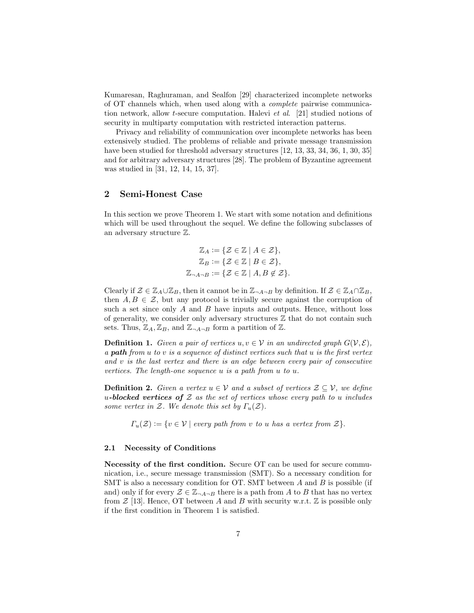Kumaresan, Raghuraman, and Sealfon [29] characterized incomplete networks of OT channels which, when used along with a complete pairwise communication network, allow t-secure computation. Halevi et al. [21] studied notions of security in multiparty computation with restricted interaction patterns.

Privacy and reliability of communication over incomplete networks has been extensively studied. The problems of reliable and private message transmission have been studied for threshold adversary structures [12, 13, 33, 34, 36, 1, 30, 35] and for arbitrary adversary structures [28]. The problem of Byzantine agreement was studied in [31, 12, 14, 15, 37].

#### 2 Semi-Honest Case

In this section we prove Theorem 1. We start with some notation and definitions which will be used throughout the sequel. We define the following subclasses of an adversary structure Z.

$$
\mathbb{Z}_A := \{ \mathcal{Z} \in \mathbb{Z} \mid A \in \mathcal{Z} \},
$$
  
\n
$$
\mathbb{Z}_B := \{ \mathcal{Z} \in \mathbb{Z} \mid B \in \mathcal{Z} \},
$$
  
\n
$$
\mathbb{Z}_{\neg A \neg B} := \{ \mathcal{Z} \in \mathbb{Z} \mid A, B \notin \mathcal{Z} \}.
$$

Clearly if  $\mathcal{Z} \in \mathbb{Z}_A \cup \mathbb{Z}_B$ , then it cannot be in  $\mathbb{Z}_{\neg A \neg B}$  by definition. If  $\mathcal{Z} \in \mathbb{Z}_A \cap \mathbb{Z}_B$ , then  $A, B \in \mathcal{Z}$ , but any protocol is trivially secure against the corruption of such a set since only  $A$  and  $B$  have inputs and outputs. Hence, without loss of generality, we consider only adversary structures  $Z$  that do not contain such sets. Thus,  $\mathbb{Z}_A, \mathbb{Z}_B$ , and  $\mathbb{Z}_{\neg A \neg B}$  form a partition of  $\mathbb{Z}$ .

**Definition 1.** Given a pair of vertices  $u, v \in V$  in an undirected graph  $G(V, \mathcal{E})$ , a **path** from  $u$  to  $v$  is a sequence of distinct vertices such that  $u$  is the first vertex and v is the last vertex and there is an edge between every pair of consecutive vertices. The length-one sequence u is a path from u to u.

**Definition 2.** Given a vertex  $u \in V$  and a subset of vertices  $\mathcal{Z} \subseteq V$ , we define u-blocked vertices of  $\mathcal Z$  as the set of vertices whose every path to u includes some vertex in  $\mathcal{Z}$ . We denote this set by  $\Gamma_u(\mathcal{Z})$ .

 $\Gamma_u(\mathcal{Z}) := \{v \in \mathcal{V} \mid \text{every path from } v \text{ to } u \text{ has a vertex from } \mathcal{Z}\}.$ 

#### 2.1 Necessity of Conditions

Necessity of the first condition. Secure OT can be used for secure communication, i.e., secure message transmission (SMT). So a necessary condition for SMT is also a necessary condition for OT. SMT between  $A$  and  $B$  is possible (if and) only if for every  $\mathcal{Z} \in \mathbb{Z}_{\neg A \neg B}$  there is a path from A to B that has no vertex from  $\mathcal{Z}$  [13]. Hence, OT between A and B with security w.r.t.  $\mathbb{Z}$  is possible only if the first condition in Theorem 1 is satisfied.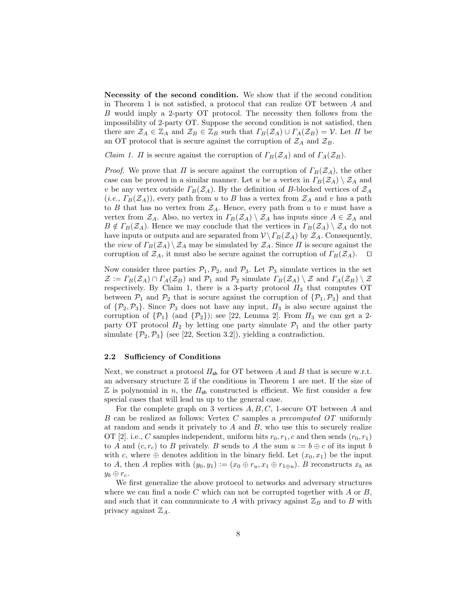Necessity of the second condition. We show that if the second condition in Theorem 1 is not satisfied, a protocol that can realize OT between A and B would imply a 2-party OT protocol. The necessity then follows from the impossibility of 2-party OT. Suppose the second condition is not satisfied, then there are  $\mathcal{Z}_A \in \mathbb{Z}_A$  and  $\mathcal{Z}_B \in \mathbb{Z}_B$  such that  $\Gamma_B(\mathcal{Z}_A) \cup \Gamma_A(\mathcal{Z}_B) = \mathcal{V}$ . Let  $\Pi$  be an OT protocol that is secure against the corruption of  $\mathcal{Z}_A$  and  $\mathcal{Z}_B$ .

*Claim 1. Π* is secure against the corruption of  $\Gamma_B(\mathcal{Z}_A)$  and of  $\Gamma_A(\mathcal{Z}_B)$ .

*Proof.* We prove that  $\Pi$  is secure against the corruption of  $\Gamma_B(\mathcal{Z}_A)$ , the other case can be proved in a similar manner. Let u be a vertex in  $\Gamma_B(\mathcal{Z}_A) \setminus \mathcal{Z}_A$  and v be any vertex outside  $\Gamma_B(\mathcal{Z}_A)$ . By the definition of B-blocked vertices of  $\mathcal{Z}_A$ (*i.e.*,  $\Gamma_B(\mathcal{Z}_A)$ ), every path from u to B has a vertex from  $\mathcal{Z}_A$  and v has a path to B that has no vertex from  $\mathcal{Z}_A$ . Hence, every path from u to v must have a vertex from  $\mathcal{Z}_A$ . Also, no vertex in  $\Gamma_B(\mathcal{Z}_A) \setminus \mathcal{Z}_A$  has inputs since  $A \in \mathcal{Z}_A$  and  $B \notin \Gamma_B(\mathcal{Z}_A)$ . Hence we may conclude that the vertices in  $\Gamma_B(\mathcal{Z}_A) \setminus \mathcal{Z}_A$  do not have inputs or outputs and are separated from  $\mathcal{V}\backslash T_B(\mathcal{Z}_A)$  by  $\mathcal{Z}_A$ . Consequently, the view of  $\Gamma_B(\mathcal{Z}_A)\setminus\mathcal{Z}_A$  may be simulated by  $\mathcal{Z}_A$ . Since  $\Pi$  is secure against the corruption of  $\mathcal{Z}_A$ , it must also be secure against the corruption of  $\Gamma_B(\mathcal{Z}_A)$ .  $\Box$ 

Now consider three parties  $P_1, P_2$ , and  $P_3$ . Let  $P_3$  simulate vertices in the set  $\mathcal{Z} := \Gamma_B(\mathcal{Z}_A) \cap \Gamma_A(\mathcal{Z}_B)$  and  $\mathcal{P}_1$  and  $\mathcal{P}_2$  simulate  $\Gamma_B(\mathcal{Z}_A) \setminus \mathcal{Z}$  and  $\Gamma_A(\mathcal{Z}_B) \setminus \mathcal{Z}$ respectively. By Claim 1, there is a 3-party protocol  $\Pi_3$  that computes OT between  $\mathcal{P}_1$  and  $\mathcal{P}_2$  that is secure against the corruption of  $\{\mathcal{P}_1,\mathcal{P}_3\}$  and that of  $\{\mathcal{P}_2,\mathcal{P}_3\}$ . Since  $\mathcal{P}_3$  does not have any input,  $\Pi_3$  is also secure against the corruption of  $\{\mathcal{P}_1\}$  (and  $\{\mathcal{P}_2\}$ ); see [22, Lemma 2]. From  $\Pi_3$  we can get a 2party OT protocol  $\Pi_2$  by letting one party simulate  $\mathcal{P}_1$  and the other party simulate  $\{\mathcal{P}_2, \mathcal{P}_3\}$  (see [22, Section 3.2]), yielding a contradiction.

#### 2.2 Sufficiency of Conditions

Next, we construct a protocol  $\Pi_{\sf sh}$  for OT between A and B that is secure w.r.t. an adversary structure  $\mathbb Z$  if the conditions in Theorem 1 are met. If the size of  $\mathbb Z$  is polynomial in n, the  $\Pi_{\mathsf{sh}}$  constructed is efficient. We first consider a few special cases that will lead us up to the general case.

For the complete graph on 3 vertices  $A, B, C$ , 1-secure OT between A and B can be realized as follows: Vertex C samples a precomputed OT uniformly at random and sends it privately to  $A$  and  $B$ , who use this to securely realize OT [2]. i.e., C samples independent, uniform bits  $r_0, r_1, c$  and then sends  $(r_0, r_1)$ to A and  $(c, r_c)$  to B privately. B sends to A the sum  $u := b \oplus c$  of its input b with c, where  $\oplus$  denotes addition in the binary field. Let  $(x_0, x_1)$  be the input to A, then A replies with  $(y_0, y_1) := (x_0 \oplus r_u, x_1 \oplus r_{1 \oplus u})$ . B reconstructs  $x_b$  as  $y_b \oplus r_c$ .

We first generalize the above protocol to networks and adversary structures where we can find a node C which can not be corrupted together with  $A$  or  $B$ , and such that it can communicate to A with privacy against  $\mathbb{Z}_B$  and to B with privacy against  $\mathbb{Z}_A$ .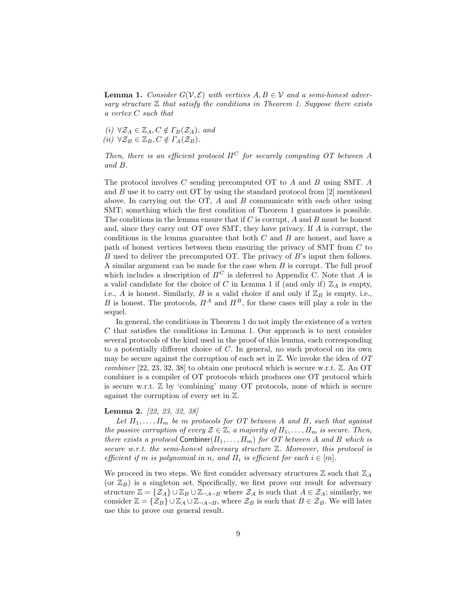**Lemma 1.** Consider  $G(V, \mathcal{E})$  with vertices  $A, B \in V$  and a semi-honest adversary structure  $\mathbb Z$  that satisfy the conditions in Theorem 1. Suppose there exists a vertex C such that

(i)  $\forall \mathcal{Z}_A \in \mathbb{Z}_A, C \notin \Gamma_B(\mathcal{Z}_A)$ , and (ii)  $\forall \mathcal{Z}_B \in \mathbb{Z}_B, C \notin \Gamma_A(\mathcal{Z}_B).$ 

Then, there is an efficient protocol  $\Pi^C$  for securely computing OT between A and B.

The protocol involves  $C$  sending precomputed OT to  $A$  and  $B$  using SMT.  $A$ and  $B$  use it to carry out OT by using the standard protocol from [2] mentioned above. In carrying out the OT,  $A$  and  $B$  communicate with each other using SMT; something which the first condition of Theorem 1 guarantees is possible. The conditions in the lemma ensure that if  $C$  is corrupt,  $A$  and  $B$  must be honest and, since they carry out OT over SMT, they have privacy. If A is corrupt, the conditions in the lemma guarantee that both  $C$  and  $B$  are honest, and have a path of honest vertices between them ensuring the privacy of SMT from C to B used to deliver the precomputed OT. The privacy of B's input then follows. A similar argument can be made for the case when B is corrupt. The full proof which includes a description of  $\Pi^C$  is deferred to Appendix C. Note that A is a valid candidate for the choice of C in Lemma 1 if (and only if)  $\mathbb{Z}_A$  is empty, i.e., A is honest. Similarly, B is a valid choice if and only if  $\mathbb{Z}_B$  is empty, i.e., B is honest. The protocols,  $\Pi^A$  and  $\Pi^B$ , for these cases will play a role in the sequel.

In general, the conditions in Theorem 1 do not imply the existence of a vertex C that satisfies the conditions in Lemma 1. Our approach is to next consider several protocols of the kind used in the proof of this lemma, each corresponding to a potentially different choice of C. In general, no such protocol on its own may be secure against the corruption of each set in  $\mathbb Z$ . We invoke the idea of  $OT$ *combiner* [22, 23, 32, 38] to obtain one protocol which is secure w.r.t.  $\mathbb{Z}$ . An OT combiner is a compiler of OT protocols which produces one OT protocol which is secure w.r.t.  $\mathbb{Z}$  by 'combining' many OT protocols, none of which is secure against the corruption of every set in Z.

#### Lemma 2. [22, 23, 32, 38]

Let  $\Pi_1, \ldots, \Pi_m$  be m protocols for OT between A and B, such that against the passive corruption of every  $\mathcal{Z} \in \mathbb{Z}$ , a majority of  $\Pi_1, \ldots, \Pi_m$  is secure. Then, there exists a protocol Combiner $(\Pi_1, \ldots, \Pi_m)$  for OT between A and B which is secure w.r.t. the semi-honest adversary structure  $\mathbb Z$ . Moreover, this protocol is efficient if m is polynomial in n, and  $\Pi_i$  is efficient for each  $i \in [m]$ .

We proceed in two steps. We first consider adversary structures  $\mathbb Z$  such that  $\mathbb Z_A$ (or  $\mathbb{Z}_B$ ) is a singleton set. Specifically, we first prove our result for adversary structure  $\mathbb{Z} = {\mathcal{Z}_A} \cup \mathbb{Z}_B \cup \mathbb{Z}_{\neg A \neg B}$  where  $\mathcal{Z}_A$  is such that  $A \in \mathcal{Z}_A$ ; similarly, we consider  $\mathbb{Z} = {\mathcal{Z}_B} \cup \mathbb{Z}_A \cup \mathbb{Z}_{\neg A \neg B}$ , where  $\mathcal{Z}_B$  is such that  $B \in \mathcal{Z}_B$ . We will later use this to prove our general result.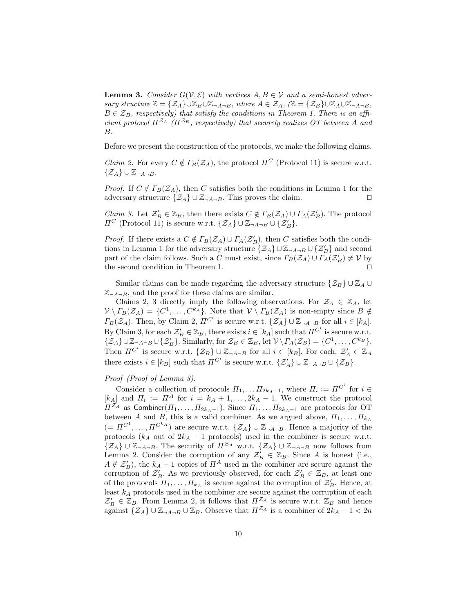**Lemma 3.** Consider  $G(V, \mathcal{E})$  with vertices  $A, B \in V$  and a semi-honest adversary structure  $\mathbb{Z} = {\mathcal{Z}_A} \cup \mathbb{Z}_B \cup \mathbb{Z}_{\neg A \neg B}$ , where  $A \in \mathcal{Z}_A$ ,  $(\mathbb{Z} = {\mathcal{Z}_B} \cup \mathbb{Z}_A \cup \mathbb{Z}_{\neg A \neg B}$ ,  $B \in \mathcal{Z}_B$ , respectively) that satisfy the conditions in Theorem 1. There is an efficient protocol  $\Pi^{Z_A}$  ( $\Pi^{Z_B}$ , respectively) that securely realizes OT between A and B.

Before we present the construction of the protocols, we make the following claims.

*Claim 2.* For every  $C \notin \Gamma_B(\mathcal{Z}_A)$ , the protocol  $\Pi^C$  (Protocol 11) is secure w.r.t.  $\{\mathcal{Z}_A\}\cup \mathbb{Z}_{\neg A\neg B}.$ 

*Proof.* If  $C \notin \Gamma_B(\mathcal{Z}_A)$ , then C satisfies both the conditions in Lemma 1 for the adversary structure  $\{Z_A\} \cup \mathbb{Z}_{\neg A \neg B}$ . This proves the claim.

*Claim 3.* Let  $\mathcal{Z}'_B \in \mathbb{Z}_B$ , then there exists  $C \notin \Gamma_B(\mathcal{Z}_A) \cup \Gamma_A(\mathcal{Z}'_B)$ . The protocol  $\Pi^C$  (Protocol 11) is secure w.r.t.  $\{\mathcal{Z}_A\}\cup \mathbb{Z}_{\neg A \neg B} \cup \{\mathcal{Z}'_B\}.$ 

*Proof.* If there exists a  $C \notin \Gamma_B(\mathcal{Z}_A) \cup \Gamma_A(\mathcal{Z}'_B)$ , then C satisfies both the conditions in Lemma 1 for the adversary structure  $\{Z_A\} \cup \mathbb{Z}_{\neg A \neg B} \cup \{Z'_B\}$  and second part of the claim follows. Such a C must exist, since  $\Gamma_B(\mathcal{Z}_A) \cup \overline{\Gamma}_A(\mathcal{Z}'_B) \neq \mathcal{V}$  by the second condition in Theorem 1.  $\Box$ 

Similar claims can be made regarding the adversary structure  $\{\mathcal{Z}_B\}\cup \mathbb{Z}_A\cup$  $\mathbb{Z}_{\neg A \neg B}$ , and the proof for these claims are similar.

Claims 2, 3 directly imply the following observations. For  $\mathcal{Z}_A \in \mathbb{Z}_A$ , let  $V \setminus \Gamma_B(\mathcal{Z}_A) = \{C^1, \ldots, C^{k_A}\}.$  Note that  $V \setminus \Gamma_B(\mathcal{Z}_A)$  is non-empty since  $B \notin \mathcal{Z}_{\Delta}$  $\Gamma_B(\mathcal{Z}_A)$ . Then, by Claim 2,  $\Pi^{C^i}$  is secure w.r.t.  $\{\mathcal{Z}_A\}\cup \mathbb{Z}_{\neg A \neg B}$  for all  $i \in [k_A]$ . By Claim 3, for each  $\mathcal{Z}'_B \in \mathbb{Z}_B$ , there exists  $i \in [k_A]$  such that  $\Pi^{C^i}$  is secure w.r.t.  $\{\mathcal{Z}_A\}\cup \mathbb{Z}_{\neg A \neg B} \cup \{\mathcal{Z}'_B\}$ . Similarly, for  $\mathcal{Z}_B \in \mathbb{Z}_B$ , let  $\mathcal{V}\setminus \Gamma_A(\mathcal{Z}_B) = \{C^1,\ldots,C^{k_B}\}.$ Then  $\Pi^{C^i}$  is secure w.r.t.  $\{\mathcal{Z}_B\}\cup \mathbb{Z}_{\neg A \neg B}$  for all  $i \in [k_B]$ . For each,  $\mathcal{Z}'_A \in \mathbb{Z}_A$ there exists  $i \in [k_B]$  such that  $\Pi^{C^i}$  is secure w.r.t.  $\{\mathcal{Z}'_A\} \cup \mathbb{Z}_{\neg A \neg B} \cup \{\mathcal{Z}_B\}.$ 

#### Proof (Proof of Lemma 3).

Consider a collection of protocols  $\Pi_1, \ldots \Pi_{2k_A-1}$ , where  $\Pi_i := \Pi^{C^i}$  for  $i \in$ [ $k_A$ ] and  $\Pi_i := \Pi^A$  for  $i = k_A + 1, \ldots, 2k_A - 1$ . We construct the protocol  $\Pi^{Z_A}$  as Combiner $(\Pi_1, \ldots, \Pi_{2k_A-1})$ . Since  $\Pi_1, \ldots, \Pi_{2k_A-1}$  are protocols for OT between A and B, this is a valid combiner. As we argued above,  $\Pi_1, \ldots, \Pi_{k_A}$  $(= \Pi^{C^1}, \ldots, \Pi^{C^k A})$  are secure w.r.t.  $\{\mathcal{Z}_A\} \cup \mathbb{Z}_{\neg A \neg B}$ . Hence a majority of the protocols ( $k_A$  out of  $2k_A - 1$  protocols) used in the combiner is secure w.r.t.  $\{Z_A\} \cup \mathbb{Z}_{\neg A \neg B}$ . The security of  $\Pi^{Z_A}$  w.r.t.  $\{Z_A\} \cup \mathbb{Z}_{\neg A \neg B}$  now follows from Lemma 2. Consider the corruption of any  $\mathcal{Z}_B^i \in \mathbb{Z}_B$ . Since A is honest (i.e.,  $A \notin \mathcal{Z}'_B$ , the  $k_A - 1$  copies of  $\Pi^A$  used in the combiner are secure against the corruption of  $\mathcal{Z}'_B$ . As we previously observed, for each  $\mathcal{Z}'_B \in \mathbb{Z}_B$ , at least one of the protocols  $\Pi_1, \ldots, \Pi_{k_A}$  is secure against the corruption of  $\mathcal{Z}'_B$ . Hence, at least  $k_A$  protocols used in the combiner are secure against the corruption of each  $\mathcal{Z}'_B \in \mathbb{Z}_B$ . From Lemma 2, it follows that  $\Pi^{\mathcal{Z}_A}$  is secure w.r.t.  $\mathbb{Z}_B$  and hence against  $\{Z_A\} \cup \mathbb{Z}_{\neg A \neg B} \cup \mathbb{Z}_B$ . Observe that  $\Pi^{\mathcal{Z}_A}$  is a combiner of  $2k_A - 1 < 2n$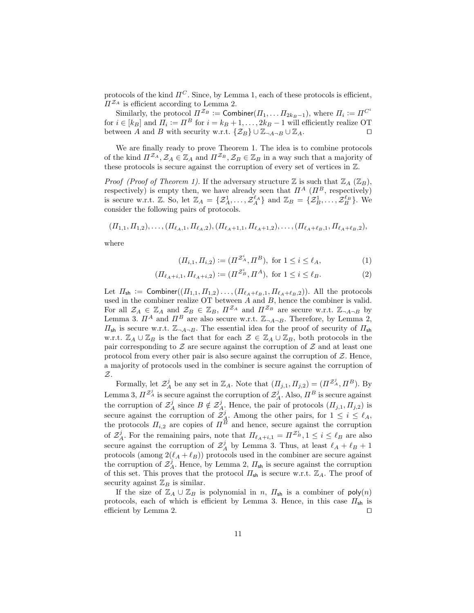protocols of the kind  $\Pi^C$ . Since, by Lemma 1, each of these protocols is efficient,  $\Pi^{\mathcal{Z}_A}$  is efficient according to Lemma 2.

Similarly, the protocol  $\Pi^{\mathcal{Z}_B} := \mathsf{Combiner}(H_1, \ldots H_{2k_B-1}),$  where  $\Pi_i := \Pi^{C^i}$ for  $i \in [k_B]$  and  $\Pi_i := \Pi^B$  for  $i = k_B + 1, \dots, 2k_B - 1$  will efficiently realize OT between A and B with security w.r.t.  $\{\mathcal{Z}_B\}\cup \mathbb{Z}_{\neg A\neg B}\cup \mathbb{Z}_A$ .

We are finally ready to prove Theorem 1. The idea is to combine protocols of the kind  $\Pi^{Z_A}, Z_A \in \mathbb{Z}_A$  and  $\Pi^{Z_B}, Z_B \in \mathbb{Z}_B$  in a way such that a majority of these protocols is secure against the corruption of every set of vertices in Z.

*Proof (Proof of Theorem 1).* If the adversary structure  $\mathbb Z$  is such that  $\mathbb Z_A$  ( $\mathbb Z_B$ ), respectively) is empty then, we have already seen that  $\Pi^A$  ( $\Pi^B$ , respectively) is secure w.r.t. Z. So, let  $\mathbb{Z}_A = \{ \mathcal{Z}_A^1, \ldots, \mathcal{Z}_A^{\ell_A} \}$  and  $\mathbb{Z}_B = \{ \mathcal{Z}_B^1, \ldots, \mathcal{Z}_B^{\ell_B} \}$ . We consider the following pairs of protocols.

 $(\Pi_{1,1}, \Pi_{1,2}), \ldots, (\Pi_{\ell_A,1}, \Pi_{\ell_A,2}), (\Pi_{\ell_A+1,1}, \Pi_{\ell_A+1,2}), \ldots, (\Pi_{\ell_A+\ell_B,1}, \Pi_{\ell_A+\ell_B,2}),$ 

where

$$
(\Pi_{i,1}, \Pi_{i,2}) := (\Pi^{\mathcal{Z}_A^i}, \Pi^B), \text{ for } 1 \le i \le \ell_A,
$$
 (1)

$$
(\Pi_{\ell_A+i,1}, \Pi_{\ell_A+i,2}) := (\Pi^{\mathcal{Z}_B^i}, \Pi^A), \text{ for } 1 \le i \le \ell_B.
$$
 (2)

Let  $\Pi_{\mathsf{sh}} := \mathsf{Combiner}((\Pi_{1,1}, \Pi_{1,2}) \dots, (\Pi_{\ell_A+\ell_B,1}, \Pi_{\ell_A+\ell_B,2}))$ . All the protocols used in the combiner realize  $\overline{OT}$  between  $A$  and  $B$ , hence the combiner is valid. For all  $\mathcal{Z}_A \in \mathbb{Z}_A$  and  $\mathcal{Z}_B \in \mathbb{Z}_B$ ,  $\Pi^{\mathcal{Z}_A}$  and  $\Pi^{\mathcal{Z}_B}$  are secure w.r.t.  $\mathbb{Z}_{\neg A \neg B}$  by Lemma 3.  $\Pi^A$  and  $\Pi^B$  are also secure w.r.t.  $\mathbb{Z}_{\neg A \neg B}$ . Therefore, by Lemma 2,  $\Pi_{\mathsf{sh}}$  is secure w.r.t.  $\mathbb{Z}_{\neg A \neg B}$ . The essential idea for the proof of security of  $\Pi_{\mathsf{sh}}$ w.r.t.  $\mathbb{Z}_A \cup \mathbb{Z}_B$  is the fact that for each  $\mathcal{Z} \in \mathbb{Z}_A \cup \mathbb{Z}_B$ , both protocols in the pair corresponding to  $Z$  are secure against the corruption of  $Z$  and at least one protocol from every other pair is also secure against the corruption of  $Z$ . Hence, a majority of protocols used in the combiner is secure against the corruption of Z.

Formally, let  $\mathcal{Z}_A^j$  be any set in  $\mathbb{Z}_A$ . Note that  $(\Pi_{j,1}, \Pi_{j,2}) = (\Pi^{\mathcal{Z}_A^j}, \Pi^B)$ . By Lemma 3,  $\Pi^{\mathcal{Z}_{A}^{j}}$  is secure against the corruption of  $\mathcal{Z}_{A}^{j}$ . Also,  $\Pi^{B}$  is secure against the corruption of  $\mathcal{Z}_A^j$  since  $B \notin \mathcal{Z}_A^j$ . Hence, the pair of protocols  $(\Pi_{j,1}, \Pi_{j,2})$  is secure against the corruption of  $\mathcal{Z}_{\mathcal{A}}^j$ . Among the other pairs, for  $1 \leq i \leq \ell_A$ , the protocols  $\Pi_{i,2}$  are copies of  $\Pi^B$  and hence, secure against the corruption of  $\mathcal{Z}_{A}^{j}$ . For the remaining pairs, note that  $\Pi_{\ell_A+i,1} = \Pi^{\mathcal{Z}_{B}^{i}}$ ,  $1 \leq i \leq \ell_B$  are also secure against the corruption of  $\mathcal{Z}_A^j$  by Lemma 3. Thus, at least  $\ell_A + \ell_B + 1$ protocols (among  $2(\ell_A + \ell_B)$ ) protocols used in the combiner are secure against the corruption of  $\mathcal{Z}_{A}^{j}$ . Hence, by Lemma 2,  $\Pi_{\mathsf{sh}}$  is secure against the corruption of this set. This proves that the protocol  $\Pi_{\mathsf{sh}}$  is secure w.r.t.  $\mathbb{Z}_A$ . The proof of security against  $\mathbb{Z}_B$  is similar.

If the size of  $\mathbb{Z}_A \cup \mathbb{Z}_B$  is polynomial in n,  $\Pi_{\mathsf{sh}}$  is a combiner of  $\mathsf{poly}(n)$ protocols, each of which is efficient by Lemma 3. Hence, in this case  $\Pi_{\mathsf{sh}}$  is efficient by Lemma 2.  $\Box$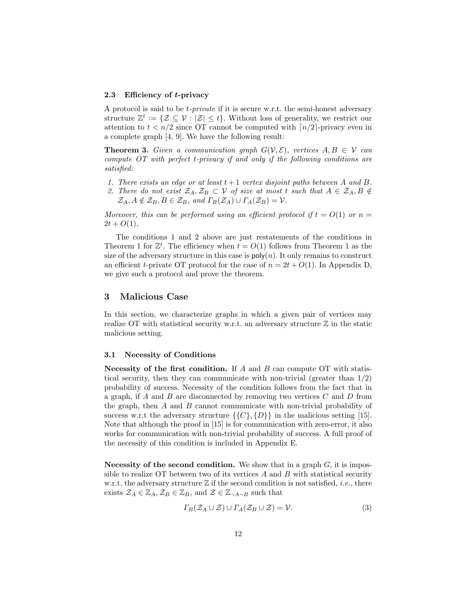#### 2.3 Efficiency of t-privacy

A protocol is said to be t-private if it is secure w.r.t. the semi-honest adversary structure  $\mathbb{Z}^t := \{ \mathcal{Z} \subseteq \mathcal{V} : |\mathcal{Z}| \leq t \}.$  Without loss of generality, we restrict our attention to  $t < n/2$  since OT cannot be computed with  $\lceil n/2 \rceil$ -privacy even in a complete graph [4, 9]. We have the following result:

**Theorem 3.** Given a communication graph  $G(V, \mathcal{E})$ , vertices  $A, B \in V$  can compute OT with perfect t-privacy if and only if the following conditions are satisfied:

- 1. There exists an edge or at least  $t + 1$  vertex disjoint paths between A and B.
- 2. There do not exist  $\mathcal{Z}_A, \mathcal{Z}_B \subset \mathcal{V}$  of size at most t such that  $A \in \mathcal{Z}_A, B \notin$  $\mathcal{Z}_A, A \notin \mathcal{Z}_B, B \in \mathcal{Z}_B$ , and  $\Gamma_B(\mathcal{Z}_A) \cup \Gamma_A(\mathcal{Z}_B) = \mathcal{V}$ .

Moreover, this can be performed using an efficient protocol if  $t = O(1)$  or  $n =$  $2t + O(1)$ .

The conditions 1 and 2 above are just restatements of the conditions in Theorem 1 for  $\mathbb{Z}^t$ . The efficiency when  $t = O(1)$  follows from Theorem 1 as the size of the adversary structure in this case is  $\mathsf{poly}(n)$ . It only remains to construct an efficient t-private OT protocol for the case of  $n = 2t + O(1)$ . In Appendix D, we give such a protocol and prove the theorem.

### 3 Malicious Case

In this section, we characterize graphs in which a given pair of vertices may realize OT with statistical security w.r.t. an adversary structure  $\mathbb Z$  in the static malicious setting.

#### 3.1 Necessity of Conditions

Necessity of the first condition. If  $A$  and  $B$  can compute OT with statistical security, then they can communicate with non-trivial (greater than 1/2) probability of success. Necessity of the condition follows from the fact that in a graph, if  $A$  and  $B$  are disconnected by removing two vertices  $C$  and  $D$  from the graph, then  $A$  and  $B$  cannot communicate with non-trivial probability of success w.r.t the adversary structure  $\{\{C\},\{D\}\}\$ in the malicious setting [15]. Note that although the proof in [15] is for communication with zero-error, it also works for communication with non-trivial probability of success. A full proof of the necessity of this condition is included in Appendix E.

Necessity of the second condition. We show that in a graph  $G$ , it is impossible to realize OT between two of its vertices  $A$  and  $B$  with statistical security w.r.t. the adversary structure  $\mathbb Z$  if the second condition is not satisfied, *i.e.*, there exists  $\mathcal{Z}_A \in \mathbb{Z}_A$ ,  $\mathcal{Z}_B \in \mathbb{Z}_B$ , and  $\mathcal{Z} \in \mathbb{Z}_{\neg A \neg B}$  such that

$$
\Gamma_B(\mathcal{Z}_A \cup \mathcal{Z}) \cup \Gamma_A(\mathcal{Z}_B \cup \mathcal{Z}) = \mathcal{V}.\tag{3}
$$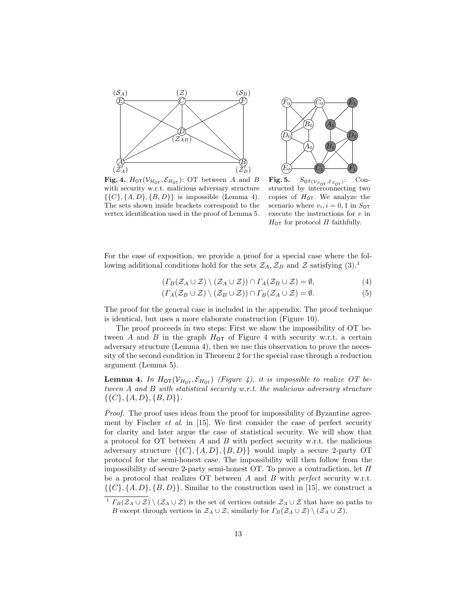



**Fig. 4.**  $H_{\text{OT}}(\mathcal{V}_{H_{\text{OT}}}, \mathcal{E}_{H_{\text{OT}}})$ : OT between A and B with security w.r.t. malicious adversary structure  $\{\{C\}, \{A, D\}, \{B, D\}\}\$ is impossible (Lemma 4). The sets shown inside brackets correspond to the vertex identification used in the proof of Lemma 5.

**Fig. 5.**  $S_{\text{OT}(V_{S_{\text{OT}}}, \mathcal{E}_{S_{\text{OT}}})}$ : Constructed by interconnecting two copies of  $H_{\text{OT}}$ . We analyze the scenario where  $v_i, i = 0, 1$  in  $S_{\text{OT}}$ execute the instructions for  $v$  in  $H_{\text{OT}}$  for protocol  $\Pi$  faithfully.

For the ease of exposition, we provide a proof for a special case where the following additional conditions hold for the sets  $\mathcal{Z}_A$ ,  $\mathcal{Z}_B$  and  $\mathcal Z$  satisfying  $(3).<sup>1</sup>$ 

$$
(T_B(\mathcal{Z}_A \cup \mathcal{Z}) \setminus (\mathcal{Z}_A \cup \mathcal{Z})) \cap T_A(\mathcal{Z}_B \cup \mathcal{Z}) = \emptyset,
$$
\n<sup>(4)</sup>

$$
(T_A(\mathcal{Z}_B \cup \mathcal{Z}) \setminus (\mathcal{Z}_B \cup \mathcal{Z})) \cap T_B(\mathcal{Z}_A \cup \mathcal{Z}) = \emptyset.
$$
 (5)

The proof for the general case is included in the appendix. The proof technique is identical, but uses a more elaborate construction (Figure 10).

The proof proceeds in two steps: First we show the impossibility of OT between A and B in the graph  $H_{\text{OT}}$  of Figure 4 with security w.r.t. a certain adversary structure (Lemma 4), then we use this observation to prove the necessity of the second condition in Theorem 2 for the special case through a reduction argument (Lemma 5).

**Lemma 4.** In  $H_{\text{OT}}(\mathcal{V}_{H_{\text{OT}}}, \mathcal{E}_{H_{\text{OT}}})$  (Figure 4), it is impossible to realize OT between A and B with statistical security w.r.t. the malicious adversary structure  $\{\{C\},\{A,D\},\{B,D\}\}.$ 

Proof. The proof uses ideas from the proof for impossibility of Byzantine agreement by Fischer *et al.* in  $[15]$ . We first consider the case of perfect security for clarity and later argue the case of statistical security. We will show that a protocol for OT between  $A$  and  $B$  with perfect security w.r.t. the malicious adversary structure  $\{\{C\}, \{A, D\}, \{B, D\}\}\$  would imply a secure 2-party OT protocol for the semi-honest case. The impossibility will then follow from the impossibility of secure 2-party semi-honest OT. To prove a contradiction, let  $\Pi$ be a protocol that realizes  $\overline{O}$  between A and B with perfect security w.r.t.  $\{\{C\}, \{A, D\}, \{B, D\}\}\$ . Similar to the construction used in [15], we construct a

<sup>&</sup>lt;sup>1</sup>  $\Gamma_B(\mathcal{Z}_A\cup\mathcal{Z})\setminus(\mathcal{Z}_A\cup\mathcal{Z})$  is the set of vertices outside  $\mathcal{Z}_A\cup\mathcal{Z}$  that have no paths to B except through vertices in  $\mathcal{Z}_A \cup \mathcal{Z}$ , similarly for  $\Gamma_B(\mathcal{Z}_A \cup \mathcal{Z}) \setminus (\mathcal{Z}_A \cup \mathcal{Z})$ .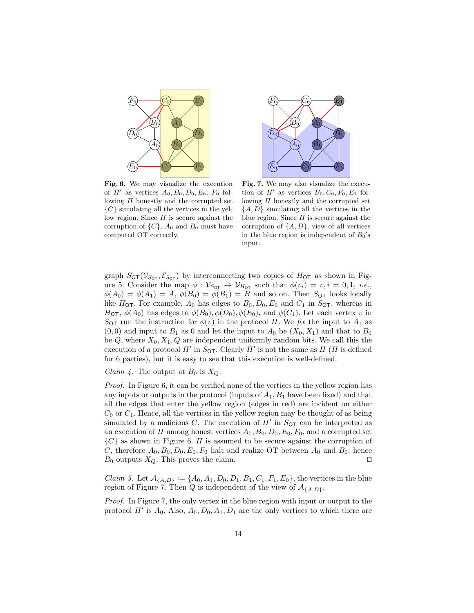

 $C_{0}$  $(B_0)$   $(A_1)$  $\,D_0$  $(F_0)$   $\hspace{1cm}$   $\hspace{1cm}$   $\hspace{1cm}$   $\hspace{1cm}$   $\hspace{1cm}$   $\hspace{1cm}$   $\hspace{1cm}$   $\hspace{1cm}$   $\hspace{1cm}$   $\hspace{1cm}$   $\hspace{1cm}$   $\hspace{1cm}$   $\hspace{1cm}$   $\hspace{1cm}$   $\hspace{1cm}$   $\hspace{1cm}$   $\hspace{1cm}$   $\hspace{1cm}$   $\hspace{1cm}$   $\hspace{1cm}$   $\hspace{1cm}$   $\hspace$  $\overline{C_1}$  $(A_0)$   $(B_1)$  $\left[ D_{1}\right]$  $(E_0)$   $\hspace{1cm}$   $\hspace{1cm}$   $\hspace{1cm}$   $\hspace{1cm}$   $\hspace{1cm}$   $\hspace{1cm}$   $\hspace{1cm}$   $\hspace{1cm}$   $\hspace{1cm}$   $\hspace{1cm}$   $\hspace{1cm}$   $\hspace{1cm}$   $\hspace{1cm}$   $\hspace{1cm}$   $\hspace{1cm}$   $\hspace{1cm}$   $\hspace{1cm}$   $\hspace{1cm}$   $\hspace{1cm}$   $\hspace{1cm}$   $\hspace{1cm}$   $\hspace$ 

Fig. 6. We may visualize the execution of  $\Pi'$  as vertices  $A_0, B_0, D_0, E_0, F_0$  following  $\Pi$  honestly and the corrupted set  $\{C\}$  simulating all the vertices in the yellow region. Since  $\Pi$  is secure against the corruption of  $\{C\}$ ,  $A_0$  and  $B_0$  must have computed OT correctly.

Fig. 7. We may also visualize the execution of  $\Pi'$  as vertices  $B_0, C_0, F_0, E_1$  following  $\Pi$  honestly and the corrupted set  $\{A, D\}$  simulating all the vertices in the blue region. Since  $\Pi$  is secure against the corruption of  $\{A, D\}$ , view of all vertices in the blue region is independent of  $B_0$ 's input.

graph  $S_{\text{OT}}(\mathcal{V}_{S_{\text{OT}}}, \mathcal{E}_{S_{\text{OT}}})$  by interconnecting two copies of  $H_{\text{OT}}$  as shown in Figure 5. Consider the map  $\phi : \mathcal{V}_{S_{\text{OT}}} \to \mathcal{V}_{H_{\text{OT}}}$  such that  $\phi(v_i) = v, i = 0, 1, i.e.,$  $\phi(A_0) = \phi(A_1) = A$ ,  $\phi(B_0) = \phi(B_1) = B$  and so on. Then  $S_{\text{OT}}$  looks locally like  $H_{\text{OT}}$ . For example,  $A_0$  has edges to  $B_0, D_0, E_0$  and  $C_1$  in  $S_{\text{OT}}$ , whereas in  $H_{\text{OT}}, \phi(A_0)$  has edges to  $\phi(B_0), \phi(D_0), \phi(E_0)$ , and  $\phi(C_1)$ . Let each vertex v in S<sub>OT</sub> run the instruction for  $\phi(v)$  in the protocol  $\Pi$ . We fix the input to  $A_1$  as  $(0, 0)$  and input to  $B_1$  as 0 and let the input to  $A_0$  be  $(X_0, X_1)$  and that to  $B_0$ be  $Q$ , where  $X_0, X_1, Q$  are independent uniformly random bits. We call this the execution of a protocol  $\Pi'$  in  $S_{\text{OT}}$ . Clearly  $\Pi'$  is not the same as  $\Pi$  ( $\Pi$  is defined for 6 parties), but it is easy to see that this execution is well-defined.

*Claim 4.* The output at  $B_0$  is  $X_Q$ .

Proof. In Figure 6, it can be verified none of the vertices in the yellow region has any inputs or outputs in the protocol (inputs of  $A_1, B_1$  have been fixed) and that all the edges that enter the yellow region (edges in red) are incident on either  $C_0$  or  $C_1$ . Hence, all the vertices in the yellow region may be thought of as being simulated by a malicious C. The execution of  $\Pi'$  in  $S_{\text{OT}}$  can be interpreted as an execution of  $\Pi$  among honest vertices  $A_0$ ,  $B_0$ ,  $D_0$ ,  $E_0$ ,  $F_0$ , and a corrupted set  ${C}$  as shown in Figure 6.  $\Pi$  is assumed to be secure against the corruption of C, therefore  $A_0, B_0, D_0, E_0, F_0$  halt and realize OT between  $A_0$  and  $B_0$ ; hence  $B_0$  outputs  $X_Q$ . This proves the claim.

*Claim 5.* Let  $A_{\{A,D\}} := \{A_0, A_1, D_0, D_1, B_1, C_1, F_1, E_0\}$ , the vertices in the blue region of Figure 7. Then Q is independent of the view of  $A_{\{A,D\}}$ .

Proof. In Figure 7, the only vertex in the blue region with input or output to the protocol  $\Pi'$  is  $A_0$ . Also,  $A_0$ ,  $D_0$ ,  $A_1$ ,  $D_1$  are the only vertices to which there are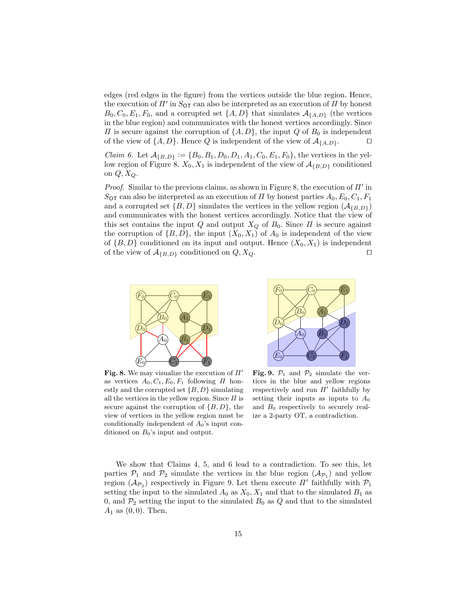edges (red edges in the figure) from the vertices outside the blue region. Hence, the execution of  $\Pi'$  in  $S_{\text{OT}}$  can also be interpreted as an execution of  $\Pi$  by honest  $B_0, C_0, E_1, F_0$ , and a corrupted set  $\{A, D\}$  that simulates  $\mathcal{A}_{\{A, D\}}$  (the vertices in the blue region) and communicates with the honest vertices accordingly. Since  $\Pi$  is secure against the corruption of  $\{A, D\}$ , the input Q of  $B_0$  is independent of the view of  $\{A, D\}$ . Hence Q is independent of the view of  $\mathcal{A}_{\{A, D\}}$ .

*Claim 6.* Let  $A_{\{B,D\}} := \{B_0, B_1, D_0, D_1, A_1, C_0, E_1, F_0\}$ , the vertices in the yellow region of Figure 8.  $X_0, X_1$  is independent of the view of  $A_{\{B,D\}}$  conditioned on  $Q, X_Q$ .

Proof. Similar to the previous claims, as shown in Figure 8, the execution of  $\Pi'$  in  $S_{\text{OT}}$  can also be interpreted as an execution of  $\Pi$  by honest parties  $A_0, E_0, C_1, F_1$ and a corrupted set  $\{B, D\}$  simulates the vertices in the yellow region  $(\mathcal{A}_{IB,DD})$ and communicates with the honest vertices accordingly. Notice that the view of this set contains the input Q and output  $X_Q$  of  $B_0$ . Since  $\Pi$  is secure against the corruption of  $\{B, D\}$ , the input  $(X_0, X_1)$  of  $A_0$  is independent of the view of  $\{B, D\}$  conditioned on its input and output. Hence  $(X_0, X_1)$  is independent of the view of  $\mathcal{A}_{\{B,D\}}$  conditioned on  $Q, X_Q$ .



 $C_{0}$  $\left(B_0\right)$   $\left(A_1\right)$  $\left[ D_{0}\right]$  $(F_0)$   $\hspace{1cm}$   $\hspace{1cm}$   $\hspace{1cm}$   $\hspace{1cm}$   $\hspace{1cm}$   $\hspace{1cm}$   $\hspace{1cm}$   $\hspace{1cm}$   $\hspace{1cm}$   $\hspace{1cm}$   $\hspace{1cm}$   $\hspace{1cm}$   $\hspace{1cm}$   $\hspace{1cm}$   $\hspace{1cm}$   $\hspace{1cm}$   $\hspace{1cm}$   $\hspace{1cm}$   $\hspace{1cm}$   $\hspace{1cm}$   $\hspace{1cm}$   $\hspace$  $\overline{C_1}$  $(A_0)$   $(B_1)$  $\left[ D_{1}\right]$  $(E_0)$   $\hspace{1cm}$   $\hspace{1cm}$   $\hspace{1cm}$   $\hspace{1cm}$   $\hspace{1cm}$   $\hspace{1cm}$   $\hspace{1cm}$   $\hspace{1cm}$   $\hspace{1cm}$   $\hspace{1cm}$   $\hspace{1cm}$   $\hspace{1cm}$   $\hspace{1cm}$   $\hspace{1cm}$   $\hspace{1cm}$   $\hspace{1cm}$   $\hspace{1cm}$   $\hspace{1cm}$   $\hspace{1cm}$   $\hspace{1cm}$   $\hspace{1cm}$   $\hspace$ 

Fig. 8. We may visualize the execution of  $\Pi'$ as vertices  $A_0, C_1, E_0, F_1$  following  $\Pi$  honestly and the corrupted set  $\{B, D\}$  simulating all the vertices in the yellow region. Since  $\Pi$  is secure against the corruption of  $\{B, D\}$ , the view of vertices in the yellow region must be conditionally independent of  $A_0$ 's input conditioned on  $B_0$ 's input and output.

Fig. 9.  $\mathcal{P}_1$  and  $\mathcal{P}_2$  simulate the vertices in the blue and yellow regions respectively and run  $\Pi'$  faithfully by setting their inputs as inputs to  $A_0$ and  $B_0$  respectively to securely realize a 2-party OT, a contradiction.

We show that Claims 4, 5, and 6 lead to a contradiction. To see this, let parties  $P_1$  and  $P_2$  simulate the vertices in the blue region  $(\mathcal{A}_{P_1})$  and yellow region  $(\mathcal{A}_{\mathcal{P}_2})$  respectively in Figure 9. Let them execute  $\Pi'$  faithfully with  $\mathcal{P}_1$ setting the input to the simulated  $A_0$  as  $X_0, X_1$  and that to the simulated  $B_1$  as 0, and  $\mathcal{P}_2$  setting the input to the simulated  $B_0$  as Q and that to the simulated  $A_1$  as  $(0, 0)$ . Then,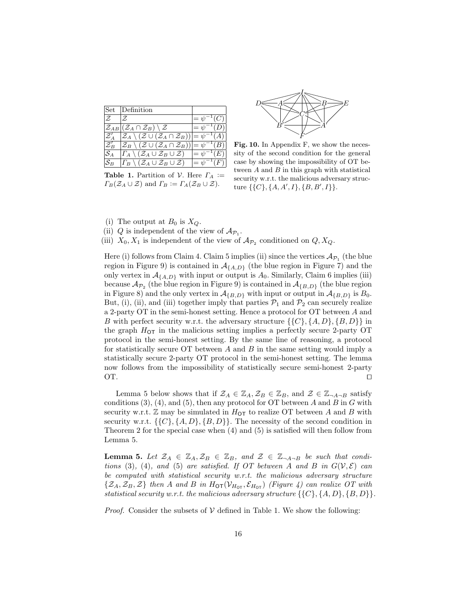| Set           | Definition                                                                                                  |                  |
|---------------|-------------------------------------------------------------------------------------------------------------|------------------|
| F.            | F.                                                                                                          | $=\psi^{-1}(C)$  |
|               | $\mathcal{Z}_{AB}   (\mathcal{Z}_A \cap \mathcal{Z}_B) \setminus \mathcal{Z}$                               | $=\psi^{-1}(D)$  |
|               | $ \mathcal{Z}_A \setminus (\mathcal{Z} \cup (\mathcal{Z}_A \cap \mathcal{Z}_B))  = \psi^{-1}(A)$            |                  |
| ${\cal Z}'_B$ | $ \mathcal{Z}_B \setminus (\mathcal{Z} \cup (\mathcal{Z}_A \cap \mathcal{Z}_B))  = \overline{\psi^{-1}(B)}$ |                  |
| $S_A$         | $ \Gamma_A \setminus (\mathcal{Z}_A \cup \mathcal{Z}_B \cup \mathcal{Z}) $                                  | $= \psi^{-1}(E)$ |
|               | $\varGamma_B\setminus(\mathcal{Z}_A\cup\mathcal{Z}_B\cup\mathcal{Z})$                                       | $= \psi^{-1}(F)$ |

**Table 1.** Partition of V. Here  $\Gamma_A :=$  $\Gamma_B(\mathcal{Z}_A \cup \mathcal{Z})$  and  $\Gamma_B := \Gamma_A(\mathcal{Z}_B \cup \mathcal{Z}).$ 



Fig. 10. In Appendix F, we show the necessity of the second condition for the general case by showing the impossibility of OT between  $A$  and  $B$  in this graph with statistical security w.r.t. the malicious adversary structure  $\{\{C\}, \{A, A', I\}, \{B, B', I\}\}.$ 

- (i) The output at  $B_0$  is  $X_{\mathcal{Q}}$ .
- (ii) Q is independent of the view of  $\mathcal{A}_{\mathcal{P}_1}$ .

(iii)  $X_0, X_1$  is independent of the view of  $\mathcal{A}_{\mathcal{P}_2}$  conditioned on  $Q, X_Q$ .

Here (i) follows from Claim 4. Claim 5 implies (ii) since the vertices  $\mathcal{A}_{\mathcal{P}_1}$  (the blue region in Figure 9) is contained in  $\mathcal{A}_{\{A,D\}}$  (the blue region in Figure 7) and the only vertex in  $\mathcal{A}_{\{A,D\}}$  with input or output is  $A_0$ . Similarly, Claim 6 implies (iii) because  $\mathcal{A}_{\mathcal{P}_2}$  (the blue region in Figure 9) is contained in  $\mathcal{A}_{\{B,D\}}$  (the blue region in Figure 8) and the only vertex in  $\mathcal{A}_{\{B,D\}}$  with input or output in  $\mathcal{A}_{\{B,D\}}$  is  $B_0$ . But, (i), (ii), and (iii) together imply that parties  $P_1$  and  $P_2$  can securely realize a 2-party OT in the semi-honest setting. Hence a protocol for OT between A and B with perfect security w.r.t. the adversary structure  $\{\{C\}, \{A, D\}, \{B, D\}\}\$ in the graph  $H_{\text{OT}}$  in the malicious setting implies a perfectly secure 2-party OT protocol in the semi-honest setting. By the same line of reasoning, a protocol for statistically secure OT between  $A$  and  $B$  in the same setting would imply a statistically secure 2-party OT protocol in the semi-honest setting. The lemma now follows from the impossibility of statistically secure semi-honest 2-party OT.  $\Box$ 

Lemma 5 below shows that if  $\mathcal{Z}_A \in \mathbb{Z}_A$ ,  $\mathcal{Z}_B \in \mathbb{Z}_B$ , and  $\mathcal{Z} \in \mathbb{Z}_{\neg A \neg B}$  satisfy conditions  $(3)$ ,  $(4)$ , and  $(5)$ , then any protocol for OT between A and B in G with security w.r.t.  $\mathbb Z$  may be simulated in  $H_{\text{OT}}$  to realize OT between A and B with security w.r.t.  $\{\{C\}, \{A, D\}, \{B, D\}\}.$  The necessity of the second condition in Theorem 2 for the special case when (4) and (5) is satisfied will then follow from Lemma 5.

**Lemma 5.** Let  $\mathcal{Z}_A \in \mathbb{Z}_A$ ,  $\mathcal{Z}_B \in \mathbb{Z}_B$ , and  $\mathcal{Z} \in \mathbb{Z}_{\neg A \neg B}$  be such that conditions (3), (4), and (5) are satisfied. If OT between A and B in  $G(V, \mathcal{E})$  can be computed with statistical security w.r.t. the malicious adversary structure  $\{\mathcal{Z}_A, \mathcal{Z}_B, \mathcal{Z}\}\$  then A and B in  $H_{\text{OT}}(\mathcal{V}_{H_{\text{OT}}}, \mathcal{E}_{H_{\text{OT}}})$  (Figure 4) can realize OT with statistical security w.r.t. the malicious adversary structure  $\{\{C\}, \{A, D\}, \{B, D\}\}.$ 

*Proof.* Consider the subsets of  $V$  defined in Table 1. We show the following: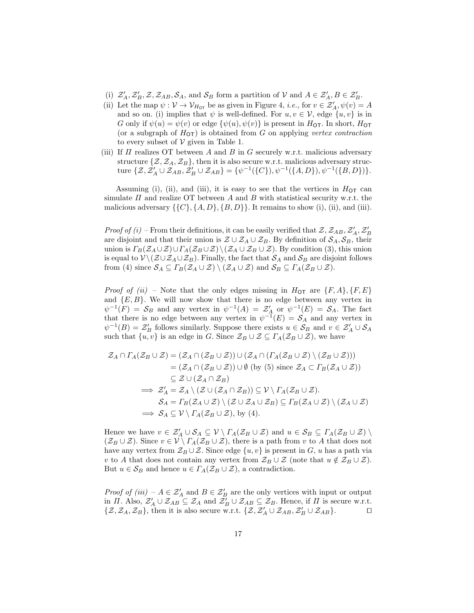- (i)  $\mathcal{Z}'_A, \mathcal{Z}'_B, \mathcal{Z}, \mathcal{Z}_{AB}, \mathcal{S}_A$ , and  $\mathcal{S}_B$  form a partition of  $\mathcal{V}$  and  $A \in \mathcal{Z}'_A, B \in \mathcal{Z}'_B$ .
- (ii) Let the map  $\psi : \mathcal{V} \to \mathcal{V}_{H_{\text{OT}}}$  be as given in Figure 4, *i.e.*, for  $v \in \mathcal{Z}'_A$ ,  $\psi(v) = A$ and so on. (i) implies that  $\psi$  is well-defined. For  $u, v \in \mathcal{V}$ , edge  $\{u, v\}$  is in G only if  $\psi(u) = \psi(v)$  or edge  $\{\psi(u), \psi(v)\}$  is present in  $H_{\text{OT}}$ . In short,  $H_{\text{OT}}$ (or a subgraph of  $H_{\text{OT}}$ ) is obtained from G on applying vertex contraction to every subset of  $V$  given in Table 1.
- (iii) If  $\Pi$  realizes OT between A and B in G securely w.r.t. malicious adversary structure  $\{\mathcal{Z}, \mathcal{Z}_A, \mathcal{Z}_B\}$ , then it is also secure w.r.t. malicious adversary structure  $\{\mathcal{Z}, \mathcal{Z}_A' \cup \mathcal{Z}_{AB}, \mathcal{Z}_B' \cup \mathcal{Z}_{AB}\} = \{\psi^{-1}(\{C\}), \psi^{-1}(\{A, D\}), \psi^{-1}(\{B, D\})\}.$

Assuming (i), (ii), and (iii), it is easy to see that the vertices in  $H_{\text{OT}}$  can simulate  $\Pi$  and realize OT between  $A$  and  $B$  with statistical security w.r.t. the malicious adversary  $\{\{C\}, \{A, D\}, \{B, D\}\}\.$  It remains to show (i), (ii), and (iii).

*Proof of (i)* – From their definitions, it can be easily verified that  $\mathcal{Z}, \mathcal{Z}_{AB}, \mathcal{Z}'_A, \mathcal{Z}'_B$ are disjoint and that their union is  $\mathcal{Z} \cup \mathcal{Z}_A \cup \mathcal{Z}_B$ . By definition of  $\mathcal{S}_A, \mathcal{S}_B$ , their union is  $\Gamma_B(\mathcal{Z}_A\cup\mathcal{Z})\cup\Gamma_A(\mathcal{Z}_B\cup\mathcal{Z})\setminus(\mathcal{Z}_A\cup\mathcal{Z}_B\cup\mathcal{Z})$ . By condition (3), this union is equal to  $\mathcal{V} \setminus (\mathcal{Z} \cup \mathcal{Z}_A \cup \mathcal{Z}_B)$ . Finally, the fact that  $\mathcal{S}_A$  and  $\mathcal{S}_B$  are disjoint follows from (4) since  $\mathcal{S}_A \subseteq \Gamma_B(\mathcal{Z}_A \cup \mathcal{Z}) \setminus (\mathcal{Z}_A \cup \mathcal{Z})$  and  $\mathcal{S}_B \subseteq \Gamma_A(\mathcal{Z}_B \cup \mathcal{Z})$ .

*Proof of (ii)* – Note that the only edges missing in  $H_{\text{OT}}$  are  $\{F, A\}, \{F, E\}$ and  $\{E, B\}$ . We will now show that there is no edge between any vertex in  $\psi^{-1}(F) = \mathcal{S}_B$  and any vertex in  $\psi^{-1}(A) = \mathcal{Z}'_A$  or  $\psi^{-1}(E) = \mathcal{S}_A$ . The fact that there is no edge between any vertex in  $\psi^{-1}(E) = \mathcal{S}_A$  and any vertex in  $\psi^{-1}(B) = \mathcal{Z}'_B$  follows similarly. Suppose there exists  $u \in \mathcal{S}_B$  and  $v \in \mathcal{Z}'_A \cup \mathcal{S}_A$ such that  $\{u, v\}$  is an edge in G. Since  $\mathcal{Z}_B \cup \mathcal{Z} \subseteq \Gamma_A(\mathcal{Z}_B \cup \mathcal{Z})$ , we have

$$
\mathcal{Z}_A \cap \Gamma_A(\mathcal{Z}_B \cup \mathcal{Z}) = (\mathcal{Z}_A \cap (\mathcal{Z}_B \cup \mathcal{Z})) \cup (\mathcal{Z}_A \cap (\Gamma_A(\mathcal{Z}_B \cup \mathcal{Z}) \setminus (\mathcal{Z}_B \cup \mathcal{Z})))
$$
  
\n
$$
= (\mathcal{Z}_A \cap (\mathcal{Z}_B \cup \mathcal{Z})) \cup \emptyset \text{ (by (5) since } \mathcal{Z}_A \subset \Gamma_B(\mathcal{Z}_A \cup \mathcal{Z}))
$$
  
\n
$$
\subseteq \mathcal{Z} \cup (\mathcal{Z}_A \cap \mathcal{Z}_B)
$$
  
\n
$$
\implies \mathcal{Z}'_A = \mathcal{Z}_A \setminus (\mathcal{Z} \cup (\mathcal{Z}_A \cap \mathcal{Z}_B)) \subseteq \mathcal{V} \setminus \Gamma_A(\mathcal{Z}_B \cup \mathcal{Z}).
$$
  
\n
$$
\mathcal{S}_A = \Gamma_B(\mathcal{Z}_A \cup \mathcal{Z}) \setminus (\mathcal{Z} \cup \mathcal{Z}_A \cup \mathcal{Z}_B) \subseteq \Gamma_B(\mathcal{Z}_A \cup \mathcal{Z}) \setminus (\mathcal{Z}_A \cup \mathcal{Z})
$$
  
\n
$$
\implies \mathcal{S}_A \subseteq \mathcal{V} \setminus \Gamma_A(\mathcal{Z}_B \cup \mathcal{Z}), \text{ by (4).}
$$

Hence we have  $v \in \mathcal{Z}_A' \cup \mathcal{S}_A \subseteq \mathcal{V} \setminus \Gamma_A(\mathcal{Z}_B \cup \mathcal{Z})$  and  $u \in \mathcal{S}_B \subseteq \Gamma_A(\mathcal{Z}_B \cup \mathcal{Z}) \setminus \mathcal{Z}$  $(\mathcal{Z}_B \cup \mathcal{Z})$ . Since  $v \in \mathcal{V} \setminus \Gamma_A(\mathcal{Z}_B \cup \mathcal{Z})$ , there is a path from v to A that does not have any vertex from  $\mathcal{Z}_B \cup \mathcal{Z}$ . Since edge  $\{u, v\}$  is present in G, u has a path via v to A that does not contain any vertex from  $\mathcal{Z}_B \cup \mathcal{Z}$  (note that  $u \notin \mathcal{Z}_B \cup \mathcal{Z}$ ). But  $u \in S_B$  and hence  $u \in \Gamma_A(\mathcal{Z}_B \cup \mathcal{Z})$ , a contradiction.

*Proof of (iii)*  $-A \in \mathcal{Z}_A'$  and  $B \in \mathcal{Z}_B'$  are the only vertices with input or output in  $\Pi$ . Also,  $\mathcal{Z}'_A \cup \mathcal{Z}_{AB} \subseteq \mathcal{Z}_A$  and  $\mathcal{Z}'_B \cup \mathcal{Z}_{AB} \subseteq \mathcal{Z}_B$ . Hence, if  $\Pi$  is secure w.r.t.  $\{\mathcal{Z}, \mathcal{Z}_A, \mathcal{Z}_B\}$ , then it is also secure w.r.t.  $\{\mathcal{Z}, \mathcal{Z}_A' \cup \mathcal{Z}_{AB}, \mathcal{Z}_B' \cup \mathcal{Z}_{AB}\}$ .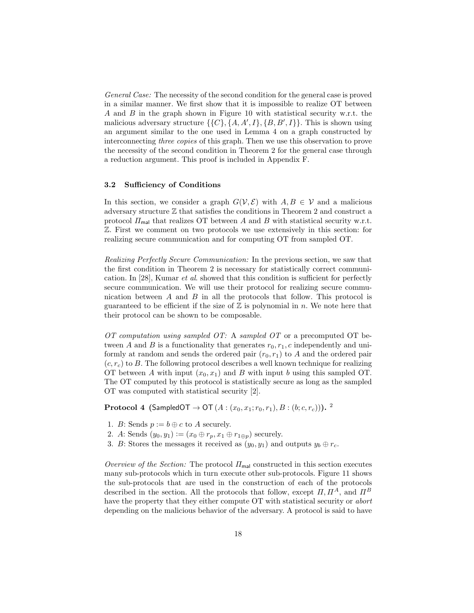General Case: The necessity of the second condition for the general case is proved in a similar manner. We first show that it is impossible to realize OT between A and B in the graph shown in Figure 10 with statistical security w.r.t. the malicious adversary structure  $\{\{C\}, \{A, A', I\}, \{B, B', I\}\}\.$  This is shown using an argument similar to the one used in Lemma 4 on a graph constructed by interconnecting three copies of this graph. Then we use this observation to prove the necessity of the second condition in Theorem 2 for the general case through a reduction argument. This proof is included in Appendix F.

### 3.2 Sufficiency of Conditions

In this section, we consider a graph  $G(V, \mathcal{E})$  with  $A, B \in V$  and a malicious adversary structure  $\mathbb Z$  that satisfies the conditions in Theorem 2 and construct a protocol  $\Pi_{\text{mal}}$  that realizes OT between A and B with statistical security w.r.t. Z. First we comment on two protocols we use extensively in this section: for realizing secure communication and for computing OT from sampled OT.

Realizing Perfectly Secure Communication: In the previous section, we saw that the first condition in Theorem 2 is necessary for statistically correct communication. In [28], Kumar et al. showed that this condition is sufficient for perfectly secure communication. We will use their protocol for realizing secure communication between  $A$  and  $B$  in all the protocols that follow. This protocol is guaranteed to be efficient if the size of  $\mathbb Z$  is polynomial in n. We note here that their protocol can be shown to be composable.

OT computation using sampled OT: A sampled OT or a precomputed OT between A and B is a functionality that generates  $r_0, r_1, c$  independently and uniformly at random and sends the ordered pair  $(r_0, r_1)$  to A and the ordered pair  $(c, r_c)$  to B. The following protocol describes a well known technique for realizing OT between A with input  $(x_0, x_1)$  and B with input b using this sampled OT. The OT computed by this protocol is statistically secure as long as the sampled OT was computed with statistical security [2].

**Protocol 4** (SampledOT → OT  $(A:(x_0, x_1; r_0, r_1), B:(b;c, r_c)))$ . <sup>2</sup>

- 1. B: Sends  $p := b \oplus c$  to A securely.
- 2. A: Sends  $(y_0, y_1) := (x_0 \oplus r_p, x_1 \oplus r_{1 \oplus p})$  securely.
- 3. B: Stores the messages it received as  $(y_0, y_1)$  and outputs  $y_b \oplus r_c$ .

Overview of the Section: The protocol  $\Pi_{\text{mal}}$  constructed in this section executes many sub-protocols which in turn execute other sub-protocols. Figure 11 shows the sub-protocols that are used in the construction of each of the protocols described in the section. All the protocols that follow, except  $\Pi, \Pi^A$ , and  $\Pi^B$ have the property that they either compute OT with statistical security or abort depending on the malicious behavior of the adversary. A protocol is said to have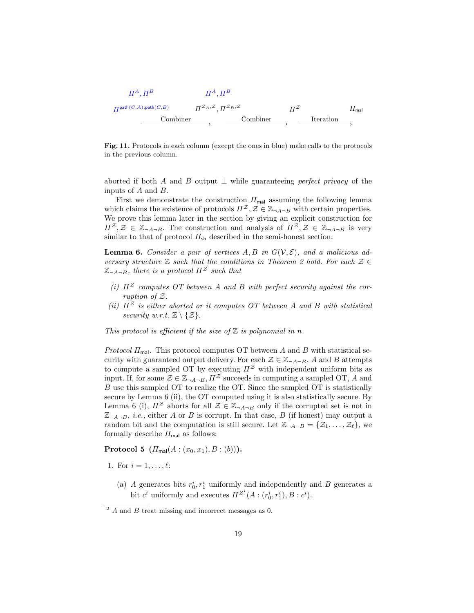$$
H^{A}, H^{B} \t H^{A}, H^{B}
$$
\n
$$
H^{path(C,A), path(C,B)} \t H^{Z_A,Z}, H^{Z_B,Z} \t H^{Z} \t H^{R}
$$
\nCombine

\nCombiner

\nCombiner

\nImal

Fig. 11. Protocols in each column (except the ones in blue) make calls to the protocols in the previous column.

aborted if both A and B output  $\perp$  while guaranteeing perfect privacy of the inputs of A and B.

First we demonstrate the construction  $\Pi_{\text{mal}}$  assuming the following lemma which claims the existence of protocols  $\Pi^{\mathcal{Z}}, \mathcal{Z} \in \mathbb{Z}_{\neg A \neg B}$  with certain properties. We prove this lemma later in the section by giving an explicit construction for  $\Pi^{\mathcal{Z}},\mathcal{Z}\in\mathbb{Z}_{\neg A\neg B}$ . The construction and analysis of  $\Pi^{\mathcal{Z}},\mathcal{Z}\in\mathbb{Z}_{\neg A\neg B}$  is very similar to that of protocol  $\Pi_{\mathsf{sh}}$  described in the semi-honest section.

**Lemma 6.** Consider a pair of vertices  $A, B$  in  $G(V, \mathcal{E})$ , and a malicious adversary structure  $\mathbb Z$  such that the conditions in Theorem 2 hold. For each  $\mathcal Z \in$  $\mathbb{Z}_{\neg A \neg B}$ , there is a protocol  $\Pi^{\mathcal{Z}}$  such that

- (i)  $\Pi^{\mathcal{Z}}$  computes OT between A and B with perfect security against the corruption of Z.
- (ii)  $\Pi^{\mathcal{Z}}$  is either aborted or it computes OT between A and B with statistical security w.r.t.  $\mathbb{Z} \setminus \{ \mathcal{Z} \}.$

This protocol is efficient if the size of  $\mathbb Z$  is polynomial in n.

*Protocol*  $\Pi_{\text{mal}}$ . This protocol computes OT between A and B with statistical security with guaranteed output delivery. For each  $\mathcal{Z} \in \mathbb{Z}_{\neg A \neg B}$ , A and B attempts to compute a sampled OT by executing  $\Pi^{\mathcal{Z}}$  with independent uniform bits as input. If, for some  $\mathcal{Z} \in \mathbb{Z}_{\neg A \neg B}$ ,  $\Pi^{\mathcal{Z}}$  succeeds in computing a sampled OT, A and B use this sampled OT to realize the OT. Since the sampled OT is statistically secure by Lemma 6 (ii), the OT computed using it is also statistically secure. By Lemma 6 (i),  $\Pi^{\mathcal{Z}}$  aborts for all  $\mathcal{Z} \in \mathbb{Z}_{\neg A \neg B}$  only if the corrupted set is not in  $\mathbb{Z}_{\neg A\neg B}$ , *i.e.*, either A or B is corrupt. In that case, B (if honest) may output a random bit and the computation is still secure. Let  $\mathbb{Z}_{\neg A \neg B} = \{Z_1, \ldots, Z_\ell\}$ , we formally describe  $\Pi_{\text{mal}}$  as follows:

**Protocol 5**  $(\Pi_{\text{mal}}(A:(x_0,x_1),B:(b))).$ 

- 1. For  $i = 1, ..., \ell$ :
	- (a) A generates bits  $r_0^i, r_1^i$  uniformly and independently and B generates a bit  $c^i$  uniformly and executes  $\Pi^{\mathcal{Z}^i}(A:(r_0^i,r_1^i),B:c^i)$ .

 $\overline{P}$  A and B treat missing and incorrect messages as 0.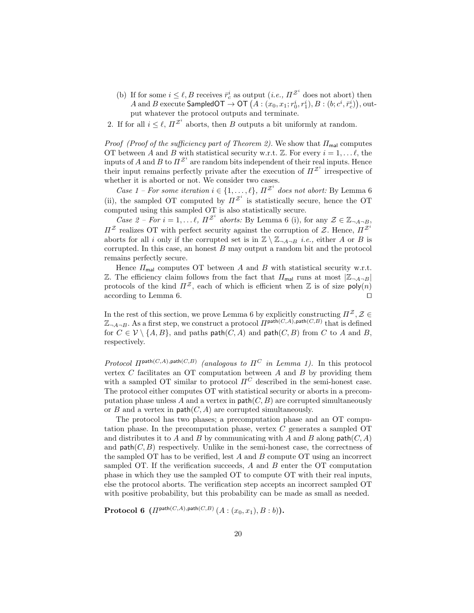- (b) If for some  $i \leq \ell, B$  receives  $\bar{r}_c^i$  as output  $(i.e., \Pi^{\mathcal{Z}^i}$  does not abort) then  $A$  and  $B$  execute  ${\sf SampledOT} \to {\sf OT}\left( A: (x_0, x_1; r_0^i, r_1^i), B: (b; c^i, \bar{r}_c^i) \right),$  output whatever the protocol outputs and terminate.
- 2. If for all  $i \leq \ell$ ,  $\Pi^{\mathcal{Z}^i}$  aborts, then B outputs a bit uniformly at random.

*Proof (Proof of the sufficiency part of Theorem 2).* We show that  $\Pi_{\text{mal}}$  computes OT between A and B with statistical security w.r.t.  $\mathbb{Z}$ . For every  $i = 1, \ldots \ell$ , the inputs of A and B to  $\Pi^{\mathcal{Z}^i}$  are random bits independent of their real inputs. Hence their input remains perfectly private after the execution of  $\Pi^{\mathcal{Z}^i}$  irrespective of whether it is aborted or not. We consider two cases.

Case 1 – For some iteration  $i \in \{1, \ldots, \ell\}$ ,  $\Pi^{\mathcal{Z}^i}$  does not abort: By Lemma 6 (ii), the sampled OT computed by  $\Pi^{\mathcal{Z}^i}$  is statistically secure, hence the OT computed using this sampled OT is also statistically secure.

Case 2 – For  $i = 1, \ldots \ell, \Pi^{\mathcal{Z}^i}$  aborts: By Lemma 6 (i), for any  $\mathcal{Z} \in \mathbb{Z}_{\neg A \neg B}$ ,  $\Pi^{\mathcal{Z}}$  realizes OT with perfect security against the corruption of  $\mathcal{Z}$ . Hence,  $\Pi^{\mathcal{Z}^i}$ aborts for all i only if the corrupted set is in  $\mathbb{Z} \setminus \mathbb{Z}_{\neg A \neg B}$  i.e., either A or B is corrupted. In this case, an honest  $B$  may output a random bit and the protocol remains perfectly secure.

Hence  $\Pi_{\text{mal}}$  computes OT between A and B with statistical security w.r.t. Z. The efficiency claim follows from the fact that  $\Pi_{\text{mal}}$  runs at most  $|\mathbb{Z}_{\neg A \neg B}|$ protocols of the kind  $\Pi^{\mathcal{Z}}$ , each of which is efficient when  $\mathbb Z$  is of size poly(n) according to Lemma 6.  $\Box$ 

In the rest of this section, we prove Lemma 6 by explicitly constructing  $\Pi^{\mathcal{Z}}, \mathcal{Z} \in$  $\mathbb{Z}_{\neg A \neg B}$ . As a first step, we construct a protocol  $\Pi^{\text{path}(C,A),\text{path}(C,B)}$  that is defined for  $C \in \mathcal{V} \setminus \{A, B\}$ , and paths path $(C, A)$  and path $(C, B)$  from C to A and B, respectively.

Protocol  $\Pi^{\textsf{path}(C,A),\textsf{path}(C,B)}$  (analogous to  $\Pi^C$  in Lemma 1). In this protocol vertex  $C$  facilitates an OT computation between  $A$  and  $B$  by providing them with a sampled OT similar to protocol  $\Pi^C$  described in the semi-honest case. The protocol either computes OT with statistical security or aborts in a precomputation phase unless A and a vertex in  $path(C, B)$  are corrupted simultaneously or  $B$  and a vertex in  $path(C, A)$  are corrupted simultaneously.

The protocol has two phases; a precomputation phase and an OT computation phase. In the precomputation phase, vertex C generates a sampled OT and distributes it to A and B by communicating with A and B along  $path(C, A)$ and  $path(C, B)$  respectively. Unlike in the semi-honest case, the correctness of the sampled OT has to be verified, lest  $A$  and  $B$  compute OT using an incorrect sampled OT. If the verification succeeds,  $A$  and  $B$  enter the OT computation phase in which they use the sampled OT to compute OT with their real inputs, else the protocol aborts. The verification step accepts an incorrect sampled OT with positive probability, but this probability can be made as small as needed.

 $\textbf{Protocol 6} \ \left( \varPi^{\textsf{path}(C,A),\textsf{path}(C,B)} \left( A : (x_0,x_1), B : b \right) \right) \text{.}$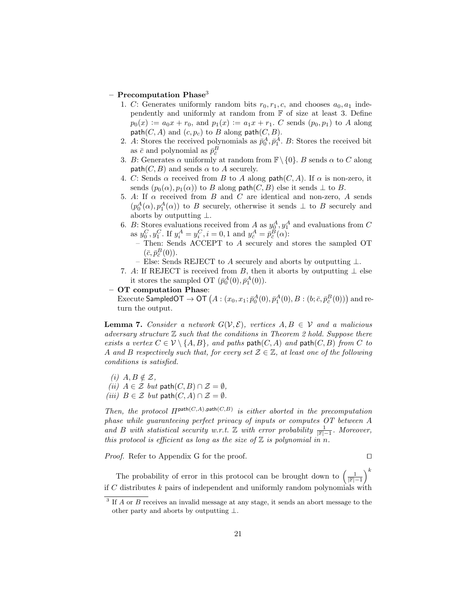#### $-$  Precomputation Phase<sup>3</sup>

- 1. C: Generates uniformly random bits  $r_0, r_1, c$ , and chooses  $a_0, a_1$  independently and uniformly at random from  $F$  of size at least 3. Define  $p_0(x) := a_0x + r_0$ , and  $p_1(x) := a_1x + r_1$ . C sends  $(p_0, p_1)$  to A along  $path(C, A)$  and  $(c, p_c)$  to B along  $path(C, B)$ .
- 2. A: Stores the received polynomials as  $\bar{p}_0^A, \bar{p}_1^A$ . B: Stores the received bit as  $\bar{c}$  and polynomial as  $\bar{p}_{\bar{c}}^{B}$
- 3. B: Generates  $\alpha$  uniformly at random from  $\mathbb{F}\setminus\{0\}$ . B sends  $\alpha$  to C along  $path(C, B)$  and sends  $\alpha$  to A securely.
- 4. C: Sends  $\alpha$  received from B to A along path(C, A). If  $\alpha$  is non-zero, it sends  $(p_0(\alpha), p_1(\alpha))$  to B along path $(C, B)$  else it sends  $\perp$  to B.
- 5. A: If  $\alpha$  received from B and C are identical and non-zero, A sends  $(p_0^A(\alpha), p_1^A(\alpha))$  to B securely, otherwise it sends  $\perp$  to B securely and aborts by outputting ⊥.
- 6. B: Stores evaluations received from A as  $y_0^A, y_1^A$  and evaluations from C as  $y_0^C, y_1^C$ . If  $y_i^A = y_i^C, i = 0, 1$  and  $y_{\bar{c}}^A = \bar{p}_{\bar{c}}^B(\alpha)$ :
	- Then: Sends ACCEPT to A securely and stores the sampled OT  $(\bar{c}, \bar{p}_{\bar{c}}^B(0)).$
	- Else: Sends REJECT to A securely and aborts by outputting  $\perp$ .
- 7. A: If REJECT is received from B, then it aborts by outputting  $\perp$  else it stores the sampled OT  $(\bar{p}_0^A(0), \bar{p}_1^A(0))$ .
- OT computation Phase:

Execute <code>SampledOT</code>  $\to$  <code>OT</code>  $\big(A:(x_0,x_1;\bar{p}_0^A(0),\bar{p}_1^A(0),B:(b;\bar{c},\bar{p}_{\bar{c}}^B(0))\big)$  and return the output.

**Lemma 7.** Consider a network  $G(V, \mathcal{E})$ , vertices  $A, B \in V$  and a malicious adversary structure  $\mathbb Z$  such that the conditions in Theorem 2 hold. Suppose there exists a vertex  $C \in \mathcal{V} \setminus \{A, B\}$ , and path(C, A) and path(C, B) from C to A and B respectively such that, for every set  $\mathcal{Z} \in \mathbb{Z}$ , at least one of the following conditions is satisfied.

- (i)  $A, B \notin \mathcal{Z}$ ,
- (ii)  $A \in \mathcal{Z}$  but path $(C, B) \cap \mathcal{Z} = \emptyset$ ,
- (iii)  $B \in \mathcal{Z}$  but path $(C, A) \cap \mathcal{Z} = \emptyset$ .

Then, the protocol  $\Pi^{\text{path}(C,A),\text{path}(C,B)}$  is either aborted in the precomputation phase while guaranteeing perfect privacy of inputs or computes OT between A and B with statistical security w.r.t.  $\mathbb Z$  with error probability  $\frac{1}{|\mathbb F|-1}$ . Moreover, this protocol is efficient as long as the size of  $\mathbb Z$  is polynomial in n.

*Proof.* Refer to Appendix G for the proof.  $\Box$ 

The probability of error in this protocol can be brought down to  $\left(\frac{1}{|\mathbb{F}|-1}\right)^k$ if C distributes  $k$  pairs of independent and uniformly random polynomials with

<sup>&</sup>lt;sup>3</sup> If A or B receives an invalid message at any stage, it sends an abort message to the other party and aborts by outputting ⊥.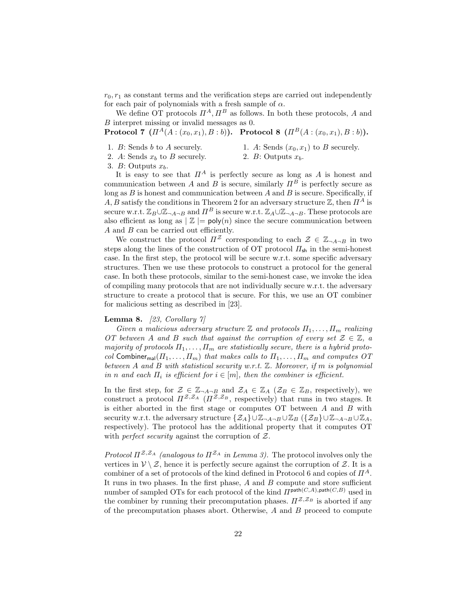$r_0, r_1$  as constant terms and the verification steps are carried out independently for each pair of polynomials with a fresh sample of  $\alpha$ .

We define OT protocols  $\Pi^A$ ,  $\Pi^B$  as follows. In both these protocols, A and B interpret missing or invalid messages as 0.

Protocol 7  $(\Pi^A(A:(x_0,x_1),B:b))$ . Protocol 8  $(\Pi^B(A:(x_0,x_1),B:b))$ .

- 1. B: Sends b to A securely.
- 1. A: Sends  $(x_0, x_1)$  to B securely.
- 2. A: Sends  $x_b$  to B securely.
- 2. B: Outputs  $x<sub>b</sub>$ .

3. B: Outputs  $x<sub>b</sub>$ .

It is easy to see that  $\Pi^A$  is perfectly secure as long as A is honest and communication between A and B is secure, similarly  $\Pi^B$  is perfectly secure as long as  $B$  is honest and communication between  $A$  and  $B$  is secure. Specifically, if A, B satisfy the conditions in Theorem 2 for an adversary structure  $\mathbb{Z}$ , then  $\Pi^A$  is secure w.r.t.  $\mathbb{Z}_B \cup \mathbb{Z}_{\neg A \neg B}$  and  $\Pi^B$  is secure w.r.t.  $\mathbb{Z}_A \cup \mathbb{Z}_{\neg A \neg B}$ . These protocols are also efficient as long as  $\mathbb{Z} = \text{poly}(n)$  since the secure communication between A and B can be carried out efficiently.

We construct the protocol  $\Pi^{\mathcal{Z}}$  corresponding to each  $\mathcal{Z} \in \mathbb{Z}_{\neg A \neg B}$  in two steps along the lines of the construction of OT protocol  $\Pi_{\rm sh}$  in the semi-honest case. In the first step, the protocol will be secure w.r.t. some specific adversary structures. Then we use these protocols to construct a protocol for the general case. In both these protocols, similar to the semi-honest case, we invoke the idea of compiling many protocols that are not individually secure w.r.t. the adversary structure to create a protocol that is secure. For this, we use an OT combiner for malicious setting as described in [23].

### **Lemma 8.** [23, Corollary  $7$ ]

Given a malicious adversary structure  $\mathbb Z$  and protocols  $\Pi_1, \ldots, \Pi_m$  realizing OT between A and B such that against the corruption of every set  $\mathcal{Z} \in \mathbb{Z}$ , a majority of protocols  $\Pi_1, \ldots, \Pi_m$  are statistically secure, there is a hybrid protocol Combiner<sub>mal</sub>( $\Pi_1, \ldots, \Pi_m$ ) that makes calls to  $\Pi_1, \ldots, \Pi_m$  and computes OT between A and B with statistical security w.r.t.  $\mathbb Z$ . Moreover, if m is polynomial in n and each  $\Pi_i$  is efficient for  $i \in [m]$ , then the combiner is efficient.

In the first step, for  $\mathcal{Z} \in \mathbb{Z}_{\neg A \neg B}$  and  $\mathcal{Z}_A \in \mathbb{Z}_A$  ( $\mathcal{Z}_B \in \mathbb{Z}_B$ , respectively), we construct a protocol  $\Pi^{\mathcal{Z},\mathcal{Z}_A}$  ( $\Pi^{\mathcal{Z},\mathcal{Z}_B}$ , respectively) that runs in two stages. It is either aborted in the first stage or computes OT between A and B with security w.r.t. the adversary structure  $\{Z_A\} \cup \mathbb{Z}_{\neg A \neg B} \cup \mathbb{Z}_{B}$   $(\{\mathcal{Z}_{B}\} \cup \mathbb{Z}_{\neg A \neg B} \cup \mathbb{Z}_{A},$ respectively). The protocol has the additional property that it computes OT with *perfect security* against the corruption of  $Z$ .

Protocol  $\Pi^{\mathcal{Z},\mathcal{Z}_A}$  (analogous to  $\Pi^{\mathcal{Z}_A}$  in Lemma 3). The protocol involves only the vertices in  $V \setminus Z$ , hence it is perfectly secure against the corruption of Z. It is a combiner of a set of protocols of the kind defined in Protocol 6 and copies of  $\Pi^A$ . It runs in two phases. In the first phase,  $A$  and  $B$  compute and store sufficient number of sampled OTs for each protocol of the kind  $\Pi^{\textsf{path}(C,A),\textsf{path}(C,B)}$  used in the combiner by running their precomputation phases.  $\Pi^{\mathcal{Z},\mathcal{Z}_B}$  is aborted if any of the precomputation phases abort. Otherwise,  $A$  and  $B$  proceed to compute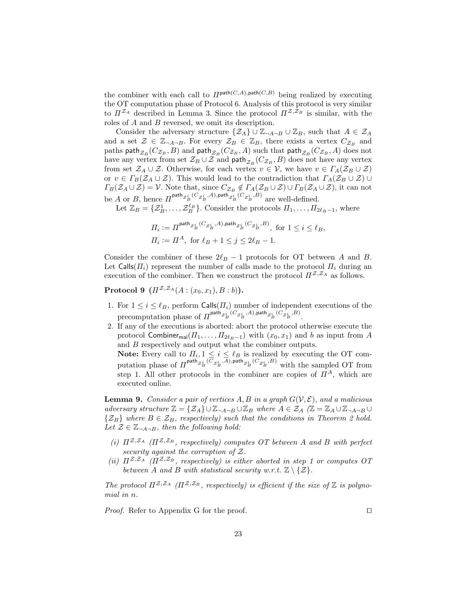the combiner with each call to  $\Pi^{\text{path}(C,A),\text{path}(C,B)}$  being realized by executing the OT computation phase of Protocol 6. Analysis of this protocol is very similar to  $\Pi^{\mathcal{Z}_A}$  described in Lemma 3. Since the protocol  $\Pi^{\mathcal{Z},\mathcal{Z}_B}$  is similar, with the roles of A and B reversed, we omit its description.

Consider the adversary structure  $\{\mathcal{Z}_A\}\cup \mathbb{Z}_{\neg A\neg B}\cup \mathbb{Z}_B$ , such that  $A \in \mathcal{Z}_A$ and a set  $\mathcal{Z} \in \mathbb{Z}_{\neg A \neg B}$ . For every  $\mathcal{Z}_B \in \mathbb{Z}_B$ , there exists a vertex  $C_{\mathcal{Z}_B}$  and paths  $\mathsf{path}_{\mathcal{Z}_B}(C_{\mathcal{Z}_B},B)$  and  $\mathsf{path}_{\mathcal{Z}_B}(C_{\mathcal{Z}_B},A)$  such that  $\mathsf{path}_{\mathcal{Z}_B}(C_{\mathcal{Z}_B},A)$  does not have any vertex from set  $\mathcal{Z}_B\cup\mathcal{Z}$  and  $\mathsf{path}_{\mathcal{Z}_B}(C_{\mathcal{Z}_B},B)$  does not have any vertex from set  $\mathcal{Z}_A \cup \mathcal{Z}$ . Otherwise, for each vertex  $v \in \mathcal{V}$ , we have  $v \in \Gamma_A(\mathcal{Z}_B \cup \mathcal{Z})$ or  $v \in \Gamma_B(\mathcal{Z}_A \cup \mathcal{Z})$ . This would lead to the contradiction that  $\Gamma_A(\mathcal{Z}_B \cup \mathcal{Z})$  $\Gamma_B(\mathcal{Z}_A \cup \mathcal{Z}) = \mathcal{V}$ . Note that, since  $C_{\mathcal{Z}_B} \notin \Gamma_A(\mathcal{Z}_B \cup \mathcal{Z}) \cup \Gamma_B(\mathcal{Z}_A \cup \mathcal{Z})$ , it can not be A or B, hence  $\Pi^{\text{path}} z_B^i{}^{(C_{\mathcal{Z}_B^i},A),\text{path}} z_B^i{}^{(C_{\mathcal{Z}_B^i},B)}$  are well-defined.

Let  $\mathbb{Z}_B = {\mathcal{Z}_B^1, \ldots, \mathcal{Z}_B^{\ell_B}}$ . Consider the protocols  $\Pi_1, \ldots, \Pi_{2\ell_B-1}$ , where

$$
\Pi_i := \Pi^{\text{path}} z_B^{i} \, (C_{z_B^i}, A), \text{path}_{z_B^i} \, (C_{z_B^i}, B),
$$
 for  $1 \le i \le \ell_B$ ,  

$$
\Pi_i := \Pi^A, \text{ for } \ell_B + 1 \le j \le 2\ell_B - 1.
$$

Consider the combiner of these  $2\ell_B - 1$  protocols for OT between A and B. Let Calls $(\Pi_i)$  represent the number of calls made to the protocol  $\Pi_i$  during an execution of the combiner. Then we construct the protocol  $\Pi^{\mathcal{Z},\mathcal{Z}_A}$  as follows.

**Protocol 9**  $(\Pi^{\mathcal{Z},\mathcal{Z}_A}(A:(x_0,x_1),B:b)).$ 

- 1. For  $1 \leq i \leq \ell_B$ , perform Calls $(H_i)$  number of independent executions of the precomputation phase of  $\Pi^{\text{path}_{\mathcal{Z}_B^i}(C_{\mathcal{Z}_B^i},A),\text{path}_{\mathcal{Z}_B^i}(C_{\mathcal{Z}_B^i},B)}$ .
- 2. If any of the executions is aborted: abort the protocol otherwise execute the protocol Combiner<sub>mal</sub> $(\Pi_1, \ldots, \Pi_{2\ell_B-1})$  with  $(x_0, x_1)$  and b as input from A and B respectively and output what the combiner outputs.

**Note:** Every call to  $\Pi_i, 1 \leq i \leq \ell_B$  is realized by executing the OT computation phase of  $\Pi^{\text{path}} z_{B}^{i}$ <sup>(C</sup> $z_{B}^{i}$ ,A), path $z_{B}^{i}$ <sup>(C</sup> $z_{B}^{i}$ ,B) with the sampled OT from step 1. All other protocols in the combiner are copies of  $\Pi^A$ , which are executed online.

**Lemma 9.** Consider a pair of vertices A, B in a graph  $G(V, \mathcal{E})$ , and a malicious adversary structure  $\mathbb{Z} = \{ \mathcal{Z}_A \} \cup \mathbb{Z}_{\neg A \neg B} \cup \mathbb{Z}_B$  where  $A \in \mathcal{Z}_A$  ( $\mathbb{Z} = \mathbb{Z}_A \cup \mathbb{Z}_{\neg A \neg B} \cup$  $\{\mathcal{Z}_B\}$  where  $B \in \mathcal{Z}_B$ , respectively) such that the conditions in Theorem 2 hold. Let  $\mathcal{Z} \in \mathbb{Z}_{\neg A \neg B}$ , then the following hold:

- (i)  $\Pi^{\mathcal{Z},\mathcal{Z}_A}$  ( $\Pi^{\mathcal{Z},\mathcal{Z}_B}$ , respectively) computes OT between A and B with perfect security against the corruption of  $Z$ .
- (ii)  $\Pi^{\mathcal{Z},\mathcal{Z}_A}$  ( $\Pi^{\mathcal{Z},\mathcal{Z}_B}$ , respectively) is either aborted in step 1 or computes OT between A and B with statistical security w.r.t.  $\mathbb{Z} \setminus \{ \mathcal{Z} \}.$

The protocol  $\Pi^{\mathcal{Z},\mathcal{Z}_A}$  ( $\Pi^{\mathcal{Z},\mathcal{Z}_B}$ , respectively) is efficient if the size of  $\mathbb Z$  is polynomial in n.

*Proof.* Refer to Appendix G for the proof.  $\Box$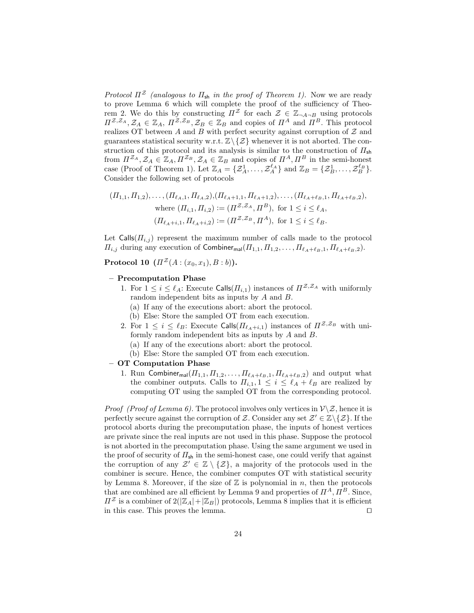Protocol  $\Pi^{\mathcal{Z}}$  (analogous to  $\Pi_{\mathsf{sh}}$  in the proof of Theorem 1). Now we are ready to prove Lemma 6 which will complete the proof of the sufficiency of Theorem 2. We do this by constructing  $\Pi^{\mathcal{Z}}$  for each  $\mathcal{Z} \in \mathbb{Z}_{\neg A \neg B}$  using protocols  $\Pi^{\mathcal{Z},\mathcal{Z}_A},\mathcal{Z}_A \in \mathbb{Z}_A, \Pi^{\mathcal{Z},\mathcal{Z}_B},\mathcal{Z}_B \in \mathbb{Z}_B$  and copies of  $\Pi^A$  and  $\Pi^B$ . This protocol realizes OT between A and B with perfect security against corruption of  $\mathcal Z$  and guarantees statistical security w.r.t.  $\mathbb{Z}\backslash \{\mathcal{Z}\}\$  whenever it is not aborted. The construction of this protocol and its analysis is similar to the construction of  $\Pi_{\rm sh}$ from  $\Pi^{\mathcal{Z}_A}, \mathcal{Z}_A \in \mathbb{Z}_A, \Pi^{\mathcal{Z}_B}, \mathcal{Z}_A \in \mathbb{Z}_B$  and copies of  $\Pi^A, \Pi^B$  in the semi-honest case (Proof of Theorem 1). Let  $\mathbb{Z}_A = \{ \mathcal{Z}_A^1, \ldots, \mathcal{Z}_A^{\ell_A} \}$  and  $\mathbb{Z}_B = \{ \mathcal{Z}_B^1, \ldots, \mathcal{Z}_B^{\ell_B} \}$ . Consider the following set of protocols

$$
(II_{1,1}, \Pi_{1,2}), \dots, (II_{\ell_A,1}, \Pi_{\ell_A,2}), (II_{\ell_A+1,1}, \Pi_{\ell_A+1,2}), \dots, (II_{\ell_A+\ell_B,1}, \Pi_{\ell_A+\ell_B,2}),
$$
  
where  $(\Pi_{i,1}, \Pi_{i,2}) := (\Pi^{\mathcal{Z},\mathcal{Z}_A}, \Pi^B)$ , for  $1 \le i \le \ell_A$ ,  
 $(\Pi_{\ell_A+i,1}, \Pi_{\ell_A+i,2}) := (\Pi^{\mathcal{Z},\mathcal{Z}_B}, \Pi^A)$ , for  $1 \le i \le \ell_B$ .

Let  $\text{Calls}(T_{i,j})$  represent the maximum number of calls made to the protocol  $\Pi_{i,j}$  during any execution of Combiner<sub>mal</sub> $(\Pi_{1,1}, \Pi_{1,2}, \ldots, \Pi_{\ell_A+\ell_B,1}, \Pi_{\ell_A+\ell_B,2}).$ 

**Protocol 10**  $(\Pi^{\mathcal{Z}}(A:(x_0,x_1), B:b))$ .

#### – Precomputation Phase

- 1. For  $1 \leq i \leq \ell_A$ : Execute Calls $(\Pi_{i,1})$  instances of  $\Pi^{\mathcal{Z},\mathcal{Z}_A}$  with uniformly random independent bits as inputs by A and B.
	- (a) If any of the executions abort: abort the protocol.
	- (b) Else: Store the sampled OT from each execution.
- 2. For  $1 \leq i \leq \ell_B$ : Execute Calls( $\Pi_{\ell_A+i,1}$ ) instances of  $\Pi^{\mathcal{Z},\mathcal{Z}_B}$  with uniformly random independent bits as inputs by A and B.
	- (a) If any of the executions abort: abort the protocol.
	- (b) Else: Store the sampled OT from each execution.

### – OT Computation Phase

1. Run Combiner<sub>mal</sub> $(\Pi_{1,1}, \Pi_{1,2}, \ldots, \Pi_{\ell_A+\ell_B,1}, \Pi_{\ell_A+\ell_B,2})$  and output what the combiner outputs. Calls to  $\Pi_{i,1}, 1 \leq i \leq \ell_A + \ell_B$  are realized by computing OT using the sampled OT from the corresponding protocol.

*Proof (Proof of Lemma 6)*. The protocol involves only vertices in  $\mathcal{V}\setminus\mathcal{Z}$ , hence it is perfectly secure against the corruption of Z. Consider any set  $\mathcal{Z}' \in \mathbb{Z} \backslash \{ \mathcal{Z} \}$ . If the protocol aborts during the precomputation phase, the inputs of honest vertices are private since the real inputs are not used in this phase. Suppose the protocol is not aborted in the precomputation phase. Using the same argument we used in the proof of security of  $\Pi_{\mathsf{sh}}$  in the semi-honest case, one could verify that against the corruption of any  $\mathcal{Z}' \in \mathbb{Z} \setminus \{\mathcal{Z}\}\)$ , a majority of the protocols used in the combiner is secure. Hence, the combiner computes OT with statistical security by Lemma 8. Moreover, if the size of  $\mathbb Z$  is polynomial in n, then the protocols that are combined are all efficient by Lemma 9 and properties of  $\Pi^A$ ,  $\Pi^B$ . Since,  $\Pi^{\mathcal{Z}}$  is a combiner of  $2(|\mathbb{Z}_A|+|\mathbb{Z}_B|)$  protocols, Lemma 8 implies that it is efficient in this case. This proves the lemma.  $\Box$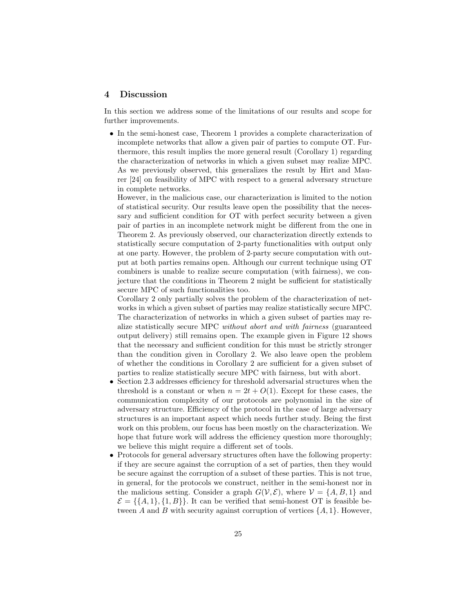### 4 Discussion

In this section we address some of the limitations of our results and scope for further improvements.

• In the semi-honest case, Theorem 1 provides a complete characterization of incomplete networks that allow a given pair of parties to compute OT. Furthermore, this result implies the more general result (Corollary 1) regarding the characterization of networks in which a given subset may realize MPC. As we previously observed, this generalizes the result by Hirt and Maurer [24] on feasibility of MPC with respect to a general adversary structure in complete networks.

However, in the malicious case, our characterization is limited to the notion of statistical security. Our results leave open the possibility that the necessary and sufficient condition for OT with perfect security between a given pair of parties in an incomplete network might be different from the one in Theorem 2. As previously observed, our characterization directly extends to statistically secure computation of 2-party functionalities with output only at one party. However, the problem of 2-party secure computation with output at both parties remains open. Although our current technique using OT combiners is unable to realize secure computation (with fairness), we conjecture that the conditions in Theorem 2 might be sufficient for statistically secure MPC of such functionalities too.

Corollary 2 only partially solves the problem of the characterization of networks in which a given subset of parties may realize statistically secure MPC. The characterization of networks in which a given subset of parties may realize statistically secure MPC without abort and with fairness (guaranteed output delivery) still remains open. The example given in Figure 12 shows that the necessary and sufficient condition for this must be strictly stronger than the condition given in Corollary 2. We also leave open the problem of whether the conditions in Corollary 2 are sufficient for a given subset of parties to realize statistically secure MPC with fairness, but with abort.

- Section 2.3 addresses efficiency for threshold adversarial structures when the threshold is a constant or when  $n = 2t + O(1)$ . Except for these cases, the communication complexity of our protocols are polynomial in the size of adversary structure. Efficiency of the protocol in the case of large adversary structures is an important aspect which needs further study. Being the first work on this problem, our focus has been mostly on the characterization. We hope that future work will address the efficiency question more thoroughly; we believe this might require a different set of tools.
- Protocols for general adversary structures often have the following property: if they are secure against the corruption of a set of parties, then they would be secure against the corruption of a subset of these parties. This is not true, in general, for the protocols we construct, neither in the semi-honest nor in the malicious setting. Consider a graph  $G(V,\mathcal{E})$ , where  $V = \{A, B, 1\}$  and  $\mathcal{E} = \{\{A, 1\}, \{1, B\}\}\.$  It can be verified that semi-honest OT is feasible between A and B with security against corruption of vertices  $\{A, 1\}$ . However,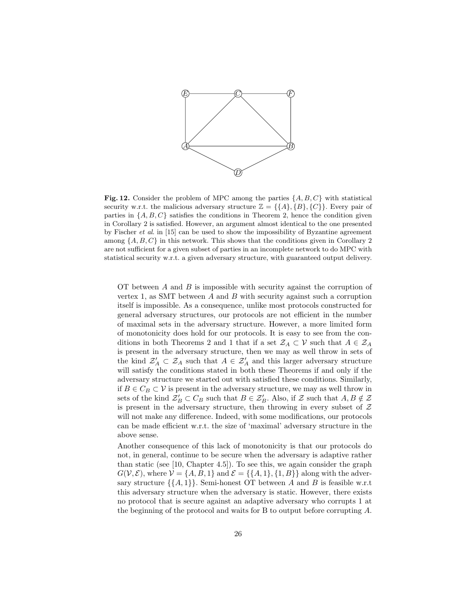

Fig. 12. Consider the problem of MPC among the parties  $\{A, B, C\}$  with statistical security w.r.t. the malicious adversary structure  $\mathbb{Z} = \{\{A\}, \{B\}, \{C\}\}\.$  Every pair of parties in  $\{A, B, C\}$  satisfies the conditions in Theorem 2, hence the condition given in Corollary 2 is satisfied. However, an argument almost identical to the one presented by Fischer *et al.* in [15] can be used to show the impossibility of Byzantine agreement among  $\{A, B, C\}$  in this network. This shows that the conditions given in Corollary 2 are not sufficient for a given subset of parties in an incomplete network to do MPC with statistical security w.r.t. a given adversary structure, with guaranteed output delivery.

OT between A and B is impossible with security against the corruption of vertex 1, as SMT between  $A$  and  $B$  with security against such a corruption itself is impossible. As a consequence, unlike most protocols constructed for general adversary structures, our protocols are not efficient in the number of maximal sets in the adversary structure. However, a more limited form of monotonicity does hold for our protocols. It is easy to see from the conditions in both Theorems 2 and 1 that if a set  $\mathcal{Z}_A \subset \mathcal{V}$  such that  $A \in \mathcal{Z}_A$ is present in the adversary structure, then we may as well throw in sets of the kind  $\mathcal{Z}'_A \subset \mathcal{Z}_A$  such that  $A \in \mathcal{Z}'_A$  and this larger adversary structure will satisfy the conditions stated in both these Theorems if and only if the adversary structure we started out with satisfied these conditions. Similarly, if  $B \in C_B \subset V$  is present in the adversary structure, we may as well throw in sets of the kind  $\mathcal{Z}'_B \subset C_B$  such that  $B \in \mathcal{Z}'_B$ . Also, if  $\mathcal Z$  such that  $A, B \notin \mathcal Z$ is present in the adversary structure, then throwing in every subset of  $Z$ will not make any difference. Indeed, with some modifications, our protocols can be made efficient w.r.t. the size of 'maximal' adversary structure in the above sense.

Another consequence of this lack of monotonicity is that our protocols do not, in general, continue to be secure when the adversary is adaptive rather than static (see [10, Chapter 4.5]). To see this, we again consider the graph  $G(V,\mathcal{E})$ , where  $\mathcal{V} = \{A, B, 1\}$  and  $\mathcal{E} = \{\{A, 1\}, \{1, B\}\}\$  along with the adversary structure  $\{\{A, 1\}\}\)$ . Semi-honest OT between A and B is feasible w.r.t this adversary structure when the adversary is static. However, there exists no protocol that is secure against an adaptive adversary who corrupts 1 at the beginning of the protocol and waits for B to output before corrupting A.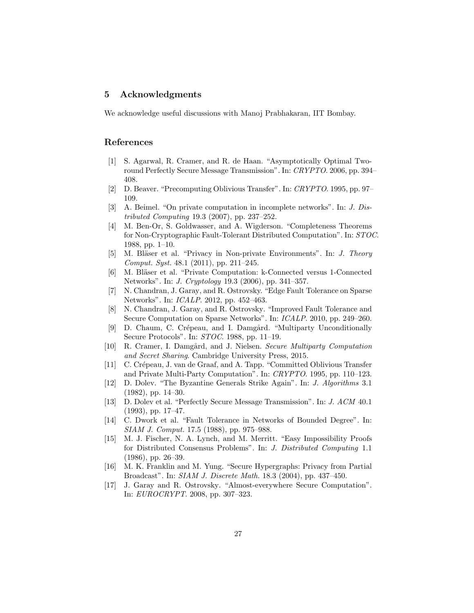### 5 Acknowledgments

We acknowledge useful discussions with Manoj Prabhakaran, IIT Bombay.

### References

- [1] S. Agarwal, R. Cramer, and R. de Haan. "Asymptotically Optimal Tworound Perfectly Secure Message Transmission". In: CRYPTO. 2006, pp. 394– 408.
- [2] D. Beaver. "Precomputing Oblivious Transfer". In: CRYPTO. 1995, pp. 97– 109.
- [3] A. Beimel. "On private computation in incomplete networks". In: J. Distributed Computing 19.3 (2007), pp. 237–252.
- [4] M. Ben-Or, S. Goldwasser, and A. Wigderson. "Completeness Theorems for Non-Cryptographic Fault-Tolerant Distributed Computation". In: STOC. 1988, pp. 1–10.
- [5] M. Bläser et al. "Privacy in Non-private Environments". In: *J. Theory* Comput. Syst. 48.1 (2011), pp. 211–245.
- [6] M. Bläser et al. "Private Computation: k-Connected versus 1-Connected Networks". In: J. Cryptology 19.3 (2006), pp. 341–357.
- [7] N. Chandran, J. Garay, and R. Ostrovsky. "Edge Fault Tolerance on Sparse Networks". In: ICALP. 2012, pp. 452–463.
- [8] N. Chandran, J. Garay, and R. Ostrovsky. "Improved Fault Tolerance and Secure Computation on Sparse Networks". In: ICALP. 2010, pp. 249–260.
- [9] D. Chaum, C. Crépeau, and I. Damgård. "Multiparty Unconditionally Secure Protocols". In: STOC. 1988, pp. 11–19.
- [10] R. Cramer, I. Damgård, and J. Nielsen. Secure Multiparty Computation and Secret Sharing. Cambridge University Press, 2015.
- [11] C. Crépeau, J. van de Graaf, and A. Tapp. "Committed Oblivious Transfer and Private Multi-Party Computation". In: CRYPTO. 1995, pp. 110–123.
- [12] D. Dolev. "The Byzantine Generals Strike Again". In: J. Algorithms 3.1 (1982), pp. 14–30.
- [13] D. Dolev et al. "Perfectly Secure Message Transmission". In: J. ACM 40.1 (1993), pp. 17–47.
- [14] C. Dwork et al. "Fault Tolerance in Networks of Bounded Degree". In: SIAM J. Comput. 17.5 (1988), pp. 975–988.
- [15] M. J. Fischer, N. A. Lynch, and M. Merritt. "Easy Impossibility Proofs for Distributed Consensus Problems". In: J. Distributed Computing 1.1 (1986), pp. 26–39.
- [16] M. K. Franklin and M. Yung. "Secure Hypergraphs: Privacy from Partial Broadcast". In: SIAM J. Discrete Math. 18.3 (2004), pp. 437–450.
- [17] J. Garay and R. Ostrovsky. "Almost-everywhere Secure Computation". In: EUROCRYPT. 2008, pp. 307–323.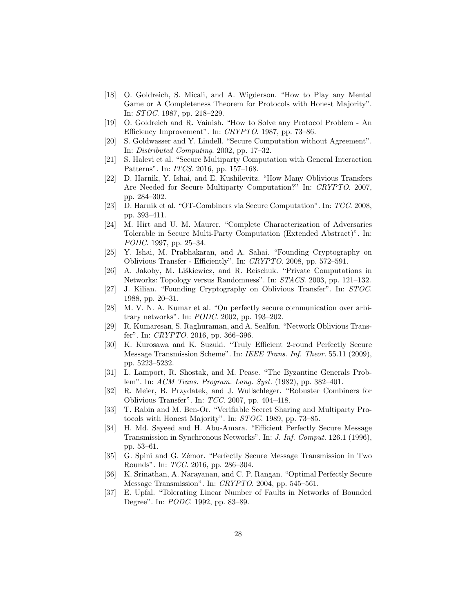- [18] O. Goldreich, S. Micali, and A. Wigderson. "How to Play any Mental Game or A Completeness Theorem for Protocols with Honest Majority". In: STOC. 1987, pp. 218–229.
- [19] O. Goldreich and R. Vainish. "How to Solve any Protocol Problem An Efficiency Improvement". In: CRYPTO. 1987, pp. 73–86.
- [20] S. Goldwasser and Y. Lindell. "Secure Computation without Agreement". In: Distributed Computing. 2002, pp. 17–32.
- [21] S. Halevi et al. "Secure Multiparty Computation with General Interaction Patterns". In: ITCS. 2016, pp. 157–168.
- [22] D. Harnik, Y. Ishai, and E. Kushilevitz. "How Many Oblivious Transfers Are Needed for Secure Multiparty Computation?" In: CRYPTO. 2007, pp. 284–302.
- [23] D. Harnik et al. "OT-Combiners via Secure Computation". In: TCC. 2008, pp. 393–411.
- [24] M. Hirt and U. M. Maurer. "Complete Characterization of Adversaries Tolerable in Secure Multi-Party Computation (Extended Abstract)". In: PODC. 1997, pp. 25–34.
- [25] Y. Ishai, M. Prabhakaran, and A. Sahai. "Founding Cryptography on Oblivious Transfer - Efficiently". In: CRYPTO. 2008, pp. 572–591.
- [26] A. Jakoby, M. Liśkiewicz, and R. Reischuk. "Private Computations in Networks: Topology versus Randomness". In: STACS. 2003, pp. 121–132.
- [27] J. Kilian. "Founding Cryptography on Oblivious Transfer". In: STOC. 1988, pp. 20–31.
- [28] M. V. N. A. Kumar et al. "On perfectly secure communication over arbitrary networks". In: PODC. 2002, pp. 193–202.
- [29] R. Kumaresan, S. Raghuraman, and A. Sealfon. "Network Oblivious Transfer". In: CRYPTO. 2016, pp. 366–396.
- [30] K. Kurosawa and K. Suzuki. "Truly Efficient 2-round Perfectly Secure Message Transmission Scheme". In: IEEE Trans. Inf. Theor. 55.11 (2009), pp. 5223–5232.
- [31] L. Lamport, R. Shostak, and M. Pease. "The Byzantine Generals Problem". In: ACM Trans. Program. Lang. Syst. (1982), pp. 382–401.
- [32] R. Meier, B. Przydatek, and J. Wullschleger. "Robuster Combiners for Oblivious Transfer". In: TCC. 2007, pp. 404–418.
- [33] T. Rabin and M. Ben-Or. "Verifiable Secret Sharing and Multiparty Protocols with Honest Majority". In: STOC. 1989, pp. 73–85.
- [34] H. Md. Sayeed and H. Abu-Amara. "Efficient Perfectly Secure Message Transmission in Synchronous Networks". In: J. Inf. Comput. 126.1 (1996), pp. 53–61.
- [35] G. Spini and G. Zémor. "Perfectly Secure Message Transmission in Two Rounds". In: TCC. 2016, pp. 286–304.
- [36] K. Srinathan, A. Narayanan, and C. P. Rangan. "Optimal Perfectly Secure Message Transmission". In: CRYPTO. 2004, pp. 545–561.
- [37] E. Upfal. "Tolerating Linear Number of Faults in Networks of Bounded Degree". In: PODC. 1992, pp. 83–89.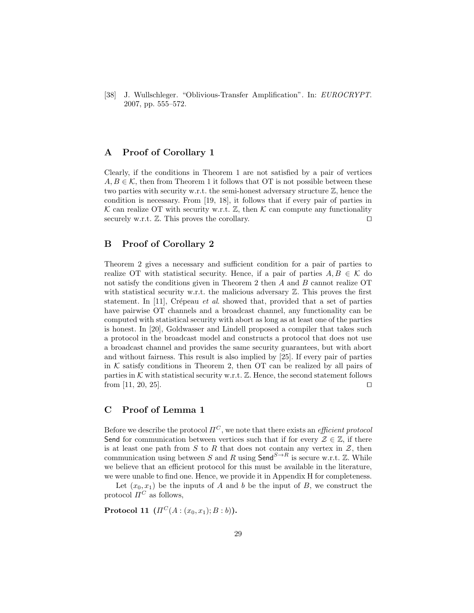[38] J. Wullschleger. "Oblivious-Transfer Amplification". In: EUROCRYPT. 2007, pp. 555–572.

### A Proof of Corollary 1

Clearly, if the conditions in Theorem 1 are not satisfied by a pair of vertices  $A, B \in \mathcal{K}$ , then from Theorem 1 it follows that OT is not possible between these two parties with security w.r.t. the semi-honest adversary structure Z, hence the condition is necessary. From [19, 18], it follows that if every pair of parties in K can realize OT with security w.r.t.  $\mathbb{Z}$ , then K can compute any functionality securely w.r.t.  $\mathbb{Z}$ . This proves the corollary.  $\square$ 

### B Proof of Corollary 2

Theorem 2 gives a necessary and sufficient condition for a pair of parties to realize OT with statistical security. Hence, if a pair of parties  $A, B \in \mathcal{K}$  do not satisfy the conditions given in Theorem 2 then A and B cannot realize OT with statistical security w.r.t. the malicious adversary  $\mathbb{Z}$ . This proves the first statement. In [11], Crépeau et al. showed that, provided that a set of parties have pairwise OT channels and a broadcast channel, any functionality can be computed with statistical security with abort as long as at least one of the parties is honest. In [20], Goldwasser and Lindell proposed a compiler that takes such a protocol in the broadcast model and constructs a protocol that does not use a broadcast channel and provides the same security guarantees, but with abort and without fairness. This result is also implied by [25]. If every pair of parties in  $K$  satisfy conditions in Theorem 2, then OT can be realized by all pairs of parties in K with statistical security w.r.t.  $\mathbb{Z}$ . Hence, the second statement follows from [11, 20, 25].

### C Proof of Lemma 1

Before we describe the protocol  $\Pi^C$ , we note that there exists an *efficient protocol* Send for communication between vertices such that if for every  $\mathcal{Z} \in \mathbb{Z}$ , if there is at least one path from  $S$  to  $R$  that does not contain any vertex in  $\mathcal{Z}$ , then communication using between S and R using  $\mathsf{Send}^{S\to R}$  is secure w.r.t. Z. While we believe that an efficient protocol for this must be available in the literature, we were unable to find one. Hence, we provide it in Appendix H for completeness.

Let  $(x_0, x_1)$  be the inputs of A and b be the input of B, we construct the protocol  $\Pi^C$  as follows,

**Protocol 11**  $(\Pi^C(A:(x_0,x_1);B:b)).$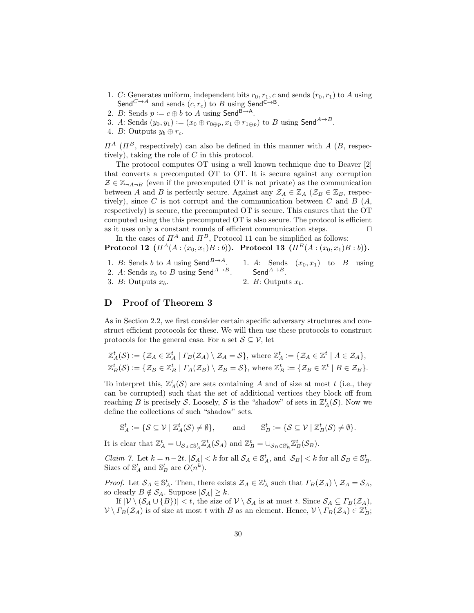- 1. C: Generates uniform, independent bits  $r_0, r_1, c$  and sends  $(r_0, r_1)$  to A using Send<sup>C→A</sup> and sends  $(c, r_c)$  to B using Send<sup>C→B</sup>.
- 2. B: Sends  $p := c \oplus b$  to A using Send<sup>B→A</sup>.
- 3. A: Sends  $(y_0, y_1) := (x_0 \oplus r_{0 \oplus p}, x_1 \oplus r_{1 \oplus p})$  to B using Send<sup>A→B</sup>.
- 4. *B*: Outputs  $y_b \oplus r_c$ .

 $\Pi^A$  ( $\Pi^B$ , respectively) can also be defined in this manner with A (B, respectively), taking the role of C in this protocol.

The protocol computes OT using a well known technique due to Beaver [2] that converts a precomputed OT to OT. It is secure against any corruption  $\mathcal{Z} \in \mathbb{Z}_{\neg A \neg B}$  (even if the precomputed OT is not private) as the communication between A and B is perfectly secure. Against any  $\mathcal{Z}_A \in \mathbb{Z}_A$  ( $\mathcal{Z}_B \in \mathbb{Z}_B$ , respectively), since C is not corrupt and the communication between C and B  $(A,$ respectively) is secure, the precomputed OT is secure. This ensures that the OT computed using the this precomputed OT is also secure. The protocol is efficient as it uses only a constant rounds of efficient communication steps.  $\Box$ 

In the cases of  $\Pi^A$  and  $\Pi^B$ , Protocol 11 can be simplified as follows: Protocol 12  $(\Pi^{A}(A:(x_0,x_1)B:b))$ . Protocol 13  $(\Pi^{B}(A:(x_0,x_1)B:b))$ .

1. B: Sends b to A using Send $^{B\rightarrow A}$ . 2. A: Sends  $x_b$  to B using Send<sup>A→B</sup>. 3. B: Outputs  $x_b$ . 1. A: Sends  $(x_0, x_1)$  to B using Send $^{A\rightarrow B}$ . 2. B: Outputs  $x_h$ .

### D Proof of Theorem 3

As in Section 2.2, we first consider certain specific adversary structures and construct efficient protocols for these. We will then use these protocols to construct protocols for the general case. For a set  $S \subseteq V$ , let

$$
\mathbb{Z}_A^t(\mathcal{S}) := \{ \mathcal{Z}_A \in \mathbb{Z}_A^t \mid \Gamma_B(\mathcal{Z}_A) \setminus \mathcal{Z}_A = \mathcal{S} \}, \text{ where } \mathbb{Z}_A^t := \{ \mathcal{Z}_A \in \mathbb{Z}^t \mid A \in \mathcal{Z}_A \},
$$
  

$$
\mathbb{Z}_B^t(\mathcal{S}) := \{ \mathcal{Z}_B \in \mathbb{Z}_B^t \mid \Gamma_A(\mathcal{Z}_B) \setminus \mathcal{Z}_B = \mathcal{S} \}, \text{ where } \mathbb{Z}_B^t := \{ \mathcal{Z}_B \in \mathbb{Z}^t \mid B \in \mathcal{Z}_B \}.
$$

To interpret this,  $\mathbb{Z}_A^t(\mathcal{S})$  are sets containing A and of size at most t (i.e., they can be corrupted) such that the set of additional vertices they block off from reaching B is precisely S. Loosely, S is the "shadow" of sets in  $\mathbb{Z}_A^t(\mathcal{S})$ . Now we define the collections of such "shadow" sets.

$$
\mathbb{S}_A^t := \{ \mathcal{S} \subseteq \mathcal{V} \mid \mathbb{Z}_A^t(\mathcal{S}) \neq \emptyset \}, \quad \text{and} \quad \mathbb{S}_B^t := \{ \mathcal{S} \subseteq \mathcal{V} \mid \mathbb{Z}_B^t(\mathcal{S}) \neq \emptyset \}.
$$

It is clear that  $\mathbb{Z}_A^t = \bigcup_{\mathcal{S}_A \in \mathbb{S}_A^t} \mathbb{Z}_A^t(\mathcal{S}_A)$  and  $\mathbb{Z}_B^t = \bigcup_{\mathcal{S}_B \in \mathbb{S}_B^t} \mathbb{Z}_B^t(\mathcal{S}_B)$ .

Claim 7. Let  $k = n-2t$ .  $|\mathcal{S}_A| < k$  for all  $\mathcal{S}_A \in \mathbb{S}_A^t$ , and  $|\mathcal{S}_B| < k$  for all  $\mathcal{S}_B \in \mathbb{S}_B^t$ . Sizes of  $\mathbb{S}_{A}^{t}$  and  $\mathbb{S}_{B}^{t}$  are  $O(n^{k})$ .

*Proof.* Let  $S_A \in \mathbb{S}_A^t$ . Then, there exists  $\mathcal{Z}_A \in \mathbb{Z}_A^t$  such that  $\Gamma_B(\mathcal{Z}_A) \setminus \mathcal{Z}_A = \mathcal{S}_A$ , so clearly  $B \notin \mathcal{S}_A$ . Suppose  $|\mathcal{S}_A| \geq k$ .

If  $|\mathcal{V} \setminus (\mathcal{S}_A \cup \{B\})| < t$ , the size of  $\mathcal{V} \setminus \mathcal{S}_A$  is at most t. Since  $\mathcal{S}_A \subseteq \Gamma_B(\mathcal{Z}_A)$ ,  $\mathcal{V} \setminus \Gamma_B(\mathcal{Z}_A)$  is of size at most t with B as an element. Hence,  $\mathcal{V} \setminus \Gamma_B(\mathcal{Z}_A) \in \mathbb{Z}_B^t$ ;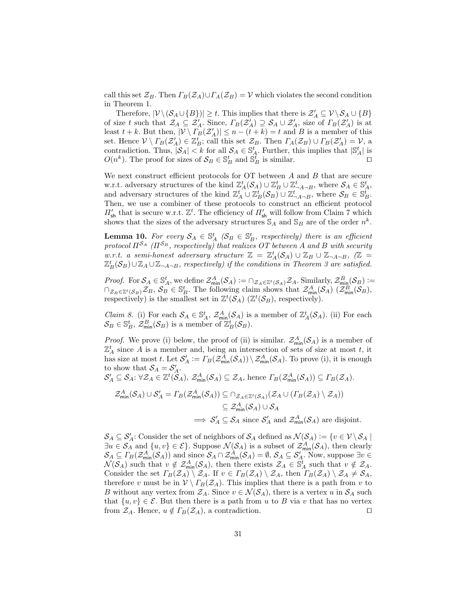call this set  $\mathcal{Z}_B$ . Then  $\Gamma_B(\mathcal{Z}_A) \cup \Gamma_A(\mathcal{Z}_B) = \mathcal{V}$  which violates the second condition in Theorem 1.

Therefore,  $|\mathcal{V} \setminus (S_A \cup \{B\})| \geq t$ . This implies that there is  $\mathcal{Z}'_A \subseteq \mathcal{V} \setminus S_A \cup \{B\}$ of size t such that  $\mathcal{Z}_A \subseteq \mathcal{Z}'_A$ . Since,  $\Gamma_B(\mathcal{Z}'_A) \supseteq \mathcal{S}_A \cup \mathcal{Z}'_A$ , size of  $\Gamma_B(\mathcal{Z}'_A)$  is at least  $t + k$ . But then,  $|\mathcal{V} \setminus \Gamma_B(\mathcal{Z}_A)| \leq n - (t + k) = t$  and B is a member of this set. Hence  $V \setminus \Gamma_B(\mathcal{Z}_A') \in \mathbb{Z}_B^t$ ; call this set  $\mathcal{Z}_B$ . Then  $\Gamma_A(\mathcal{Z}_B) \cup \Gamma_B(\mathcal{Z}_A') = \mathcal{V}$ , a contradiction. Thus,  $|S_A| < k$  for all  $S_A \in \mathbb{S}_A^t$ . Further, this implies that  $|\mathbb{S}_A^t|$  is  $O(n^k)$ . The proof for sizes of  $\mathcal{S}_B \in \mathbb{S}_B^t$  and  $\mathbb{S}_B^t$  is similar.

We next construct efficient protocols for  $OT$  between  $A$  and  $B$  that are secure w.r.t. adversary structures of the kind  $\mathbb{Z}_{A}^{t}(S_A) \cup \mathbb{Z}_{B}^{t} \cup \mathbb{Z}_{\neg A \neg B}^{t}$ , where  $S_A \in \mathbb{S}_{A}^{t}$ , and adversary structures of the kind  $\mathbb{Z}_A^t \cup \mathbb{Z}_B^t(\mathcal{S}_B) \cup \mathbb{Z}_{\neg A \neg B}^t$ , where  $\mathcal{S}_B \in \mathbb{S}_B^t$ . Then, we use a combiner of these protocols to construct an efficient protocol  $\Pi_{\mathsf{sh}}'$  that is secure w.r.t.  $\mathbb{Z}^t$ . The efficiency of  $\Pi_{\mathsf{sh}}'$  will follow from Claim 7 which shows that the sizes of the adversary structures  $\mathbb{S}_A$  and  $\mathbb{S}_B$  are of the order  $n^k$ .

**Lemma 10.** For every  $S_A \in \mathbb{S}_A^t$  ( $S_B \in \mathbb{S}_B^t$ , respectively) there is an efficient protocol  $\Pi^{S_A}$  ( $\Pi^{S_B}$ , respectively) that realizes OT between A and B with security  $w.r.t.$  a semi-honest adversary structure  $\mathbb{Z} = \mathbb{Z}_A^t(\mathcal{S}_A) \cup \mathbb{Z}_B \cup \mathbb{Z}_{\neg A \neg B}$ ,  $(\mathbb{Z}_A^t)$  $\mathbb{Z}_B^t(\mathcal{S}_B) \cup \mathbb{Z}_A \cup \mathbb{Z}_{\neg A \neg B}$ , respectively) if the conditions in Theorem 3 are satisfied.

*Proof.* For  $S_A \in \mathbb{S}_A^t$ , we define  $\mathcal{Z}_{\min}^A(\mathcal{S}_A) := \bigcap_{\mathcal{Z}_A \in \mathbb{Z}^t(\mathcal{S}_A)} \mathcal{Z}_A$ . Similarly,  $\mathcal{Z}_{\min}^B(\mathcal{S}_B) :=$  $\cap_{\mathcal{Z}_B \in \mathbb{Z}^t(\mathcal{S}_B)} \mathcal{Z}_B, \mathcal{S}_B \in \mathbb{S}_B^t$ . The following claim shows that  $\mathcal{Z}_{\text{min}}^A(\mathcal{S}_A)$   $(\mathcal{Z}_{\text{min}}^B(\mathcal{S}_B))$ , respectively) is the smallest set in  $\mathbb{Z}^t(\mathcal{S}_A)$  ( $\mathbb{Z}^t(\mathcal{S}_B)$ , respectively).

*Claim 8.* (i) For each  $S_A \in \mathbb{S}_A^t$ ,  $\mathcal{Z}_{\min}^A(\mathcal{S}_A)$  is a member of  $\mathbb{Z}_A^t(\mathcal{S}_A)$ . (ii) For each  $\mathcal{S}_B \in \mathbb{S}_B^t$ ,  $\mathcal{Z}_{\text{min}}^B(\mathcal{S}_B)$  is a member of  $\mathbb{Z}_B^t(\mathcal{S}_B)$ .

*Proof.* We prove (i) below, the proof of (ii) is similar.  $\mathcal{Z}_{\min}^A(\mathcal{S}_A)$  is a member of  $\mathbb{Z}_A^t$  since A is a member and, being an intersection of sets of size at most t, it has size at most t. Let  $\mathcal{S}'_A := \Gamma_B(\mathcal{Z}_{\min}^A(\mathcal{S}_A)) \setminus \mathcal{Z}_{\min}^A(\mathcal{S}_A)$ . To prove (i), it is enough to show that  $S_A = S'_A$ .

$$
\mathcal{S}'_A \subseteq \mathcal{S}_A: \forall \mathcal{Z}_A \in \mathbb{Z}^t(\mathcal{S}_A), \, \mathcal{Z}_{\min}^A(\mathcal{S}_A) \subseteq \mathcal{Z}_A, \, \text{hence} \, \Gamma_B(\mathcal{Z}_{\min}^A(\mathcal{S}_A)) \subseteq \Gamma_B(\mathcal{Z}_A).
$$

$$
\mathcal{Z}_{\min}^{A}(\mathcal{S}_{A}) \cup \mathcal{S}_{A}' = \Gamma_{B}(\mathcal{Z}_{\min}^{A}(\mathcal{S}_{A})) \subseteq \cap_{\mathcal{Z}_{A} \in \mathbb{Z}^{t}(\mathcal{S}_{A})}(\mathcal{Z}_{A} \cup (\Gamma_{B}(\mathcal{Z}_{A}) \setminus \mathcal{Z}_{A}))
$$
  

$$
\subseteq \mathcal{Z}_{\min}^{A}(\mathcal{S}_{A}) \cup \mathcal{S}_{A}
$$
  

$$
\implies \mathcal{S}_{A}' \subseteq \mathcal{S}_{A} \text{ since } \mathcal{S}_{A}' \text{ and } \mathcal{Z}_{\min}^{A}(\mathcal{S}_{A}) \text{ are disjoint.}
$$

 $\mathcal{S}_A\subseteq\mathcal{S}'_A$ : Consider the set of neighbors of  $\mathcal{S}_A$  defined as  $\mathcal{N}(\mathcal{S}_A):=\{v\in\mathcal{V}\setminus\mathcal{S}_A\mid$  $\exists u \in \mathcal{S}_A$  and  $\{u, v\} \in \mathcal{E}\}$ . Suppose  $\mathcal{N}(\mathcal{S}_A)$  is a subset of  $\mathcal{Z}_{\min}^A(\mathcal{S}_A)$ , then clearly  $S_A \subseteq \Gamma_B(\mathcal{Z}_{\min}^A(\mathcal{S}_A))$  and since  $\mathcal{S}_A \cap \mathcal{Z}_{\min}^A(\mathcal{S}_A) = \emptyset$ ,  $\mathcal{S}_A \subseteq \mathcal{S}'_A$ . Now, suppose  $\exists v \in \mathcal{S}'_A$  $\mathcal{N}(\mathcal{S}_A)$  such that  $v \notin \mathcal{Z}_{\text{min}}^A(\mathcal{S}_A)$ , then there exists  $\mathcal{Z}_A \in \mathcal{S}_A^t$  such that  $v \notin \mathcal{Z}_A$ . Consider the set  $\Gamma_B(\mathcal{Z}_A) \setminus \mathcal{Z}_A$ . If  $v \in \Gamma_B(\mathcal{Z}_A) \setminus \mathcal{Z}_A$ , then  $\Gamma_B(\mathcal{Z}_A) \setminus \mathcal{Z}_A \neq \mathcal{S}_A$ , therefore v must be in  $V \setminus \Gamma_B(\mathcal{Z}_A)$ . This implies that there is a path from v to B without any vertex from  $\mathcal{Z}_A$ . Since  $v \in \mathcal{N}(\mathcal{S}_A)$ , there is a vertex u in  $\mathcal{S}_A$  such that  $\{u, v\} \in \mathcal{E}$ . But then there is a path from u to B via v that has no vertex from  $\mathcal{Z}_A$ . Hence,  $u \notin \Gamma_B(\mathcal{Z}_A)$ , a contradiction.  $\square$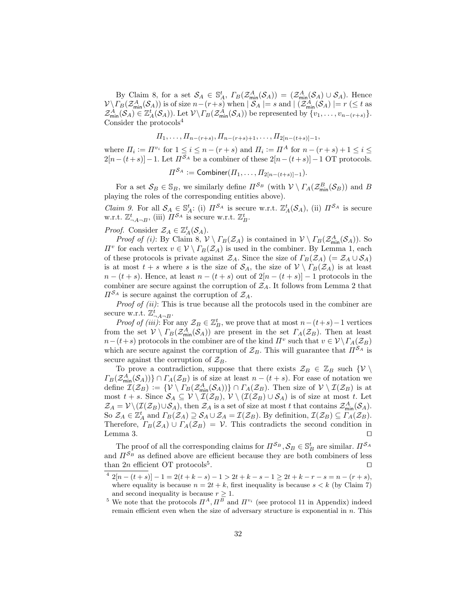By Claim 8, for a set  $\mathcal{S}_A \in \mathbb{S}_A^t$ ,  $\Gamma_B(\mathcal{Z}_{\text{min}}^A(\mathcal{S}_A)) = (\mathcal{Z}_{\text{min}}^A(\mathcal{S}_A) \cup \mathcal{S}_A)$ . Hence  $\mathcal{V}\backslash\Gamma_B(\mathcal{Z}^A_{\min}(\mathcal{S}_A))$  is of size  $n-(r+s)$  when  $|\mathcal{S}_A|=s$  and  $|\mathcal{Z}^A_{\min}(\mathcal{S}_A)|=r\ (\leq t$  as  $\mathcal{Z}_{\min}^A(\mathcal{S}_A) \in \mathbb{Z}_A^t(\mathcal{S}_A)$ . Let  $\mathcal{V} \setminus \Gamma_B(\mathcal{Z}_{\min}^A(\mathcal{S}_A))$  be represented by  $\{v_1, \ldots, v_{n-(r+s)}\}.$ Consider the protocols $4$ 

$$
\Pi_1, \ldots, \Pi_{n-(r+s)}, \Pi_{n-(r+s)+1}, \ldots, \Pi_{2[n-(t+s)]-1},
$$

where  $\Pi_i := \Pi^{v_i}$  for  $1 \leq i \leq n - (r + s)$  and  $\Pi_i := \Pi^A$  for  $n - (r + s) + 1 \leq i \leq$  $2[n-(t+s)]-1$ . Let  $\overline{I^{S_A}}$  be a combiner of these  $2[n-(t+s)]-1$  OT protocols.

$$
\Pi^{\mathcal{S}_A} := \mathsf{Combiner}(H_1,\ldots,H_{2[n-(t+s)]-1}).
$$

For a set  $S_B \in \mathbb{S}_B$ , we similarly define  $\Pi^{S_B}$  (with  $V \setminus \Gamma_A(\mathcal{Z}_{\min}^B(\mathcal{S}_B))$  and B playing the roles of the corresponding entities above).

*Claim 9.* For all  $S_A \in \mathbb{S}_A^t$ : (i)  $\Pi^{S_A}$  is secure w.r.t.  $\mathbb{Z}_A^t(S_A)$ , (ii)  $\Pi^{S_A}$  is secure w.r.t.  $\mathbb{Z}_{\neg A \neg B}^{t}$ , (iii)  $\Pi^{\mathcal{S}_{A}}$  is secure w.r.t.  $\mathbb{Z}_{B}^{t}$ .

# *Proof.* Consider  $\mathcal{Z}_A \in \mathbb{Z}_A^t(\mathcal{S}_A)$ .

*Proof of (i)*: By Claim 8,  $V \setminus \Gamma_B(\mathcal{Z}_A)$  is contained in  $V \setminus \Gamma_B(\mathcal{Z}_{\text{min}}^A(\mathcal{S}_A))$ . So  $\Pi^v$  for each vertex  $v \in \mathcal{V} \setminus \Gamma_B(\mathcal{Z}_A)$  is used in the combiner. By Lemma 1, each of these protocols is private against  $\mathcal{Z}_A$ . Since the size of  $\Gamma_B(\mathcal{Z}_A)$  (=  $\mathcal{Z}_A \cup \mathcal{S}_A$ ) is at most  $t + s$  where s is the size of  $S_A$ , the size of  $V \setminus \Gamma_B(\mathcal{Z}_A)$  is at least  $n - (t + s)$ . Hence, at least  $n - (t + s)$  out of  $2[n - (t + s)] - 1$  protocols in the combiner are secure against the corruption of  $\mathcal{Z}_A$ . It follows from Lemma 2 that  $\Pi^{\mathcal{S}_A}$  is secure against the corruption of  $\mathcal{Z}_A$ .

*Proof of (ii)*: This is true because all the protocols used in the combiner are secure w.r.t.  $\mathbb{Z}_{\neg A \neg B}^t$ .

*Proof of (iii)*: For any  $\mathcal{Z}_B \in \mathbb{Z}_B^t$ , we prove that at most  $n-(t+s)-1$  vertices from the set  $V \setminus \Gamma_B(\mathcal{Z}_{\text{min}}^A(\mathcal{S}_A))$  are present in the set  $\Gamma_A(\mathcal{Z}_B)$ . Then at least  $n-(t+s)$  protocols in the combiner are of the kind  $\Pi^v$  such that  $v \in \mathcal{V} \backslash \Gamma_A(\mathcal{Z}_B)$ which are secure against the corruption of  $\mathcal{Z}_B$ . This will guarantee that  $\Pi^{\mathcal{S}_A}$  is secure against the corruption of  $\mathcal{Z}_B$ .

To prove a contradiction, suppose that there exists  $\mathcal{Z}_B \in \mathbb{Z}_B$  such  $\{V \setminus$  $\Gamma_B(\mathcal{Z}_{\min}^A(\mathcal{S}_A))\}\cap \Gamma_A(\mathcal{Z}_B)$  is of size at least  $n-(t+s)$ . For ease of notation we define  $\mathcal{I}(\mathcal{Z}_B) := \{ \mathcal{V} \setminus \Gamma_B(\mathcal{Z}_{\text{min}}^A(\mathcal{S}_A)) \} \cap \Gamma_A(\mathcal{Z}_B)$ . Then size of  $\mathcal{V} \setminus \mathcal{I}(\mathcal{Z}_B)$  is at most  $t + s$ . Since  $S_A \subseteq V \setminus \mathcal{I}(\mathcal{Z}_B), V \setminus (\mathcal{I}(\mathcal{Z}_B) \cup \mathcal{S}_A)$  is of size at most t. Let  $\mathcal{Z}_A = \mathcal{V} \setminus (\mathcal{I}(\mathcal{Z}_B) \cup \mathcal{S}_A)$ , then  $\mathcal{Z}_A$  is a set of size at most t that contains  $\mathcal{Z}_{\text{min}}^A(\mathcal{S}_A)$ . So  $\mathcal{Z}_A \in \mathbb{Z}_A^t$  and  $\Gamma_B(\mathcal{Z}_A) \supseteq \mathcal{S}_A \cup \mathcal{Z}_A = \mathcal{I}(\mathcal{Z}_B)$ . By definition,  $\mathcal{I}(\mathcal{Z}_B) \subseteq \overline{\Gamma_A(\mathcal{Z}_B)}$ . Therefore,  $\Gamma_B(\mathcal{Z}_A) \cup \Gamma_A(\mathcal{Z}_B) = \mathcal{V}$ . This contradicts the second condition in Lemma 3.  $\Box$ 

The proof of all the corresponding claims for  $\Pi^{\mathcal{S}_B}, \mathcal{S}_B \in \mathbb{S}_B^t$  are similar.  $\Pi^{\mathcal{S}_A}$ and  $\Pi^{\mathcal{S}_B}$  as defined above are efficient because they are both combiners of less than  $2n$  efficient OT protocols<sup>5</sup>. . The contract of the contract of  $\Box$ 

 $4\ 2[n-(t+s)]-1=2(t+k-s)-1>2t+k-s-1\geq 2t+k-r-s=n-(r+s),$ where equality is because  $n = 2t + k$ , first inequality is because  $s < k$  (by Claim 7) and second inequality is because  $r \geq 1$ .

<sup>&</sup>lt;sup>5</sup> We note that the protocols  $\Pi^A, \Pi^B$  and  $\Pi^{v_i}$  (see protocol 11 in Appendix) indeed remain efficient even when the size of adversary structure is exponential in  $n$ . This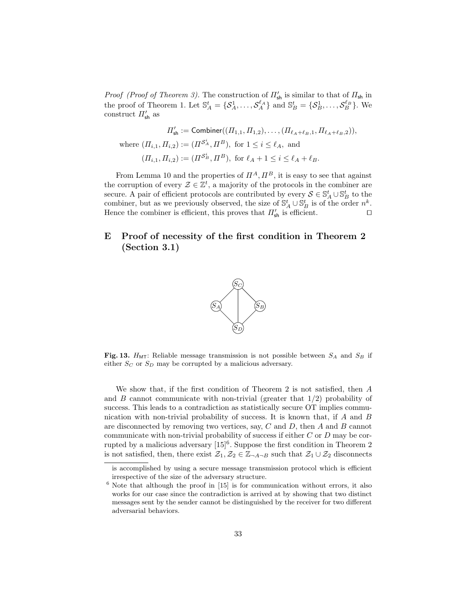*Proof (Proof of Theorem 3)*. The construction of  $\Pi'_{\sf sh}$  is similar to that of  $\Pi_{\sf sh}$  in the proof of Theorem 1. Let  $\mathbb{S}_A^t = \{S_A^1, \ldots, S_A^{\ell_A}\}\$ and  $\mathbb{S}_B^t = \{S_B^1, \ldots, S_B^{\ell_B}\}\$ . We construct  $\Pi_{\mathsf{sh}}'$  as

$$
\Pi'_{\mathsf{sh}} := \mathsf{Combiner}((\Pi_{1,1}, \Pi_{1,2}), \dots, (\Pi_{\ell_A + \ell_B, 1}, \Pi_{\ell_A + \ell_B, 2})),
$$
  
where  $(\Pi_{i,1}, \Pi_{i,2}) := (\Pi^{S_A^i}, \Pi^B)$ , for  $1 \le i \le \ell_A$ , and  
 $(\Pi_{i,1}, \Pi_{i,2}) := (\Pi^{S_B^i}, \Pi^B)$ , for  $\ell_A + 1 \le i \le \ell_A + \ell_B$ .

From Lemma 10 and the properties of  $\Pi^A$ ,  $\Pi^B$ , it is easy to see that against the corruption of every  $\mathcal{Z} \in \mathbb{Z}^t$ , a majority of the protocols in the combiner are secure. A pair of efficient protocols are contributed by every  $S \in \mathbb{S}_A^t \cup \mathbb{S}_B^t$  to the combiner, but as we previously observed, the size of  $\mathbb{S}_{A}^{t} \cup \mathbb{S}_{B}^{t}$  is of the order  $n^{k}$ . Hence the combiner is efficient, this proves that  $\Pi'_{\sf sh}$  is efficient.

## E Proof of necessity of the first condition in Theorem 2 (Section 3.1)



Fig. 13.  $H<sub>MT</sub>$ : Reliable message transmission is not possible between  $S<sub>A</sub>$  and  $S<sub>B</sub>$  if either  $S_C$  or  $S_D$  may be corrupted by a malicious adversary.

We show that, if the first condition of Theorem 2 is not satisfied, then A and B cannot communicate with non-trivial (greater that  $1/2$ ) probability of success. This leads to a contradiction as statistically secure OT implies communication with non-trivial probability of success. It is known that, if A and B are disconnected by removing two vertices, say,  $C$  and  $D$ , then  $A$  and  $B$  cannot communicate with non-trivial probability of success if either  $C$  or  $D$  may be corrupted by a malicious adversary  $[15]^{6}$ . Suppose the first condition in Theorem 2 is not satisfied, then, there exist  $\mathcal{Z}_1, \mathcal{Z}_2 \in \mathbb{Z}_{\neg A \neg B}$  such that  $\mathcal{Z}_1 \cup \mathcal{Z}_2$  disconnects

is accomplished by using a secure message transmission protocol which is efficient irrespective of the size of the adversary structure.

 $6$  Note that although the proof in [15] is for communication without errors, it also works for our case since the contradiction is arrived at by showing that two distinct messages sent by the sender cannot be distinguished by the receiver for two different adversarial behaviors.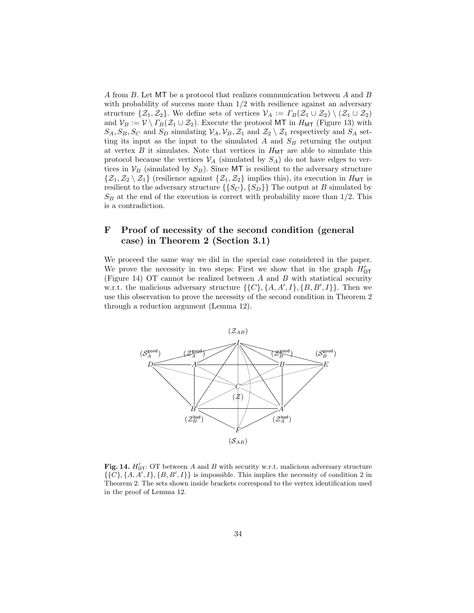A from B. Let MT be a protocol that realizes communication between A and B with probability of success more than  $1/2$  with resilience against an adversary structure  $\{\mathcal{Z}_1,\mathcal{Z}_2\}$ . We define sets of vertices  $\mathcal{V}_A := \Gamma_B(\mathcal{Z}_1 \cup \mathcal{Z}_2) \setminus (\mathcal{Z}_1 \cup \mathcal{Z}_2)$ and  $V_B := V \setminus \Gamma_B(\mathcal{Z}_1 \cup \mathcal{Z}_2)$ . Execute the protocol MT in  $H_{\text{MT}}$  (Figure 13) with  $S_A, S_B, S_C$  and  $S_D$  simulating  $V_A, V_B, Z_1$  and  $Z_2 \setminus Z_1$  respectively and  $S_A$  setting its input as the input to the simulated  $A$  and  $S_B$  returning the output at vertex B it simulates. Note that vertices in  $H_{\text{MT}}$  are able to simulate this protocol because the vertices  $\mathcal{V}_A$  (simulated by  $S_A$ ) do not have edges to vertices in  $V_B$  (simulated by  $S_B$ ). Since MT is resilient to the adversary structure  $\{\mathcal{Z}_1,\mathcal{Z}_2\setminus\mathcal{Z}_1\}$  (resilience against  $\{\mathcal{Z}_1,\mathcal{Z}_2\}$  implies this), its execution in  $H_{\text{MT}}$  is resilient to the adversary structure  $\{\{S_C\}, \{S_D\}\}\$ The output at B simulated by  $S_B$  at the end of the execution is correct with probability more than 1/2. This is a contradiction.

# F Proof of necessity of the second condition (general case) in Theorem 2 (Section 3.1)

We proceed the same way we did in the special case considered in the paper. We prove the necessity in two steps: First we show that in the graph  $H'_{\text{OT}}$ (Figure 14) OT cannot be realized between A and B with statistical security w.r.t. the malicious adversary structure  $\{\{C\}, \{A, A', I\}, \{B, B', I\}\}\.$  Then we use this observation to prove the necessity of the second condition in Theorem 2 through a reduction argument (Lemma 12).



Fig. 14.  $H'_{\text{OT}}$ : OT between A and B with security w.r.t. malicious adversary structure  $\{\{C\}, \{A, A', I\}, \{B, B', I\}\}$  is impossible. This implies the necessity of condition 2 in Theorem 2. The sets shown inside brackets correspond to the vertex identification used in the proof of Lemma 12.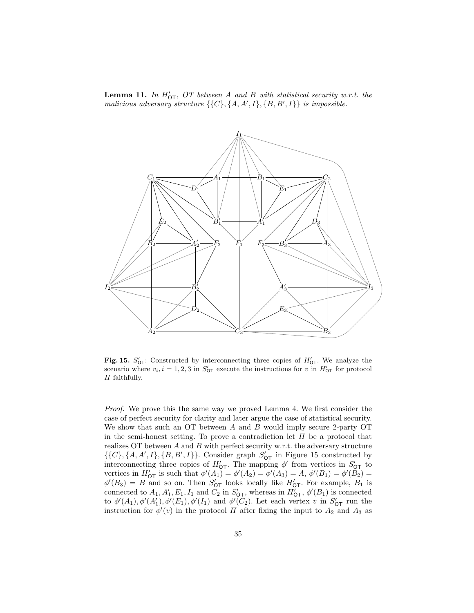**Lemma 11.** In  $H'_{\text{OT}}$ , OT between A and B with statistical security w.r.t. the malicious adversary structure  $\{ \{C\}, \{A, A', I\}, \{B, B', I\} \}$  is impossible.



Fig. 15.  $S'_{\text{OT}}$ : Constructed by interconnecting three copies of  $H'_{\text{OT}}$ . We analyze the scenario where  $v_i, i = 1, 2, 3$  in  $S'_{\text{OT}}$  execute the instructions for v in  $H'_{\text{OT}}$  for protocol  $\Pi$  faithfully.

Proof. We prove this the same way we proved Lemma 4. We first consider the case of perfect security for clarity and later argue the case of statistical security. We show that such an OT between  $A$  and  $B$  would imply secure 2-party OT in the semi-honest setting. To prove a contradiction let  $\Pi$  be a protocol that realizes  $OT$  between  $A$  and  $B$  with perfect security w.r.t. the adversary structure  $\{\{C\}, \{A, A', I\}, \{B, B', I\}\}.$  Consider graph  $S'_{\text{OT}}$  in Figure 15 constructed by interconnecting three copies of  $H'_{\text{OT}}$ . The mapping  $\phi'$  from vertices in  $S'_{\text{OT}}$  to vertices in  $H'_{\text{OT}}$  is such that  $\phi'(A_1) = \phi'(A_2) = \phi'(A_3) = A, \, \phi'(B_1) = \phi'(B_2) =$  $\phi'(B_3) = B$  and so on. Then  $S'_{\text{OT}}$  looks locally like  $H'_{\text{OT}}$ . For example,  $B_1$  is connected to  $A_1, A'_1, E_1, I_1$  and  $C_2$  in  $S'_{\text{OT}}$ , whereas in  $H'_{\text{OT}}$ ,  $\phi'(B_1)$  is connected to  $\phi'(A_1), \phi'(A'_1), \phi'(E_1), \phi'(I_1)$  and  $\phi'(C_2)$ . Let each vertex v in  $S'_{\text{OT}}$  run the instruction for  $\phi'(v)$  in the protocol  $\Pi$  after fixing the input to  $A_2$  and  $A_3$  as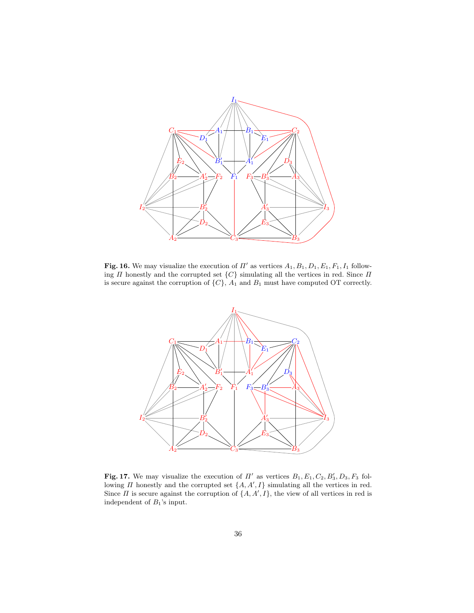

Fig. 16. We may visualize the execution of  $\Pi'$  as vertices  $A_1, B_1, D_1, E_1, F_1, I_1$  following  $\Pi$  honestly and the corrupted set  $\{C\}$  simulating all the vertices in red. Since  $\Pi$ is secure against the corruption of  $\{C\}$ ,  $A_1$  and  $B_1$  must have computed OT correctly.



Fig. 17. We may visualize the execution of  $\Pi'$  as vertices  $B_1, E_1, C_2, B'_3, D_3, F_3$  following  $\Pi$  honestly and the corrupted set  $\{A, A', I\}$  simulating all the vertices in red. Since  $\Pi$  is secure against the corruption of  $\{A, A', I\}$ , the view of all vertices in red is independent of  $B_1$ 's input.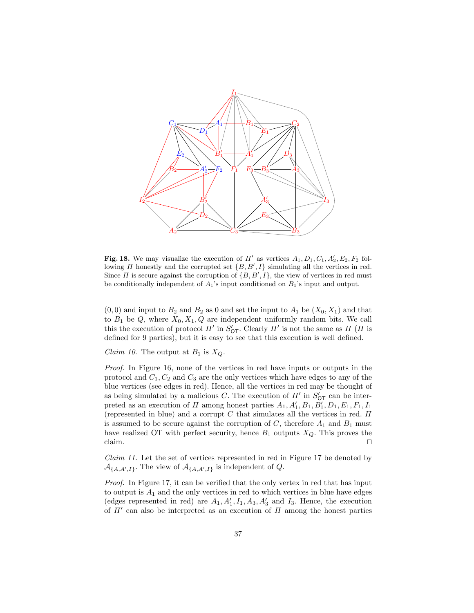

Fig. 18. We may visualize the execution of  $\Pi'$  as vertices  $A_1, D_1, C_1, A'_2, E_2, F_2$  following  $\Pi$  honestly and the corrupted set  $\{B, B', I\}$  simulating all the vertices in red. Since  $\Pi$  is secure against the corruption of  $\{B, B', I\}$ , the view of vertices in red must be conditionally independent of  $A_1$ 's input conditioned on  $B_1$ 's input and output.

 $(0, 0)$  and input to  $B_2$  and  $B_2$  as 0 and set the input to  $A_1$  be  $(X_0, X_1)$  and that to  $B_1$  be Q, where  $X_0, X_1, Q$  are independent uniformly random bits. We call this the execution of protocol  $\Pi'$  in  $S'_{\text{OT}}$ . Clearly  $\Pi'$  is not the same as  $\Pi$  ( $\Pi$  is defined for 9 parties), but it is easy to see that this execution is well defined.

*Claim 10.* The output at  $B_1$  is  $X_Q$ .

Proof. In Figure 16, none of the vertices in red have inputs or outputs in the protocol and  $C_1, C_2$  and  $C_3$  are the only vertices which have edges to any of the blue vertices (see edges in red). Hence, all the vertices in red may be thought of as being simulated by a malicious C. The execution of  $\Pi'$  in  $S'_{\text{OT}}$  can be interpreted as an execution of  $\Pi$  among honest parties  $A_1, A'_1, B_1, B'_1, D_1, E_1, F_1, I_1$ (represented in blue) and a corrupt  $C$  that simulates all the vertices in red.  $\Pi$ is assumed to be secure against the corruption of  $C$ , therefore  $A_1$  and  $B_1$  must have realized OT with perfect security, hence  $B_1$  outputs  $X_Q$ . This proves the claim.  $\Box$ 

Claim 11. Let the set of vertices represented in red in Figure 17 be denoted by  $\mathcal{A}_{\{A,A',I\}}$ . The view of  $\mathcal{A}_{\{A,A',I\}}$  is independent of Q.

Proof. In Figure 17, it can be verified that the only vertex in red that has input to output is  $A_1$  and the only vertices in red to which vertices in blue have edges (edges represented in red) are  $A_1, A'_1, I_1, A_3, A'_3$  and  $I_3$ . Hence, the execution of  $\Pi'$  can also be interpreted as an execution of  $\Pi$  among the honest parties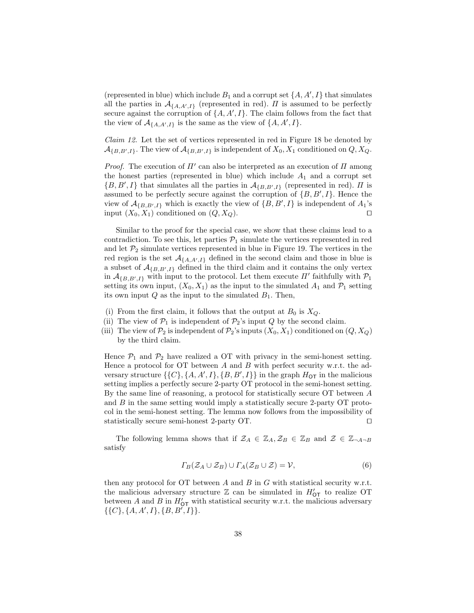(represented in blue) which include  $B_1$  and a corrupt set  $\{A, A', I\}$  that simulates all the parties in  $\mathcal{A}_{\{A,A',I\}}$  (represented in red).  $\Pi$  is assumed to be perfectly secure against the corruption of  $\{A, A', I\}$ . The claim follows from the fact that the view of  $\mathcal{A}_{\{A,A',I\}}$  is the same as the view of  $\{A, A', I\}.$ 

Claim 12. Let the set of vertices represented in red in Figure 18 be denoted by  $\mathcal{A}_{\{B,B',I\}}$ . The view of  $\mathcal{A}_{\{B,B',I\}}$  is independent of  $X_0, X_1$  conditioned on  $Q, X_Q$ .

*Proof.* The execution of  $\Pi'$  can also be interpreted as an execution of  $\Pi$  among the honest parties (represented in blue) which include  $A_1$  and a corrupt set  $\{B, B', I\}$  that simulates all the parties in  $\mathcal{A}_{\{B, B', I\}}$  (represented in red).  $\Pi$  is assumed to be perfectly secure against the corruption of  $\{B, B', I\}$ . Hence the view of  $\mathcal{A}_{\{B,B',I\}}$  which is exactly the view of  $\{B,B',I\}$  is independent of  $A_1$ 's input  $(X_0, X_1)$  conditioned on  $(Q, X_Q)$ .

Similar to the proof for the special case, we show that these claims lead to a contradiction. To see this, let parties  $P_1$  simulate the vertices represented in red and let  $\mathcal{P}_2$  simulate vertices represented in blue in Figure 19. The vertices in the red region is the set  $\mathcal{A}_{\{A,A',I\}}$  defined in the second claim and those in blue is a subset of  $\mathcal{A}_{\{B,B',I\}}$  defined in the third claim and it contains the only vertex in  $\mathcal{A}_{\{B,B',I\}}$  with input to the protocol. Let them execute  $\Pi'$  faithfully with  $\mathcal{P}_1$ setting its own input,  $(X_0, X_1)$  as the input to the simulated  $A_1$  and  $P_1$  setting its own input  $Q$  as the input to the simulated  $B_1$ . Then,

- (i) From the first claim, it follows that the output at  $B_0$  is  $X_Q$ .
- (ii) The view of  $P_1$  is independent of  $P_2$ 's input Q by the second claim.
- (iii) The view of  $\mathcal{P}_2$  is independent of  $\mathcal{P}_2$ 's inputs  $(X_0, X_1)$  conditioned on  $(Q, X_Q)$ by the third claim.

Hence  $\mathcal{P}_1$  and  $\mathcal{P}_2$  have realized a OT with privacy in the semi-honest setting. Hence a protocol for OT between  $A$  and  $B$  with perfect security w.r.t. the adversary structure  $\{\{C\}, \{A, A', I\}, \{B, B', I\}\}$  in the graph  $H_{\text{OT}}$  in the malicious setting implies a perfectly secure 2-party OT protocol in the semi-honest setting. By the same line of reasoning, a protocol for statistically secure OT between A and  $B$  in the same setting would imply a statistically secure 2-party  $\overline{OT}$  protocol in the semi-honest setting. The lemma now follows from the impossibility of statistically secure semi-honest 2-party OT.  $\Box$ 

The following lemma shows that if  $\mathcal{Z}_A \in \mathbb{Z}_A$ ,  $\mathcal{Z}_B \in \mathbb{Z}_B$  and  $\mathcal{Z} \in \mathbb{Z}_{\neg A \neg B}$ satisfy

$$
\Gamma_B(\mathcal{Z}_A \cup \mathcal{Z}_B) \cup \Gamma_A(\mathcal{Z}_B \cup \mathcal{Z}) = \mathcal{V},\tag{6}
$$

then any protocol for  $\overline{OT}$  between A and B in G with statistical security w.r.t. the malicious adversary structure  $\mathbb Z$  can be simulated in  $H'_{\text{OT}}$  to realize OT between A and B in  $H'_{\text{OT}}$  with statistical security w.r.t. the malicious adversary  $\{\{C\}, \{A, A', I\}, \{B, B', I\}\}.$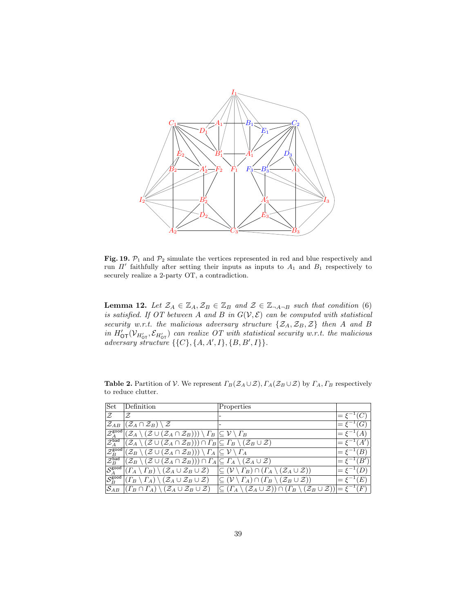

Fig. 19.  $\mathcal{P}_1$  and  $\mathcal{P}_2$  simulate the vertices represented in red and blue respectively and run  $\Pi'$  faithfully after setting their inputs as inputs to  $A_1$  and  $B_1$  respectively to securely realize a 2-party OT, a contradiction.

**Lemma 12.** Let  $\mathcal{Z}_A \in \mathbb{Z}_A$ ,  $\mathcal{Z}_B \in \mathbb{Z}_B$  and  $\mathcal{Z} \in \mathbb{Z}_{\neg A \neg B}$  such that condition (6) is satisfied. If OT between A and B in  $G(V, \mathcal{E})$  can be computed with statistical security w.r.t. the malicious adversary structure  $\{\mathcal{Z}_A, \mathcal{Z}_B, \mathcal{Z}\}\$  then A and B in  $H'_{\text{OT}}(\mathcal{V}_{H'_{\text{OT}}}, \mathcal{E}_{H'_{\text{OT}}})$  can realize OT with statistical security w.r.t. the malicious adversary structure  $\{\{C\}, \{A, A', I\}, \{B, B', I\}\}.$ 

| Set                                                       | Definition                                                                                                                                                                   | Properties                                                                                                                                                                                            |                                                 |
|-----------------------------------------------------------|------------------------------------------------------------------------------------------------------------------------------------------------------------------------------|-------------------------------------------------------------------------------------------------------------------------------------------------------------------------------------------------------|-------------------------------------------------|
| Z                                                         | Z                                                                                                                                                                            |                                                                                                                                                                                                       |                                                 |
| $\mathcal{Z}_{AB}$                                        | $(\mathcal{Z}_A \cap \mathcal{Z}_B) \setminus \mathcal{Z}$                                                                                                                   |                                                                                                                                                                                                       | 'G                                              |
| $\downarrow \overline{\mathcal{Z}_A^{\sf good\,\prime}}$  | $(\mathcal{Z}_A \setminus (\mathcal{Z} \cup (\mathcal{Z}_A \cap \mathcal{Z}_B))) \setminus \Gamma_B   \subseteq \mathcal{V} \setminus \Gamma_B$                              |                                                                                                                                                                                                       | $=\xi^{-}$                                      |
| $\mathcal{Z}^\mathsf{bad}_A$                              | $\overline{(\mathcal{Z}_A \setminus (\mathcal{Z} \cup (\mathcal{Z}_A \cap \mathcal{Z}_B))) \cap \Gamma_B}$ $\subseteq$ $\Gamma_B \setminus (\mathcal{Z}_B \cup \mathcal{Z})$ |                                                                                                                                                                                                       | $\mathcal{L}(A')$<br>$\epsilon = \epsilon^{-1}$ |
| $ \overset{\text{\rm{}}}{\mathcal{Z}}_{B}^{\text{good}} $ | $(\mathcal{Z}_B \setminus (\mathcal{Z} \cup (\mathcal{Z}_A \cap \mathcal{Z}_B))) \setminus \varGamma_A \, \subseteq \mathcal{V} \setminus \varGamma_A$                       |                                                                                                                                                                                                       | $=\xi^{-1}(B)$                                  |
| $\mathcal{Z}_B^{\mathsf{bad}}$                            | $(\mathcal{Z}_B \setminus (\mathcal{Z} \cup (\mathcal{Z}_A \cap \mathcal{Z}_B))) \cap \Gamma_A \subseteq \Gamma_A \setminus (\mathcal{Z}_A \cup \mathcal{Z})$                |                                                                                                                                                                                                       | $(B^{\prime}% )^{2}$<br>$=$ $\xi^-$             |
| $\overline{\mathcal{S}_{A}^{\text{good}}}$                |                                                                                                                                                                              | $(T_A \setminus \Gamma_B) \setminus (\mathcal{Z}_A \cup \mathcal{Z}_B \cup \mathcal{Z}) \quad  \subseteq (\mathcal{V} \setminus \Gamma_B) \cap (\Gamma_A \setminus (\mathcal{Z}_A \cup \mathcal{Z}))$ | $=\xi^{-1}(D)$                                  |
| $ \overline{\mathcal{S}_{B}^{\mathsf{good}}}$             | $(\Gamma_B \setminus \Gamma_A) \setminus (\mathcal{Z}_A \cup \mathcal{Z}_B \cup \mathcal{Z})$                                                                                | $(T_A) \cap (T_B \setminus (\mathcal{Z}_B \cup \mathcal{Z}))$                                                                                                                                         | (E)                                             |
|                                                           | $S_{AB}$ $((\Gamma_B \cap \Gamma_A) \setminus (\mathcal{Z}_A \cup \mathcal{Z}_B \cup \mathcal{Z})$                                                                           | $(T_A \setminus (\mathcal{Z}_A \cup \mathcal{Z})) \cap (T_B \setminus (\mathcal{Z}_B \cup \mathcal{Z})) = \xi^{-1}$                                                                                   | $^1(F)$                                         |

**Table 2.** Partition of V. We represent  $\Gamma_B(\mathcal{Z}_A \cup \mathcal{Z}), \Gamma_A(\mathcal{Z}_B \cup \mathcal{Z})$  by  $\Gamma_A, \Gamma_B$  respectively to reduce clutter.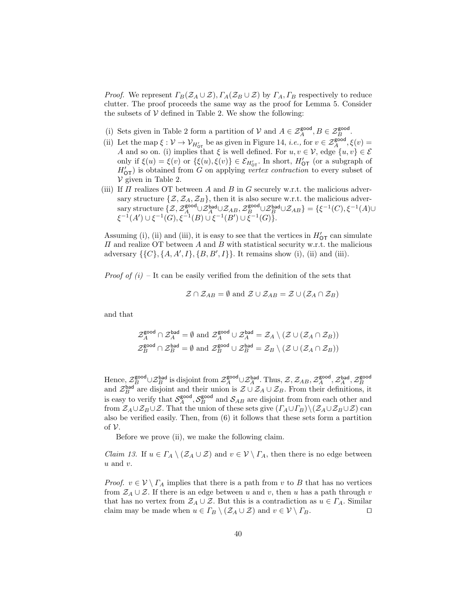*Proof.* We represent  $\Gamma_B(\mathcal{Z}_A \cup \mathcal{Z}), \Gamma_A(\mathcal{Z}_B \cup \mathcal{Z})$  by  $\Gamma_A, \Gamma_B$  respectively to reduce clutter. The proof proceeds the same way as the proof for Lemma 5. Consider the subsets of  $V$  defined in Table 2. We show the following:

- (i) Sets given in Table 2 form a partition of  $V$  and  $A \in \mathcal{Z}_A^{\text{good}}, B \in \mathcal{Z}_B^{\text{good}}$ .
- (ii) Let the map  $\xi: \mathcal{V} \to \mathcal{V}_{H'_{0}T}$  be as given in Figure 14, *i.e.*, for  $v \in \mathcal{Z}_A^{\text{good}}, \xi(v) =$ A and so on. (i) implies that  $\xi$  is well defined. For  $u, v \in V$ , edge  $\{u, v\} \in \mathcal{E}$ only if  $\xi(u) = \xi(v)$  or  $\{\xi(u), \xi(v)\}\in \mathcal{E}_{H'_{\text{OT}}}$ . In short,  $H'_{\text{OT}}$  (or a subgraph of  $H'_{\text{OT}}$ ) is obtained from G on applying vertex contraction to every subset of  $\nu$  given in Table 2.
- (iii) If  $\Pi$  realizes OT between A and B in G securely w.r.t. the malicious adversary structure  $\{\mathcal{Z}, \mathcal{Z}_A, \mathcal{Z}_B\}$ , then it is also secure w.r.t. the malicious adver- $\text{asary structure } \{\mathcal{Z}, \mathcal{Z}_A^{\text{good}} \cup \mathcal{Z}_{AB}, \mathcal{Z}_B^{\text{good}} \cup \mathcal{Z}_{AB}\} = \{\xi^{-1}(C), \xi^{-1}(A) \cup \xi^{-1}(C)\}$  $\xi^{-1}(A') \cup \xi^{-1}(G), \xi^{-1}(B) \cup \xi^{-1}(B') \cup \overline{\xi}^{-1}(G) \}.$

Assuming (i), (ii) and (iii), it is easy to see that the vertices in  $H'_{\text{OT}}$  can simulate  $\Pi$  and realize OT between  $A$  and  $B$  with statistical security w.r.t. the malicious adversary  $\{\{C\}, \{A, A', I\}, \{B, B', I\}\}.$  It remains show (i), (ii) and (iii).

*Proof of (i)* – It can be easily verified from the definition of the sets that

$$
\mathcal{Z} \cap \mathcal{Z}_{AB} = \emptyset
$$
 and  $\mathcal{Z} \cup \mathcal{Z}_{AB} = \mathcal{Z} \cup (\mathcal{Z}_A \cap \mathcal{Z}_B)$ 

and that

$$
\mathcal{Z}_A^{\text{good}} \cap \mathcal{Z}_A^{\text{bad}} = \emptyset \text{ and } \mathcal{Z}_A^{\text{good}} \cup \mathcal{Z}_A^{\text{bad}} = \mathcal{Z}_A \setminus (\mathcal{Z} \cup (\mathcal{Z}_A \cap \mathcal{Z}_B))
$$
  

$$
\mathcal{Z}_B^{\text{good}} \cap \mathcal{Z}_B^{\text{bad}} = \emptyset \text{ and } \mathcal{Z}_B^{\text{good}} \cup \mathcal{Z}_B^{\text{bad}} = \mathcal{Z}_B \setminus (\mathcal{Z} \cup (\mathcal{Z}_A \cap \mathcal{Z}_B))
$$

Hence,  $\mathcal{Z}_B^{\text{good}} \cup \mathcal{Z}_B^{\text{bad}}$  is disjoint from  $\mathcal{Z}_A^{\text{good}} \cup \mathcal{Z}_A^{\text{bad}}$ . Thus,  $\mathcal{Z}, \mathcal{Z}_{AB}, \mathcal{Z}_A^{\text{good}}, \mathcal{Z}_A^{\text{bad}}, \mathcal{Z}_B^{\text{good}}$ <br>and  $\mathcal{Z}_B^{\text{bad}}$  are disjoint and their union is  $\mathcal{Z} \cup \mathcal{Z}_A \cup \math$ is easy to verify that  $S_A^{\text{good}}, S_B^{\text{good}}$  and  $S_{AB}$  are disjoint from from each other and from  $\mathcal{Z}_A \cup \mathcal{Z}_B \cup \mathcal{Z}$ . That the union of these sets give  $(\Gamma_A \cup \Gamma_B) \setminus (\mathcal{Z}_A \cup \mathcal{Z}_B \cup \mathcal{Z})$  can also be verified easily. Then, from (6) it follows that these sets form a partition of  $\mathcal V$ .

Before we prove (ii), we make the following claim.

*Claim 13.* If  $u \in \Gamma_A \setminus (\mathcal{Z}_A \cup \mathcal{Z})$  and  $v \in \mathcal{V} \setminus \Gamma_A$ , then there is no edge between  $u$  and  $v$ .

*Proof.*  $v \in V \setminus \Gamma_A$  implies that there is a path from v to B that has no vertices from  $\mathcal{Z}_A \cup \mathcal{Z}$ . If there is an edge between u and v, then u has a path through v that has no vertex from  $\mathcal{Z}_A \cup \mathcal{Z}$ . But this is a contradiction as  $u \in \Gamma_A$ . Similar claim may be made when  $u \in \Gamma_B \setminus (\mathcal{Z}_A \cup \mathcal{Z})$  and  $v \in \mathcal{V} \setminus \Gamma_B$ .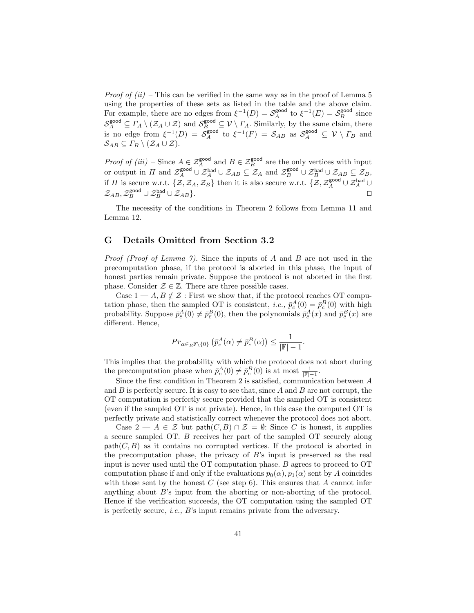*Proof of (ii)* – This can be verified in the same way as in the proof of Lemma 5 using the properties of these sets as listed in the table and the above claim. For example, there are no edges from  $\xi^{-1}(D) = S_A^{\text{good}}$  to  $\xi^{-1}(E) = S_B^{\text{good}}$  since  $\mathcal{S}_{A}^{\text{good}} \subseteq \Gamma_A \setminus (\mathcal{Z}_A \cup \mathcal{Z})$  and  $\mathcal{S}_{B}^{\text{good}} \subseteq \mathcal{V} \setminus \Gamma_A$ . Similarly, by the same claim, there is no edge from  $\xi^{-1}(D) = S_A^{\text{good}}$  to  $\xi^{-1}(F) = S_{AB}$  as  $S_A^{\text{good}} \subseteq \mathcal{V} \setminus \Gamma_B$  and  $\mathcal{S}_{AB} \subseteq \Gamma_B \setminus (\mathcal{Z}_A \cup \mathcal{Z}).$ 

*Proof of (iii)* – Since  $A \in \mathcal{Z}_A^{\text{good}}$  and  $B \in \mathcal{Z}_B^{\text{good}}$  are the only vertices with input or output in  $\Pi$  and  $\mathcal{Z}_A^{\text{good}} \cup \mathcal{Z}_{AB} \subseteq \mathcal{Z}_A$  and  $\mathcal{Z}_B^{\text{good}} \cup \mathcal{Z}_{AB}^{\text{bad}} \cup \mathcal{Z}_{AB} \subseteq \mathcal{Z}_B$ , if  $\Pi$  is secure w.r.t.  $\{\mathcal{Z},\mathcal{Z}_A,\mathcal{Z}_B\}$  then it is also secure w.r.t.  $\{\mathcal{Z},\mathcal{Z}_A^{\text{good}} \cup \mathcal{Z}_A^{\text{bad}} \cup$  $\mathcal{Z}_{AB}, \mathcal{Z}_B^{\text{good}} \cup \mathcal{Z}_{AB} \}.$ 

The necessity of the conditions in Theorem 2 follows from Lemma 11 and Lemma 12.

#### G Details Omitted from Section 3.2

Proof (Proof of Lemma 7). Since the inputs of A and B are not used in the precomputation phase, if the protocol is aborted in this phase, the input of honest parties remain private. Suppose the protocol is not aborted in the first phase. Consider  $\mathcal{Z} \in \mathbb{Z}$ . There are three possible cases.

Case  $1 - A, B \notin \mathcal{Z}$ : First we show that, if the protocol reaches OT computation phase, then the sampled OT is consistent, *i.e.*,  $\bar{p}_{\bar{c}}^{A}(0) = \bar{p}_{\bar{c}}^{B}(0)$  with high probability. Suppose  $\bar{p}_{\bar{c}}^A(0) \neq \bar{p}_{\bar{c}}^B(0)$ , then the polynomials  $\bar{p}_{\bar{c}}^A(x)$  and  $\bar{p}_{\bar{c}}^B(x)$  are different. Hence,

$$
Pr_{\alpha \in R\mathbb{F}\backslash\{0\}}\left(\bar{p}_{\bar{c}}^{A}(\alpha) \neq \bar{p}_{\bar{c}}^{B}(\alpha)\right) \leq \frac{1}{|\mathbb{F}|-1}.
$$

This implies that the probability with which the protocol does not abort during the precomputation phase when  $\bar{p}_{\bar{c}}^{A}(0) \neq \bar{p}_{\bar{c}}^{B}(0)$  is at most  $\frac{1}{\mathbb{F}|-1}$ .

Since the first condition in Theorem 2 is satisfied, communication between  $\boldsymbol{A}$ and  $B$  is perfectly secure. It is easy to see that, since  $A$  and  $B$  are not corrupt, the OT computation is perfectly secure provided that the sampled OT is consistent (even if the sampled OT is not private). Hence, in this case the computed OT is perfectly private and statistically correct whenever the protocol does not abort.

Case  $2 - A \in \mathcal{Z}$  but path $(C, B) \cap \mathcal{Z} = \emptyset$ : Since C is honest, it supplies a secure sampled OT. B receives her part of the sampled OT securely along  $path(C, B)$  as it contains no corrupted vertices. If the protocol is aborted in the precomputation phase, the privacy of  $B$ 's input is preserved as the real input is never used until the OT computation phase. B agrees to proceed to OT computation phase if and only if the evaluations  $p_0(\alpha)$ ,  $p_1(\alpha)$  sent by A coincides with those sent by the honest  $C$  (see step 6). This ensures that  $A$  cannot infer anything about B's input from the aborting or non-aborting of the protocol. Hence if the verification succeeds, the OT computation using the sampled OT is perfectly secure, i.e., B's input remains private from the adversary.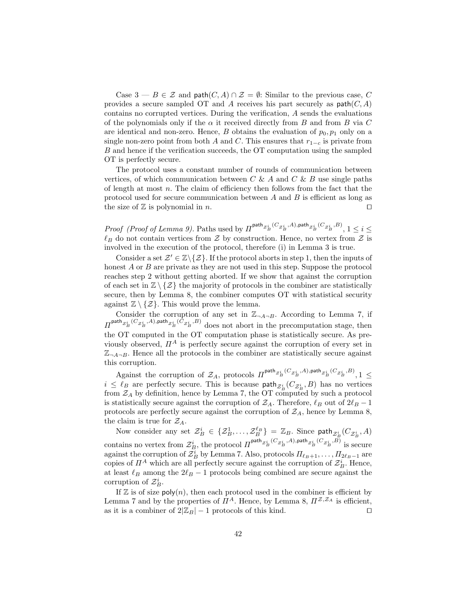Case  $3 - B \in \mathcal{Z}$  and path $(C, A) \cap \mathcal{Z} = \emptyset$ : Similar to the previous case, C provides a secure sampled OT and A receives his part securely as  $path(C, A)$ contains no corrupted vertices. During the verification, A sends the evaluations of the polynomials only if the  $\alpha$  it received directly from B and from B via C are identical and non-zero. Hence, B obtains the evaluation of  $p_0, p_1$  only on a single non-zero point from both A and C. This ensures that  $r_{1-c}$  is private from B and hence if the verification succeeds, the OT computation using the sampled OT is perfectly secure.

The protocol uses a constant number of rounds of communication between vertices, of which communication between  $C \& A$  and  $C \& B$  use single paths of length at most n. The claim of efficiency then follows from the fact that the protocol used for secure communication between  $A$  and  $B$  is efficient as long as the size of  $\mathbb Z$  is polynomial in n.

Proof (Proof of Lemma 9). Paths used by  $\Pi^{\text{path}} z_B^i \overset{(C_{Z_B^i},A),\text{path}}{\longrightarrow} z_B^i \overset{(C_{Z_B^i},B)}{\longrightarrow} 1 \leq i \leq k$  $\ell_B$  do not contain vertices from Z by construction. Hence, no vertex from Z is involved in the execution of the protocol, therefore (i) in Lemma 3 is true.

Consider a set  $\mathcal{Z}' \in \mathbb{Z} \backslash \{ \mathcal{Z} \}$ . If the protocol aborts in step 1, then the inputs of honest A or B are private as they are not used in this step. Suppose the protocol reaches step 2 without getting aborted. If we show that against the corruption of each set in  $\mathbb{Z}\setminus\{\mathcal{Z}\}\)$  the majority of protocols in the combiner are statistically secure, then by Lemma 8, the combiner computes OT with statistical security against  $\mathbb{Z} \setminus \{Z\}$ . This would prove the lemma.

Consider the corruption of any set in  $\mathbb{Z}_{\neg A \neg B}$ . According to Lemma 7, if  $\Pi^{\textsf{path}}_{\mathcal{Z}_{B}^{i}}(C_{\mathcal{Z}_{B}^{i}},A),$ path $_{\mathcal{Z}_{B}^{i}}(C_{\mathcal{Z}_{B}^{i}},B)$  does not abort in the precomputation stage, then the OT computed in the OT computation phase is statistically secure. As previously observed,  $\Pi^A$  is perfectly secure against the corruption of every set in  $\mathbb{Z}_{\neg A\neg B}$ . Hence all the protocols in the combiner are statistically secure against this corruption.

Against the corruption of  $\mathcal{Z}_A$ , protocols  $\Pi^{\mathsf{path}} z_B^i{}^{(C_{\mathcal{Z}_B^i},A),\mathsf{path}} z_B^i{}^{(C_{\mathcal{Z}_B^i},B)}, 1 \leq$  $i \leq \ell_B$  are perfectly secure. This is because  $\text{path}_{\mathcal{Z}_B^i}(C_{\mathcal{Z}_B^i}, B)$  has no vertices from  $\mathcal{Z}_A$  by definition, hence by Lemma 7, the OT computed by such a protocol is statistically secure against the corruption of  $\mathcal{Z}_A$ . Therefore,  $\ell_B$  out of  $2\ell_B - 1$ protocols are perfectly secure against the corruption of  $\mathcal{Z}_A$ , hence by Lemma 8, the claim is true for  $\mathcal{Z}_A$ .

Now consider any set  $\mathcal{Z}_{B}^{i} \in \{\mathcal{Z}_{B}^{1}, \ldots, \mathcal{Z}_{B}^{\ell_{B}}\} = \mathbb{Z}_{B}$ . Since  $\mathsf{path}_{\mathcal{Z}_{B}^{i}}(C_{\mathcal{Z}_{B}^{i}}, A)$ contains no vertex from  $\mathcal{Z}_{B}^{i}$ , the protocol  $\Pi^{\mathsf{path}} z_{B}^{i}$   ${}^{(C_{\mathcal{Z}_{B}^{i}},A),\mathsf{path}} z_{B}^{i}$   ${}^{(C_{\mathcal{Z}_{B}^{i}},B)}$  is secure against the corruption of  $\mathcal{Z}_{B}^{i}$  by Lemma 7. Also, protocols  $\Pi_{\ell_B+1}, \ldots, \Pi_{2\ell_B-1}$  are copies of  $\mathbb{I}^A$  which are all perfectly secure against the corruption of  $\mathcal{Z}_{B}^i$ . Hence, at least  $\ell_B$  among the  $2\ell_B - 1$  protocols being combined are secure against the corruption of  $\mathcal{Z}_{B}^{i}$ .

If  $\mathbb Z$  is of size poly $(n)$ , then each protocol used in the combiner is efficient by Lemma 7 and by the properties of  $\Pi^A$ . Hence, by Lemma 8,  $\Pi^{\mathcal{Z},\mathcal{Z}_A}$  is efficient, as it is a combiner of  $2|\mathbb{Z}_B| - 1$  protocols of this kind.  $\square$